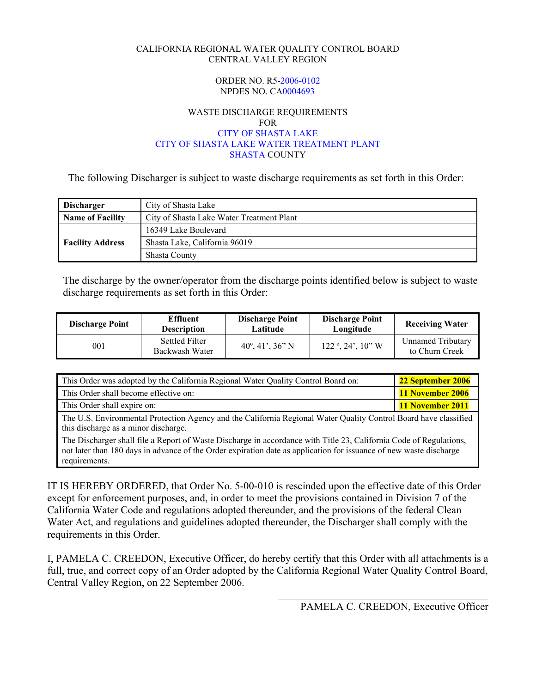#### CALIFORNIA REGIONAL WATER QUALITY CONTROL BOARD CENTRAL VALLEY REGION

#### ORDER NO. R5-2006-0102 NPDES NO. CA0004693

#### WASTE DISCHARGE REQUIREMENTS FOR CITY OF SHASTA LAKE CITY OF SHASTA LAKE WATER TREATMENT PLANT SHASTA COUNTY

The following Discharger is subject to waste discharge requirements as set forth in this Order:

| <b>Discharger</b>                                             | City of Shasta Lake           |  |  |
|---------------------------------------------------------------|-------------------------------|--|--|
| Name of Facility<br>City of Shasta Lake Water Treatment Plant |                               |  |  |
| <b>Facility Address</b>                                       | 16349 Lake Boulevard          |  |  |
|                                                               | Shasta Lake, California 96019 |  |  |
|                                                               | <b>Shasta County</b>          |  |  |

The discharge by the owner/operator from the discharge points identified below is subject to waste discharge requirements as set forth in this Order:

| <b>Discharge Point</b> | <b>Effluent</b><br><b>Description</b> | <b>Discharge Point</b><br>Latitude | <b>Discharge Point</b><br>Longitude               | <b>Receiving Water</b>                     |
|------------------------|---------------------------------------|------------------------------------|---------------------------------------------------|--------------------------------------------|
| 001                    | Settled Filter<br>Backwash Water      | $40^{\circ}, 41', 36''$ N          | $122^\circ$ , $24^\prime$ , $10^{\prime\prime}$ W | <b>Unnamed Tributary</b><br>to Churn Creek |

| This Order was adopted by the California Regional Water Quality Control Board on:                                                                                                                                                                         | 22 September 2006 |  |  |  |  |
|-----------------------------------------------------------------------------------------------------------------------------------------------------------------------------------------------------------------------------------------------------------|-------------------|--|--|--|--|
| This Order shall become effective on:                                                                                                                                                                                                                     | 11 November 2006  |  |  |  |  |
| This Order shall expire on:                                                                                                                                                                                                                               | 11 November 2011  |  |  |  |  |
| The U.S. Environmental Protection Agency and the California Regional Water Quality Control Board have classified<br>this discharge as a minor discharge.                                                                                                  |                   |  |  |  |  |
| The Discharger shall file a Report of Waste Discharge in accordance with Title 23, California Code of Regulations,<br>not later than 180 days in advance of the Order expiration date as application for issuance of new waste discharge<br>requirements. |                   |  |  |  |  |

IT IS HEREBY ORDERED, that Order No. 5-00-010 is rescinded upon the effective date of this Order except for enforcement purposes, and, in order to meet the provisions contained in Division 7 of the California Water Code and regulations adopted thereunder, and the provisions of the federal Clean Water Act, and regulations and guidelines adopted thereunder, the Discharger shall comply with the requirements in this Order.

I, PAMELA C. CREEDON, Executive Officer, do hereby certify that this Order with all attachments is a full, true, and correct copy of an Order adopted by the California Regional Water Quality Control Board, Central Valley Region, on 22 September 2006.

 $\mathcal{L}=\frac{1}{2}$  , where  $\mathcal{L}=\frac{1}{2}$  , where  $\mathcal{L}=\frac{1}{2}$  , where  $\mathcal{L}=\frac{1}{2}$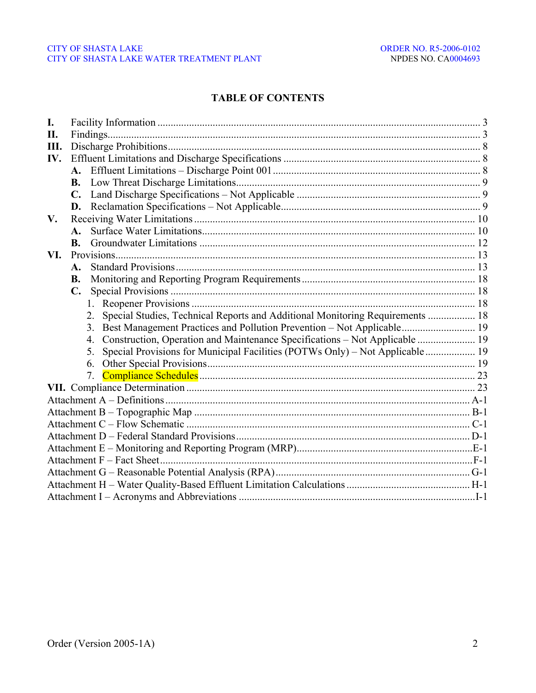## **TABLE OF CONTENTS**

| I.  |                |                                                                                     |  |
|-----|----------------|-------------------------------------------------------------------------------------|--|
| П.  |                |                                                                                     |  |
| Ш.  |                |                                                                                     |  |
| IV. |                |                                                                                     |  |
|     |                |                                                                                     |  |
|     |                |                                                                                     |  |
|     |                |                                                                                     |  |
|     |                |                                                                                     |  |
| V.  |                |                                                                                     |  |
|     | $\mathbf{A}$ . |                                                                                     |  |
|     | $\bf{B}$ .     |                                                                                     |  |
| VI. |                |                                                                                     |  |
|     | A.             |                                                                                     |  |
|     | <b>B.</b>      |                                                                                     |  |
|     | $\mathbf{C}$ . |                                                                                     |  |
|     |                | $1_{-}$                                                                             |  |
|     |                | Special Studies, Technical Reports and Additional Monitoring Requirements  18<br>2. |  |
|     |                | Best Management Practices and Pollution Prevention - Not Applicable 19<br>3.        |  |
|     |                | Construction, Operation and Maintenance Specifications - Not Applicable  19<br>4.   |  |
|     |                | Special Provisions for Municipal Facilities (POTWs Only) - Not Applicable  19<br>5. |  |
|     |                | 6.                                                                                  |  |
|     |                | 7.                                                                                  |  |
|     |                |                                                                                     |  |
|     |                |                                                                                     |  |
|     |                |                                                                                     |  |
|     |                |                                                                                     |  |
|     |                |                                                                                     |  |
|     |                |                                                                                     |  |
|     |                |                                                                                     |  |
|     |                |                                                                                     |  |
|     |                |                                                                                     |  |
|     |                |                                                                                     |  |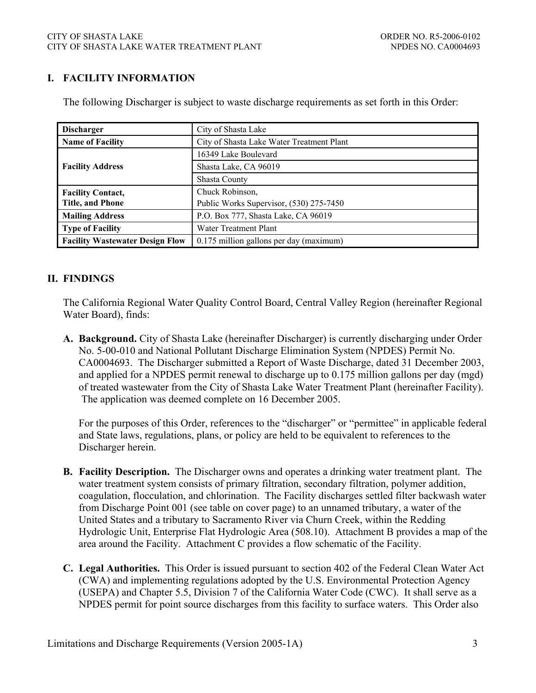# **I. FACILITY INFORMATION**

| <b>Discharger</b>                      | City of Shasta Lake                       |  |  |  |
|----------------------------------------|-------------------------------------------|--|--|--|
| <b>Name of Facility</b>                | City of Shasta Lake Water Treatment Plant |  |  |  |
|                                        | 16349 Lake Boulevard                      |  |  |  |
| <b>Facility Address</b>                | Shasta Lake, CA 96019                     |  |  |  |
|                                        | <b>Shasta County</b>                      |  |  |  |
| <b>Facility Contact,</b>               | Chuck Robinson,                           |  |  |  |
| <b>Title, and Phone</b>                | Public Works Supervisor, (530) 275-7450   |  |  |  |
| <b>Mailing Address</b>                 | P.O. Box 777, Shasta Lake, CA 96019       |  |  |  |
| <b>Type of Facility</b>                | Water Treatment Plant                     |  |  |  |
| <b>Facility Wastewater Design Flow</b> | 0.175 million gallons per day (maximum)   |  |  |  |

The following Discharger is subject to waste discharge requirements as set forth in this Order:

## **II. FINDINGS**

The California Regional Water Quality Control Board, Central Valley Region (hereinafter Regional Water Board), finds:

**A. Background.** City of Shasta Lake (hereinafter Discharger) is currently discharging under Order No. 5-00-010 and National Pollutant Discharge Elimination System (NPDES) Permit No. CA0004693. The Discharger submitted a Report of Waste Discharge, dated 31 December 2003, and applied for a NPDES permit renewal to discharge up to 0.175 million gallons per day (mgd) of treated wastewater from the City of Shasta Lake Water Treatment Plant (hereinafter Facility). The application was deemed complete on 16 December 2005.

For the purposes of this Order, references to the "discharger" or "permittee" in applicable federal and State laws, regulations, plans, or policy are held to be equivalent to references to the Discharger herein.

- **B. Facility Description.** The Discharger owns and operates a drinking water treatment plant. The water treatment system consists of primary filtration, secondary filtration, polymer addition, coagulation, flocculation, and chlorination. The Facility discharges settled filter backwash water from Discharge Point 001 (see table on cover page) to an unnamed tributary, a water of the United States and a tributary to Sacramento River via Churn Creek, within the Redding Hydrologic Unit, Enterprise Flat Hydrologic Area (508.10). Attachment B provides a map of the area around the Facility. Attachment C provides a flow schematic of the Facility.
- **C. Legal Authorities.** This Order is issued pursuant to section 402 of the Federal Clean Water Act (CWA) and implementing regulations adopted by the U.S. Environmental Protection Agency (USEPA) and Chapter 5.5, Division 7 of the California Water Code (CWC). It shall serve as a NPDES permit for point source discharges from this facility to surface waters. This Order also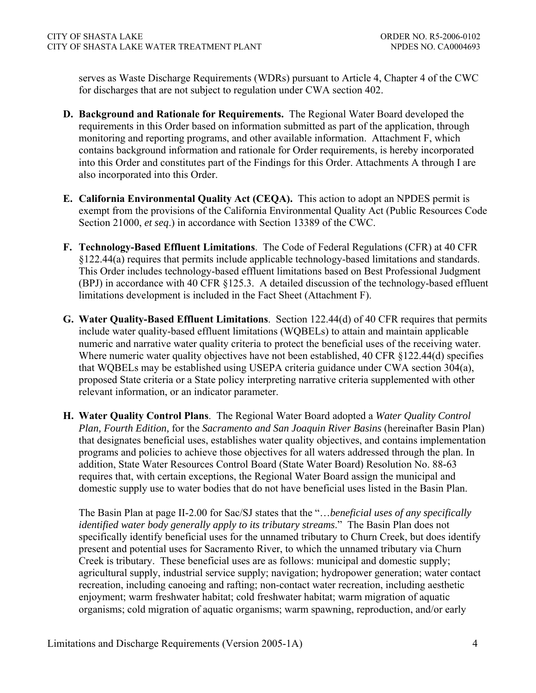serves as Waste Discharge Requirements (WDRs) pursuant to Article 4, Chapter 4 of the CWC for discharges that are not subject to regulation under CWA section 402.

- **D. Background and Rationale for Requirements.** The Regional Water Board developed the requirements in this Order based on information submitted as part of the application, through monitoring and reporting programs, and other available information. Attachment F, which contains background information and rationale for Order requirements, is hereby incorporated into this Order and constitutes part of the Findings for this Order. Attachments A through I are also incorporated into this Order.
- **E. California Environmental Quality Act (CEQA).** This action to adopt an NPDES permit is exempt from the provisions of the California Environmental Quality Act (Public Resources Code Section 21000, *et seq*.) in accordance with Section 13389 of the CWC.
- **F. Technology-Based Effluent Limitations**. The Code of Federal Regulations (CFR) at 40 CFR §122.44(a) requires that permits include applicable technology-based limitations and standards. This Order includes technology-based effluent limitations based on Best Professional Judgment (BPJ) in accordance with 40 CFR §125.3. A detailed discussion of the technology-based effluent limitations development is included in the Fact Sheet (Attachment F).
- **G. Water Quality-Based Effluent Limitations**. Section 122.44(d) of 40 CFR requires that permits include water quality-based effluent limitations (WQBELs) to attain and maintain applicable numeric and narrative water quality criteria to protect the beneficial uses of the receiving water. Where numeric water quality objectives have not been established, 40 CFR §122.44(d) specifies that WQBELs may be established using USEPA criteria guidance under CWA section 304(a), proposed State criteria or a State policy interpreting narrative criteria supplemented with other relevant information, or an indicator parameter.
- **H. Water Quality Control Plans**. The Regional Water Board adopted a *Water Quality Control Plan, Fourth Edition,* for the *Sacramento and San Joaquin River Basins* (hereinafter Basin Plan) that designates beneficial uses, establishes water quality objectives, and contains implementation programs and policies to achieve those objectives for all waters addressed through the plan. In addition, State Water Resources Control Board (State Water Board) Resolution No. 88-63 requires that, with certain exceptions, the Regional Water Board assign the municipal and domestic supply use to water bodies that do not have beneficial uses listed in the Basin Plan.

The Basin Plan at page II-2.00 for Sac/SJ states that the "…*beneficial uses of any specifically identified water body generally apply to its tributary streams*." The Basin Plan does not specifically identify beneficial uses for the unnamed tributary to Churn Creek, but does identify present and potential uses for Sacramento River, to which the unnamed tributary via Churn Creek is tributary. These beneficial uses are as follows: municipal and domestic supply; agricultural supply, industrial service supply; navigation; hydropower generation; water contact recreation, including canoeing and rafting; non-contact water recreation, including aesthetic enjoyment; warm freshwater habitat; cold freshwater habitat; warm migration of aquatic organisms; cold migration of aquatic organisms; warm spawning, reproduction, and/or early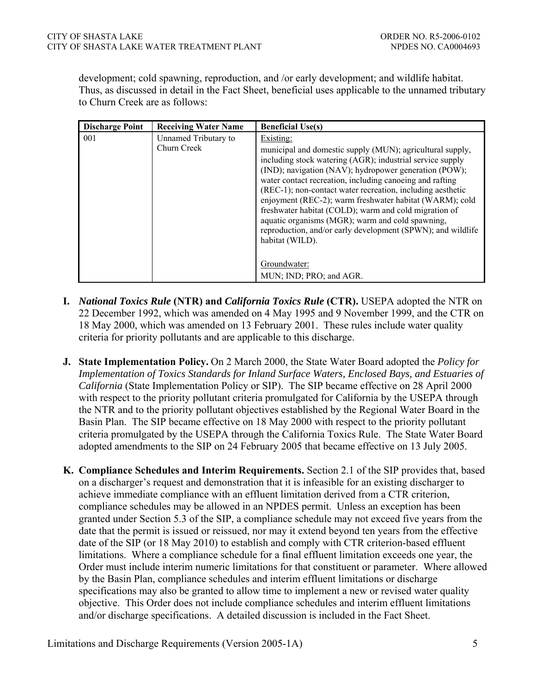development; cold spawning, reproduction, and /or early development; and wildlife habitat. Thus, as discussed in detail in the Fact Sheet, beneficial uses applicable to the unnamed tributary to Churn Creek are as follows:

| <b>Discharge Point</b> | <b>Receiving Water Name</b>         | <b>Beneficial Use(s)</b>                                                                                                                                                                                                                                                                                                                                                                                                                                                                                                                                                                                                    |
|------------------------|-------------------------------------|-----------------------------------------------------------------------------------------------------------------------------------------------------------------------------------------------------------------------------------------------------------------------------------------------------------------------------------------------------------------------------------------------------------------------------------------------------------------------------------------------------------------------------------------------------------------------------------------------------------------------------|
| 001                    | Unnamed Tributary to<br>Churn Creek | Existing:<br>municipal and domestic supply (MUN); agricultural supply,<br>including stock watering (AGR); industrial service supply<br>(IND); navigation (NAV); hydropower generation (POW);<br>water contact recreation, including canoeing and rafting<br>(REC-1); non-contact water recreation, including aesthetic<br>enjoyment (REC-2); warm freshwater habitat (WARM); cold<br>freshwater habitat (COLD); warm and cold migration of<br>aquatic organisms (MGR); warm and cold spawning,<br>reproduction, and/or early development (SPWN); and wildlife<br>habitat (WILD).<br>Groundwater:<br>MUN; IND; PRO; and AGR. |

- **I.** *National Toxics Rule* **(NTR) and** *California Toxics Rule* **(CTR).** USEPA adopted the NTR on 22 December 1992, which was amended on 4 May 1995 and 9 November 1999, and the CTR on 18 May 2000, which was amended on 13 February 2001. These rules include water quality criteria for priority pollutants and are applicable to this discharge.
- **J. State Implementation Policy.** On 2 March 2000, the State Water Board adopted the *Policy for Implementation of Toxics Standards for Inland Surface Waters, Enclosed Bays, and Estuaries of California* (State Implementation Policy or SIP). The SIP became effective on 28 April 2000 with respect to the priority pollutant criteria promulgated for California by the USEPA through the NTR and to the priority pollutant objectives established by the Regional Water Board in the Basin Plan. The SIP became effective on 18 May 2000 with respect to the priority pollutant criteria promulgated by the USEPA through the California Toxics Rule. The State Water Board adopted amendments to the SIP on 24 February 2005 that became effective on 13 July 2005.
- **K. Compliance Schedules and Interim Requirements.** Section 2.1 of the SIP provides that, based on a discharger's request and demonstration that it is infeasible for an existing discharger to achieve immediate compliance with an effluent limitation derived from a CTR criterion, compliance schedules may be allowed in an NPDES permit. Unless an exception has been granted under Section 5.3 of the SIP, a compliance schedule may not exceed five years from the date that the permit is issued or reissued, nor may it extend beyond ten years from the effective date of the SIP (or 18 May 2010) to establish and comply with CTR criterion-based effluent limitations. Where a compliance schedule for a final effluent limitation exceeds one year, the Order must include interim numeric limitations for that constituent or parameter. Where allowed by the Basin Plan, compliance schedules and interim effluent limitations or discharge specifications may also be granted to allow time to implement a new or revised water quality objective. This Order does not include compliance schedules and interim effluent limitations and/or discharge specifications. A detailed discussion is included in the Fact Sheet.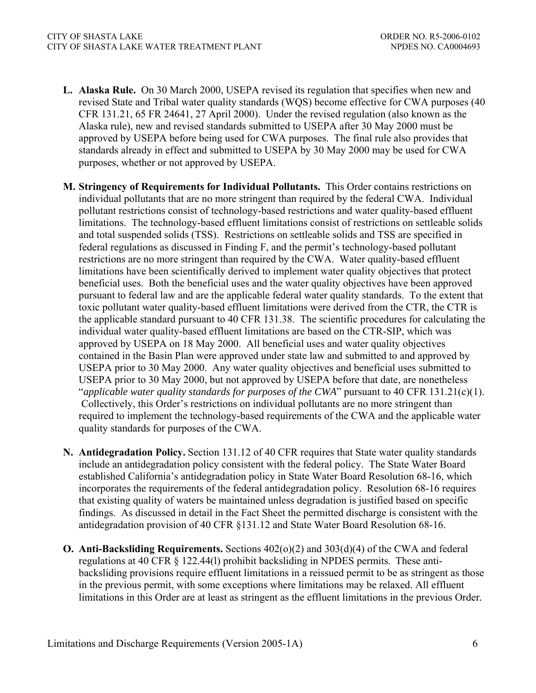- **L. Alaska Rule.** On 30 March 2000, USEPA revised its regulation that specifies when new and revised State and Tribal water quality standards (WQS) become effective for CWA purposes (40 CFR 131.21, 65 FR 24641, 27 April 2000). Under the revised regulation (also known as the Alaska rule), new and revised standards submitted to USEPA after 30 May 2000 must be approved by USEPA before being used for CWA purposes. The final rule also provides that standards already in effect and submitted to USEPA by 30 May 2000 may be used for CWA purposes, whether or not approved by USEPA.
- **M. Stringency of Requirements for Individual Pollutants.** This Order contains restrictions on individual pollutants that are no more stringent than required by the federal CWA. Individual pollutant restrictions consist of technology-based restrictions and water quality-based effluent limitations. The technology-based effluent limitations consist of restrictions on settleable solids and total suspended solids (TSS). Restrictions on settleable solids and TSS are specified in federal regulations as discussed in Finding F, and the permit's technology-based pollutant restrictions are no more stringent than required by the CWA. Water quality-based effluent limitations have been scientifically derived to implement water quality objectives that protect beneficial uses. Both the beneficial uses and the water quality objectives have been approved pursuant to federal law and are the applicable federal water quality standards. To the extent that toxic pollutant water quality-based effluent limitations were derived from the CTR, the CTR is the applicable standard pursuant to 40 CFR 131.38. The scientific procedures for calculating the individual water quality-based effluent limitations are based on the CTR-SIP, which was approved by USEPA on 18 May 2000. All beneficial uses and water quality objectives contained in the Basin Plan were approved under state law and submitted to and approved by USEPA prior to 30 May 2000. Any water quality objectives and beneficial uses submitted to USEPA prior to 30 May 2000, but not approved by USEPA before that date, are nonetheless "*applicable water quality standards for purposes of the CWA*" pursuant to 40 CFR 131.21(c)(1). Collectively, this Order's restrictions on individual pollutants are no more stringent than required to implement the technology-based requirements of the CWA and the applicable water quality standards for purposes of the CWA.
- **N. Antidegradation Policy.** Section 131.12 of 40 CFR requires that State water quality standards include an antidegradation policy consistent with the federal policy. The State Water Board established California's antidegradation policy in State Water Board Resolution 68-16, which incorporates the requirements of the federal antidegradation policy. Resolution 68-16 requires that existing quality of waters be maintained unless degradation is justified based on specific findings. As discussed in detail in the Fact Sheet the permitted discharge is consistent with the antidegradation provision of 40 CFR §131.12 and State Water Board Resolution 68-16.
- **O. Anti-Backsliding Requirements.** Sections 402(o)(2) and 303(d)(4) of the CWA and federal regulations at 40 CFR § 122.44(l) prohibit backsliding in NPDES permits. These antibacksliding provisions require effluent limitations in a reissued permit to be as stringent as those in the previous permit, with some exceptions where limitations may be relaxed. All effluent limitations in this Order are at least as stringent as the effluent limitations in the previous Order*.*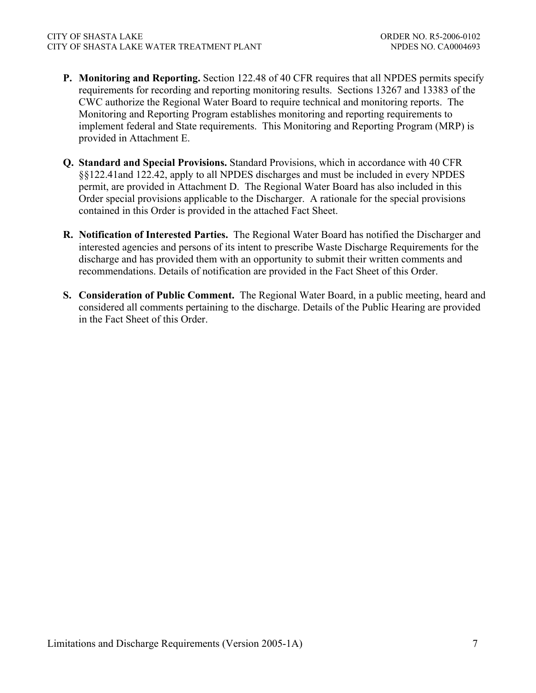- **P. Monitoring and Reporting.** Section 122.48 of 40 CFR requires that all NPDES permits specify requirements for recording and reporting monitoring results. Sections 13267 and 13383 of the CWC authorize the Regional Water Board to require technical and monitoring reports. The Monitoring and Reporting Program establishes monitoring and reporting requirements to implement federal and State requirements. This Monitoring and Reporting Program (MRP) is provided in Attachment E.
- **Q. Standard and Special Provisions.** Standard Provisions, which in accordance with 40 CFR §§122.41and 122.42, apply to all NPDES discharges and must be included in every NPDES permit, are provided in Attachment D. The Regional Water Board has also included in this Order special provisions applicable to the Discharger. A rationale for the special provisions contained in this Order is provided in the attached Fact Sheet.
- **R. Notification of Interested Parties.** The Regional Water Board has notified the Discharger and interested agencies and persons of its intent to prescribe Waste Discharge Requirements for the discharge and has provided them with an opportunity to submit their written comments and recommendations. Details of notification are provided in the Fact Sheet of this Order.
- **S. Consideration of Public Comment.** The Regional Water Board, in a public meeting, heard and considered all comments pertaining to the discharge. Details of the Public Hearing are provided in the Fact Sheet of this Order.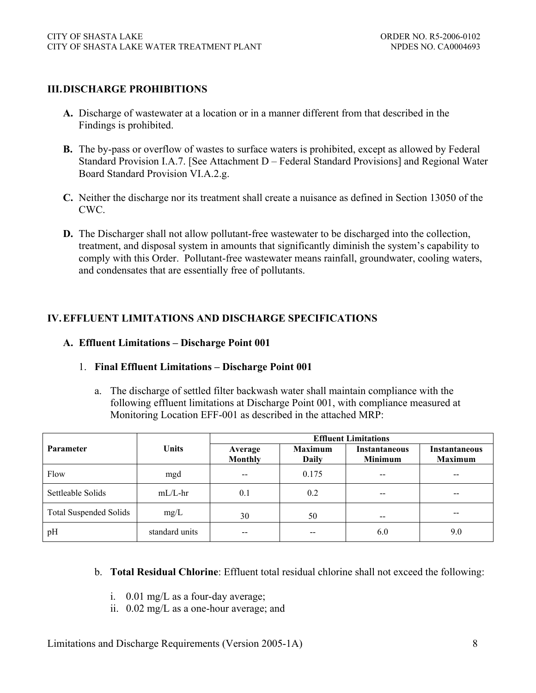## **III. DISCHARGE PROHIBITIONS**

- **A.** Discharge of wastewater at a location or in a manner different from that described in the Findings is prohibited.
- **B.** The by-pass or overflow of wastes to surface waters is prohibited, except as allowed by Federal Standard Provision I.A.7. [See Attachment D – Federal Standard Provisions] and Regional Water Board Standard Provision VI.A.2.g.
- **C.** Neither the discharge nor its treatment shall create a nuisance as defined in Section 13050 of the CWC.
- **D.** The Discharger shall not allow pollutant-free wastewater to be discharged into the collection, treatment, and disposal system in amounts that significantly diminish the system's capability to comply with this Order. Pollutant-free wastewater means rainfall, groundwater, cooling waters, and condensates that are essentially free of pollutants.

### **IV. EFFLUENT LIMITATIONS AND DISCHARGE SPECIFICATIONS**

#### **A. Effluent Limitations – Discharge Point 001**

#### 1. **Final Effluent Limitations – Discharge Point 001**

a. The discharge of settled filter backwash water shall maintain compliance with the following effluent limitations at Discharge Point 001, with compliance measured at Monitoring Location EFF-001 as described in the attached MRP:

|                               |                | <b>Effluent Limitations</b> |                                |                                        |                                        |  |  |
|-------------------------------|----------------|-----------------------------|--------------------------------|----------------------------------------|----------------------------------------|--|--|
| <b>Parameter</b>              | <b>Units</b>   | Average<br>Monthly          | <b>Maximum</b><br><b>Daily</b> | <b>Instantaneous</b><br><b>Minimum</b> | <b>Instantaneous</b><br><b>Maximum</b> |  |  |
| Flow                          | mgd            |                             | 0.175                          | --                                     | --                                     |  |  |
| Settleable Solids             | $mL/L$ -hr     | 0.1                         | 0.2                            | $- -$                                  | $- -$                                  |  |  |
| <b>Total Suspended Solids</b> | mg/L           | 30                          | 50                             | $\overline{\phantom{m}}$               | --                                     |  |  |
| pH                            | standard units |                             |                                | 6.0                                    | 9.0                                    |  |  |

#### b. **Total Residual Chlorine**: Effluent total residual chlorine shall not exceed the following:

- i. 0.01 mg/L as a four-day average;
- ii. 0.02 mg/L as a one-hour average; and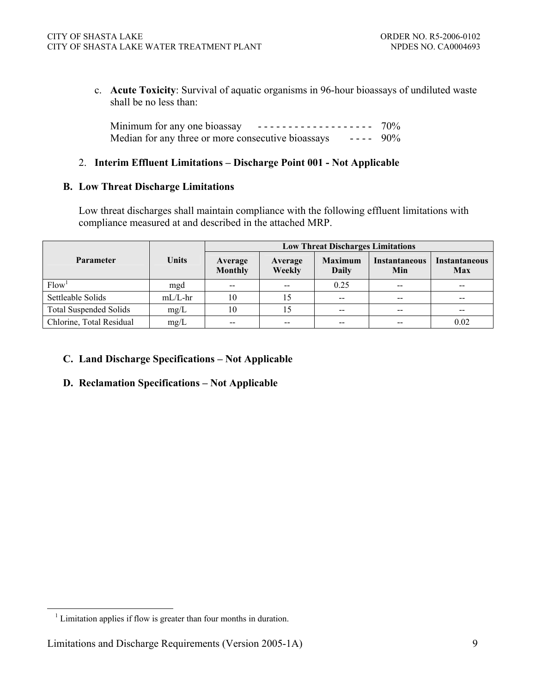c. **Acute Toxicity**: Survival of aquatic organisms in 96-hour bioassays of undiluted waste shall be no less than:

Minimum for any one bioassay  $-$  - - - - - - - - - - - - - - - - - 70% Median for any three or more consecutive bioassays ---- 90%

### 2. **Interim Effluent Limitations – Discharge Point 001 - Not Applicable**

#### **B. Low Threat Discharge Limitations**

Low threat discharges shall maintain compliance with the following effluent limitations with compliance measured at and described in the attached MRP.

|                               |              | <b>Low Threat Discharges Limitations</b> |                   |                                |                             |                                    |  |
|-------------------------------|--------------|------------------------------------------|-------------------|--------------------------------|-----------------------------|------------------------------------|--|
| <b>Parameter</b>              | <b>Units</b> | Average<br><b>Monthly</b>                | Average<br>Weekly | <b>Maximum</b><br><b>Daily</b> | <b>Instantaneous</b><br>Min | <b>Instantaneous</b><br><b>Max</b> |  |
| Flow <sup>1</sup>             | mgd          | $- -$                                    | $\sim$ $-$        | 0.25                           | $- -$                       | $\overline{\phantom{m}}$           |  |
| Settleable Solids             | $mL/L$ -hr   | 10                                       | 15                | --                             | $- -$                       | $- -$                              |  |
| <b>Total Suspended Solids</b> | mg/L         | 10                                       | 15                | $- -$                          | $\overline{\phantom{m}}$    | $\hspace{0.05cm}$                  |  |
| Chlorine, Total Residual      | mg/L         | --                                       | $- -$             | --                             |                             | 0.02                               |  |

## **C. Land Discharge Specifications – Not Applicable**

#### **D. Reclamation Specifications – Not Applicable**

 <sup>1</sup> Limitation applies if flow is greater than four months in duration.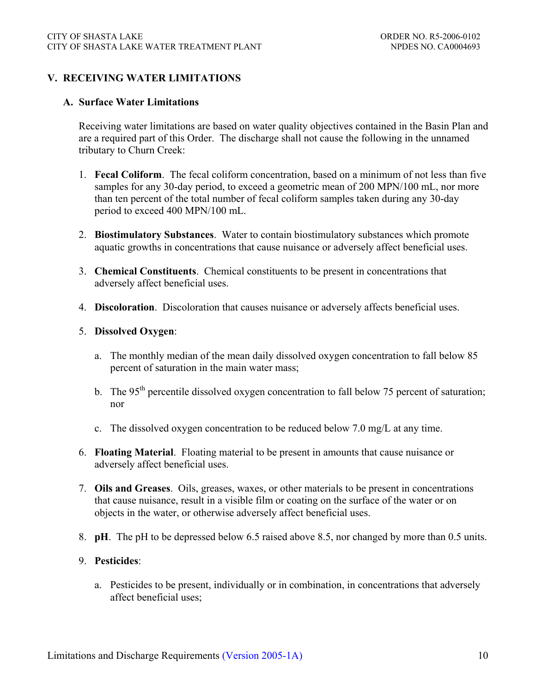### **V. RECEIVING WATER LIMITATIONS**

#### **A. Surface Water Limitations**

Receiving water limitations are based on water quality objectives contained in the Basin Plan and are a required part of this Order. The discharge shall not cause the following in the unnamed tributary to Churn Creek:

- 1. **Fecal Coliform**. The fecal coliform concentration, based on a minimum of not less than five samples for any 30-day period, to exceed a geometric mean of 200 MPN/100 mL, nor more than ten percent of the total number of fecal coliform samples taken during any 30-day period to exceed 400 MPN/100 mL.
- 2. **Biostimulatory Substances**. Water to contain biostimulatory substances which promote aquatic growths in concentrations that cause nuisance or adversely affect beneficial uses.
- 3. **Chemical Constituents**. Chemical constituents to be present in concentrations that adversely affect beneficial uses.
- 4. **Discoloration**. Discoloration that causes nuisance or adversely affects beneficial uses.
- 5. **Dissolved Oxygen**:
	- a. The monthly median of the mean daily dissolved oxygen concentration to fall below 85 percent of saturation in the main water mass;
	- b. The 95<sup>th</sup> percentile dissolved oxygen concentration to fall below 75 percent of saturation; nor
	- c. The dissolved oxygen concentration to be reduced below 7.0 mg/L at any time.
- 6. **Floating Material**. Floating material to be present in amounts that cause nuisance or adversely affect beneficial uses.
- 7. **Oils and Greases**. Oils, greases, waxes, or other materials to be present in concentrations that cause nuisance, result in a visible film or coating on the surface of the water or on objects in the water, or otherwise adversely affect beneficial uses.
- 8. **pH**. The pH to be depressed below 6.5 raised above 8.5, nor changed by more than 0.5 units.

### 9. **Pesticides**:

a. Pesticides to be present, individually or in combination, in concentrations that adversely affect beneficial uses;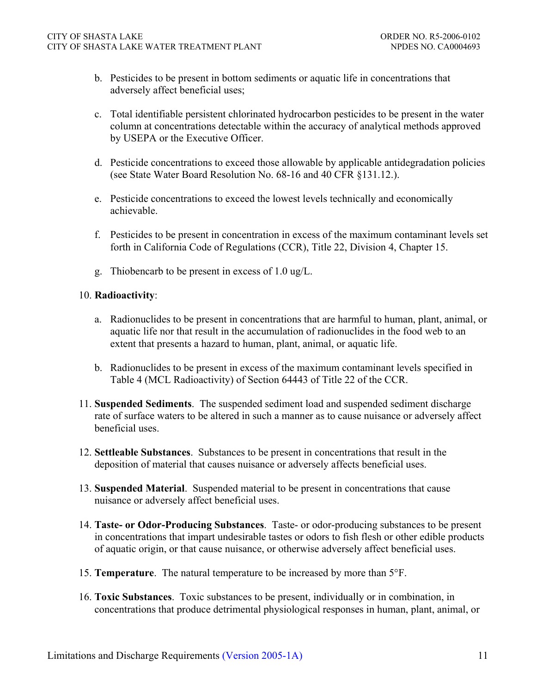- b. Pesticides to be present in bottom sediments or aquatic life in concentrations that adversely affect beneficial uses;
- c. Total identifiable persistent chlorinated hydrocarbon pesticides to be present in the water column at concentrations detectable within the accuracy of analytical methods approved by USEPA or the Executive Officer.
- d. Pesticide concentrations to exceed those allowable by applicable antidegradation policies (see State Water Board Resolution No. 68-16 and 40 CFR §131.12.).
- e. Pesticide concentrations to exceed the lowest levels technically and economically achievable.
- f. Pesticides to be present in concentration in excess of the maximum contaminant levels set forth in California Code of Regulations (CCR), Title 22, Division 4, Chapter 15.
- g. Thiobencarb to be present in excess of 1.0 ug/L.

#### 10. **Radioactivity**:

- a. Radionuclides to be present in concentrations that are harmful to human, plant, animal, or aquatic life nor that result in the accumulation of radionuclides in the food web to an extent that presents a hazard to human, plant, animal, or aquatic life.
- b. Radionuclides to be present in excess of the maximum contaminant levels specified in Table 4 (MCL Radioactivity) of Section 64443 of Title 22 of the CCR.
- 11. **Suspended Sediments**. The suspended sediment load and suspended sediment discharge rate of surface waters to be altered in such a manner as to cause nuisance or adversely affect beneficial uses.
- 12. **Settleable Substances**. Substances to be present in concentrations that result in the deposition of material that causes nuisance or adversely affects beneficial uses.
- 13. **Suspended Material**. Suspended material to be present in concentrations that cause nuisance or adversely affect beneficial uses.
- 14. **Taste- or Odor-Producing Substances**. Taste- or odor-producing substances to be present in concentrations that impart undesirable tastes or odors to fish flesh or other edible products of aquatic origin, or that cause nuisance, or otherwise adversely affect beneficial uses.
- 15. **Temperature**. The natural temperature to be increased by more than 5°F.
- 16. **Toxic Substances**. Toxic substances to be present, individually or in combination, in concentrations that produce detrimental physiological responses in human, plant, animal, or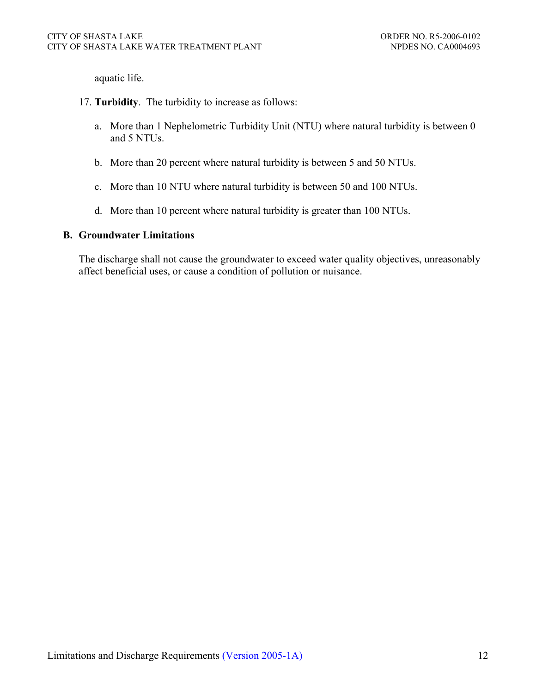aquatic life.

- 17. **Turbidity**. The turbidity to increase as follows:
	- a. More than 1 Nephelometric Turbidity Unit (NTU) where natural turbidity is between 0 and 5 NTUs.
	- b. More than 20 percent where natural turbidity is between 5 and 50 NTUs.
	- c. More than 10 NTU where natural turbidity is between 50 and 100 NTUs.
	- d. More than 10 percent where natural turbidity is greater than 100 NTUs.

#### **B. Groundwater Limitations**

The discharge shall not cause the groundwater to exceed water quality objectives, unreasonably affect beneficial uses, or cause a condition of pollution or nuisance.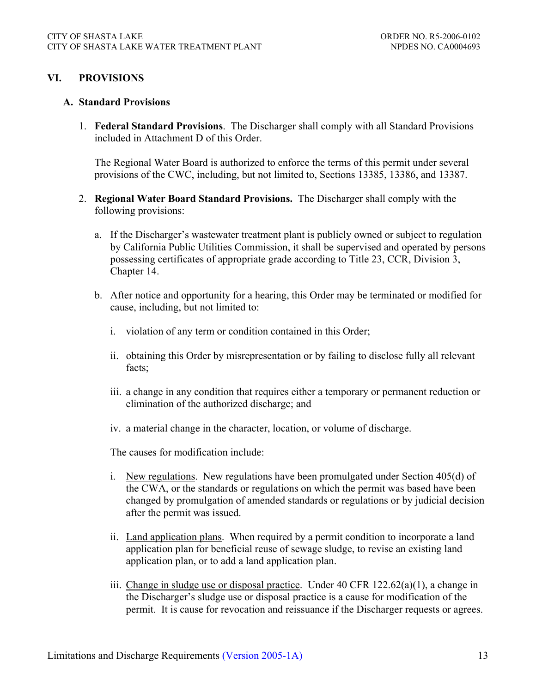#### **VI. PROVISIONS**

#### **A. Standard Provisions**

1. **Federal Standard Provisions**. The Discharger shall comply with all Standard Provisions included in Attachment D of this Order.

The Regional Water Board is authorized to enforce the terms of this permit under several provisions of the CWC, including, but not limited to, Sections 13385, 13386, and 13387.

- 2. **Regional Water Board Standard Provisions.** The Discharger shall comply with the following provisions:
	- a. If the Discharger's wastewater treatment plant is publicly owned or subject to regulation by California Public Utilities Commission, it shall be supervised and operated by persons possessing certificates of appropriate grade according to Title 23, CCR, Division 3, Chapter 14.
	- b. After notice and opportunity for a hearing, this Order may be terminated or modified for cause, including, but not limited to:
		- i. violation of any term or condition contained in this Order;
		- ii. obtaining this Order by misrepresentation or by failing to disclose fully all relevant facts;
		- iii. a change in any condition that requires either a temporary or permanent reduction or elimination of the authorized discharge; and
		- iv. a material change in the character, location, or volume of discharge.

The causes for modification include:

- i. New regulations. New regulations have been promulgated under Section 405(d) of the CWA, or the standards or regulations on which the permit was based have been changed by promulgation of amended standards or regulations or by judicial decision after the permit was issued.
- ii. Land application plans. When required by a permit condition to incorporate a land application plan for beneficial reuse of sewage sludge, to revise an existing land application plan, or to add a land application plan.
- iii. Change in sludge use or disposal practice. Under 40 CFR  $122.62(a)(1)$ , a change in the Discharger's sludge use or disposal practice is a cause for modification of the permit. It is cause for revocation and reissuance if the Discharger requests or agrees.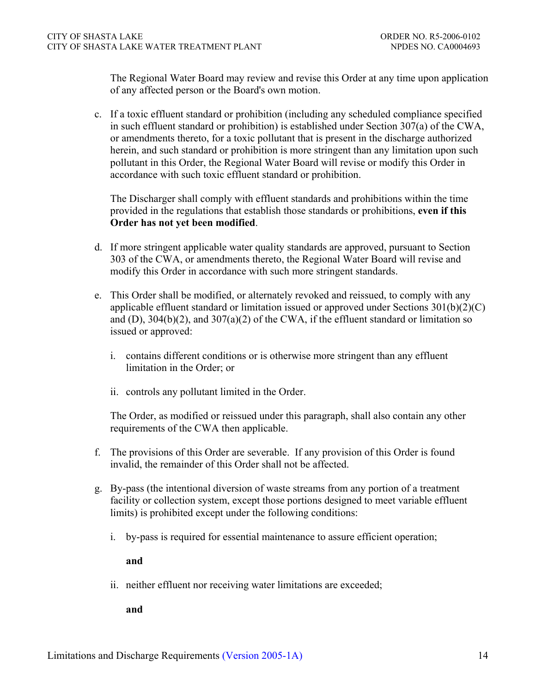The Regional Water Board may review and revise this Order at any time upon application of any affected person or the Board's own motion.

c. If a toxic effluent standard or prohibition (including any scheduled compliance specified in such effluent standard or prohibition) is established under Section 307(a) of the CWA, or amendments thereto, for a toxic pollutant that is present in the discharge authorized herein, and such standard or prohibition is more stringent than any limitation upon such pollutant in this Order, the Regional Water Board will revise or modify this Order in accordance with such toxic effluent standard or prohibition.

The Discharger shall comply with effluent standards and prohibitions within the time provided in the regulations that establish those standards or prohibitions, **even if this Order has not yet been modified**.

- d. If more stringent applicable water quality standards are approved, pursuant to Section 303 of the CWA, or amendments thereto, the Regional Water Board will revise and modify this Order in accordance with such more stringent standards.
- e. This Order shall be modified, or alternately revoked and reissued, to comply with any applicable effluent standard or limitation issued or approved under Sections 301(b)(2)(C) and (D),  $304(b)(2)$ , and  $307(a)(2)$  of the CWA, if the effluent standard or limitation so issued or approved:
	- i. contains different conditions or is otherwise more stringent than any effluent limitation in the Order; or
	- ii. controls any pollutant limited in the Order.

The Order, as modified or reissued under this paragraph, shall also contain any other requirements of the CWA then applicable.

- f. The provisions of this Order are severable. If any provision of this Order is found invalid, the remainder of this Order shall not be affected.
- g. By-pass (the intentional diversion of waste streams from any portion of a treatment facility or collection system, except those portions designed to meet variable effluent limits) is prohibited except under the following conditions:
	- i. by-pass is required for essential maintenance to assure efficient operation;

**and**

ii. neither effluent nor receiving water limitations are exceeded;

**and**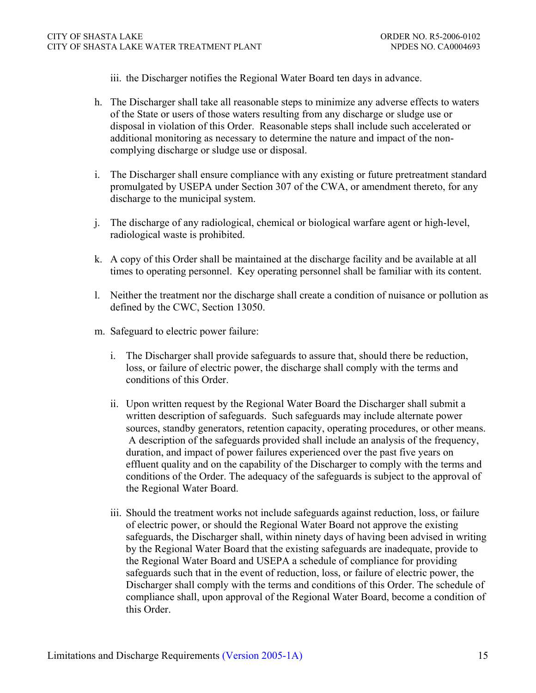iii. the Discharger notifies the Regional Water Board ten days in advance.

- h. The Discharger shall take all reasonable steps to minimize any adverse effects to waters of the State or users of those waters resulting from any discharge or sludge use or disposal in violation of this Order. Reasonable steps shall include such accelerated or additional monitoring as necessary to determine the nature and impact of the noncomplying discharge or sludge use or disposal.
- i. The Discharger shall ensure compliance with any existing or future pretreatment standard promulgated by USEPA under Section 307 of the CWA, or amendment thereto, for any discharge to the municipal system.
- j. The discharge of any radiological, chemical or biological warfare agent or high-level, radiological waste is prohibited.
- k. A copy of this Order shall be maintained at the discharge facility and be available at all times to operating personnel. Key operating personnel shall be familiar with its content.
- l. Neither the treatment nor the discharge shall create a condition of nuisance or pollution as defined by the CWC, Section 13050.
- m. Safeguard to electric power failure:
	- i. The Discharger shall provide safeguards to assure that, should there be reduction, loss, or failure of electric power, the discharge shall comply with the terms and conditions of this Order.
	- ii. Upon written request by the Regional Water Board the Discharger shall submit a written description of safeguards. Such safeguards may include alternate power sources, standby generators, retention capacity, operating procedures, or other means. A description of the safeguards provided shall include an analysis of the frequency, duration, and impact of power failures experienced over the past five years on effluent quality and on the capability of the Discharger to comply with the terms and conditions of the Order. The adequacy of the safeguards is subject to the approval of the Regional Water Board.
	- iii. Should the treatment works not include safeguards against reduction, loss, or failure of electric power, or should the Regional Water Board not approve the existing safeguards, the Discharger shall, within ninety days of having been advised in writing by the Regional Water Board that the existing safeguards are inadequate, provide to the Regional Water Board and USEPA a schedule of compliance for providing safeguards such that in the event of reduction, loss, or failure of electric power, the Discharger shall comply with the terms and conditions of this Order. The schedule of compliance shall, upon approval of the Regional Water Board, become a condition of this Order.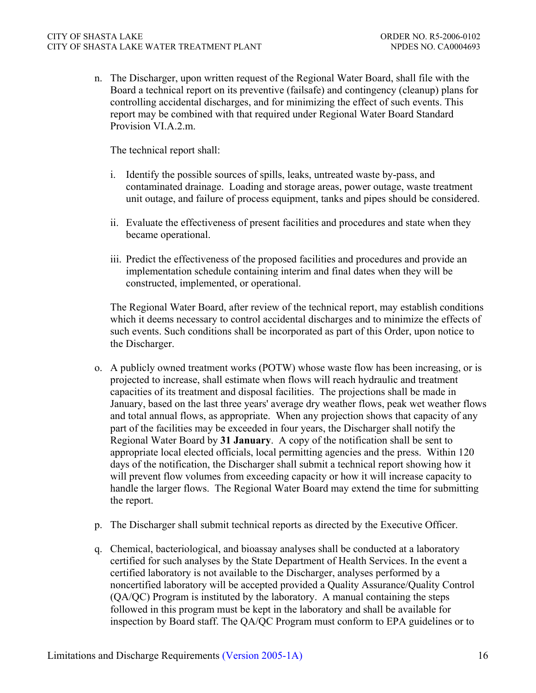n. The Discharger, upon written request of the Regional Water Board, shall file with the Board a technical report on its preventive (failsafe) and contingency (cleanup) plans for controlling accidental discharges, and for minimizing the effect of such events. This report may be combined with that required under Regional Water Board Standard Provision VI.A.2.m.

The technical report shall:

- i. Identify the possible sources of spills, leaks, untreated waste by-pass, and contaminated drainage. Loading and storage areas, power outage, waste treatment unit outage, and failure of process equipment, tanks and pipes should be considered.
- ii. Evaluate the effectiveness of present facilities and procedures and state when they became operational.
- iii. Predict the effectiveness of the proposed facilities and procedures and provide an implementation schedule containing interim and final dates when they will be constructed, implemented, or operational.

The Regional Water Board, after review of the technical report, may establish conditions which it deems necessary to control accidental discharges and to minimize the effects of such events. Such conditions shall be incorporated as part of this Order, upon notice to the Discharger.

- o. A publicly owned treatment works (POTW) whose waste flow has been increasing, or is projected to increase, shall estimate when flows will reach hydraulic and treatment capacities of its treatment and disposal facilities. The projections shall be made in January, based on the last three years' average dry weather flows, peak wet weather flows and total annual flows, as appropriate. When any projection shows that capacity of any part of the facilities may be exceeded in four years, the Discharger shall notify the Regional Water Board by **31 January**. A copy of the notification shall be sent to appropriate local elected officials, local permitting agencies and the press. Within 120 days of the notification, the Discharger shall submit a technical report showing how it will prevent flow volumes from exceeding capacity or how it will increase capacity to handle the larger flows. The Regional Water Board may extend the time for submitting the report.
- p. The Discharger shall submit technical reports as directed by the Executive Officer.
- q. Chemical, bacteriological, and bioassay analyses shall be conducted at a laboratory certified for such analyses by the State Department of Health Services. In the event a certified laboratory is not available to the Discharger, analyses performed by a noncertified laboratory will be accepted provided a Quality Assurance/Quality Control (QA/QC) Program is instituted by the laboratory. A manual containing the steps followed in this program must be kept in the laboratory and shall be available for inspection by Board staff. The QA/QC Program must conform to EPA guidelines or to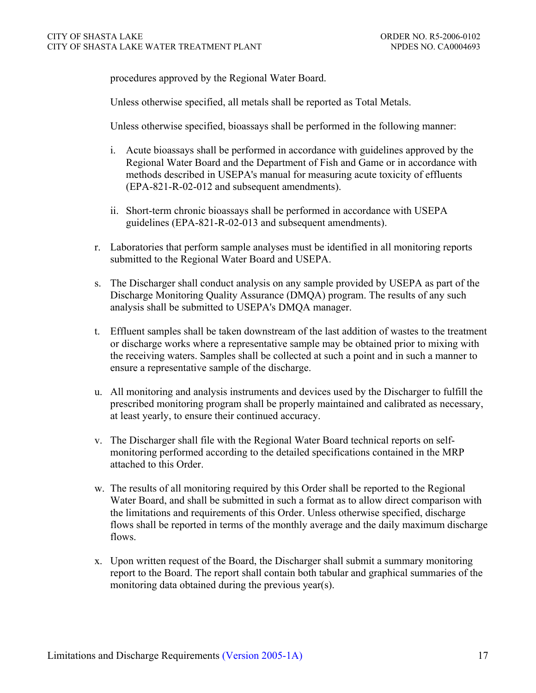procedures approved by the Regional Water Board.

Unless otherwise specified, all metals shall be reported as Total Metals.

Unless otherwise specified, bioassays shall be performed in the following manner:

- i. Acute bioassays shall be performed in accordance with guidelines approved by the Regional Water Board and the Department of Fish and Game or in accordance with methods described in USEPA's manual for measuring acute toxicity of effluents (EPA-821-R-02-012 and subsequent amendments).
- ii. Short-term chronic bioassays shall be performed in accordance with USEPA guidelines (EPA-821-R-02-013 and subsequent amendments).
- r. Laboratories that perform sample analyses must be identified in all monitoring reports submitted to the Regional Water Board and USEPA.
- s. The Discharger shall conduct analysis on any sample provided by USEPA as part of the Discharge Monitoring Quality Assurance (DMQA) program. The results of any such analysis shall be submitted to USEPA's DMQA manager.
- t. Effluent samples shall be taken downstream of the last addition of wastes to the treatment or discharge works where a representative sample may be obtained prior to mixing with the receiving waters. Samples shall be collected at such a point and in such a manner to ensure a representative sample of the discharge.
- u. All monitoring and analysis instruments and devices used by the Discharger to fulfill the prescribed monitoring program shall be properly maintained and calibrated as necessary, at least yearly, to ensure their continued accuracy.
- v. The Discharger shall file with the Regional Water Board technical reports on selfmonitoring performed according to the detailed specifications contained in the MRP attached to this Order.
- w. The results of all monitoring required by this Order shall be reported to the Regional Water Board, and shall be submitted in such a format as to allow direct comparison with the limitations and requirements of this Order. Unless otherwise specified, discharge flows shall be reported in terms of the monthly average and the daily maximum discharge flows.
- x. Upon written request of the Board, the Discharger shall submit a summary monitoring report to the Board. The report shall contain both tabular and graphical summaries of the monitoring data obtained during the previous year(s).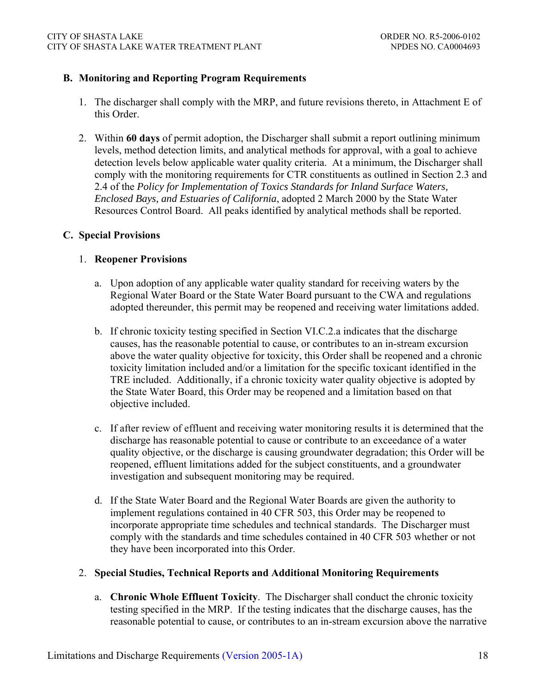### **B. Monitoring and Reporting Program Requirements**

- 1. The discharger shall comply with the MRP, and future revisions thereto, in Attachment E of this Order.
- 2. Within **60 days** of permit adoption, the Discharger shall submit a report outlining minimum levels, method detection limits, and analytical methods for approval, with a goal to achieve detection levels below applicable water quality criteria. At a minimum, the Discharger shall comply with the monitoring requirements for CTR constituents as outlined in Section 2.3 and 2.4 of the *Policy for Implementation of Toxics Standards for Inland Surface Waters, Enclosed Bays, and Estuaries of California*, adopted 2 March 2000 by the State Water Resources Control Board. All peaks identified by analytical methods shall be reported.

#### **C. Special Provisions**

### 1. **Reopener Provisions**

- a. Upon adoption of any applicable water quality standard for receiving waters by the Regional Water Board or the State Water Board pursuant to the CWA and regulations adopted thereunder, this permit may be reopened and receiving water limitations added.
- b. If chronic toxicity testing specified in Section VI.C.2.a indicates that the discharge causes, has the reasonable potential to cause, or contributes to an in-stream excursion above the water quality objective for toxicity, this Order shall be reopened and a chronic toxicity limitation included and/or a limitation for the specific toxicant identified in the TRE included. Additionally, if a chronic toxicity water quality objective is adopted by the State Water Board, this Order may be reopened and a limitation based on that objective included.
- c. If after review of effluent and receiving water monitoring results it is determined that the discharge has reasonable potential to cause or contribute to an exceedance of a water quality objective, or the discharge is causing groundwater degradation; this Order will be reopened, effluent limitations added for the subject constituents, and a groundwater investigation and subsequent monitoring may be required.
- d. If the State Water Board and the Regional Water Boards are given the authority to implement regulations contained in 40 CFR 503, this Order may be reopened to incorporate appropriate time schedules and technical standards. The Discharger must comply with the standards and time schedules contained in 40 CFR 503 whether or not they have been incorporated into this Order.

#### 2. **Special Studies, Technical Reports and Additional Monitoring Requirements**

a. **Chronic Whole Effluent Toxicity**. The Discharger shall conduct the chronic toxicity testing specified in the MRP. If the testing indicates that the discharge causes, has the reasonable potential to cause, or contributes to an in-stream excursion above the narrative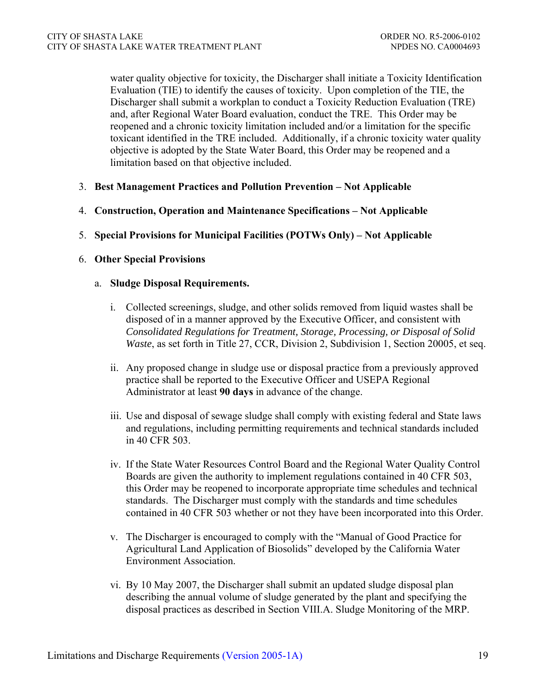water quality objective for toxicity, the Discharger shall initiate a Toxicity Identification Evaluation (TIE) to identify the causes of toxicity. Upon completion of the TIE, the Discharger shall submit a workplan to conduct a Toxicity Reduction Evaluation (TRE) and, after Regional Water Board evaluation, conduct the TRE. This Order may be reopened and a chronic toxicity limitation included and/or a limitation for the specific toxicant identified in the TRE included. Additionally, if a chronic toxicity water quality objective is adopted by the State Water Board, this Order may be reopened and a limitation based on that objective included.

- 3. **Best Management Practices and Pollution Prevention Not Applicable**
- 4. **Construction, Operation and Maintenance Specifications Not Applicable**
- 5. **Special Provisions for Municipal Facilities (POTWs Only) Not Applicable**

#### 6. **Other Special Provisions**

#### a. **Sludge Disposal Requirements.**

- i. Collected screenings, sludge, and other solids removed from liquid wastes shall be disposed of in a manner approved by the Executive Officer, and consistent with *Consolidated Regulations for Treatment, Storage, Processing, or Disposal of Solid Waste*, as set forth in Title 27, CCR, Division 2, Subdivision 1, Section 20005, et seq.
- ii. Any proposed change in sludge use or disposal practice from a previously approved practice shall be reported to the Executive Officer and USEPA Regional Administrator at least **90 days** in advance of the change.
- iii. Use and disposal of sewage sludge shall comply with existing federal and State laws and regulations, including permitting requirements and technical standards included in 40 CFR 503.
- iv. If the State Water Resources Control Board and the Regional Water Quality Control Boards are given the authority to implement regulations contained in 40 CFR 503, this Order may be reopened to incorporate appropriate time schedules and technical standards. The Discharger must comply with the standards and time schedules contained in 40 CFR 503 whether or not they have been incorporated into this Order.
- v. The Discharger is encouraged to comply with the "Manual of Good Practice for Agricultural Land Application of Biosolids" developed by the California Water Environment Association.
- vi. By 10 May 2007, the Discharger shall submit an updated sludge disposal plan describing the annual volume of sludge generated by the plant and specifying the disposal practices as described in Section VIII.A. Sludge Monitoring of the MRP.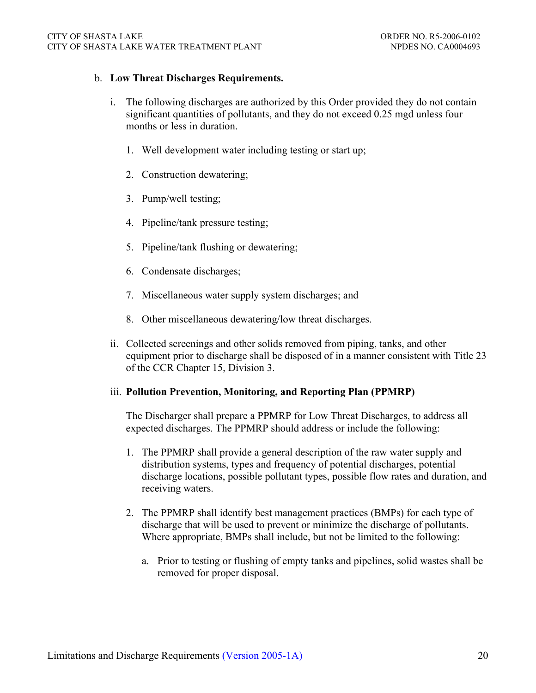#### b. **Low Threat Discharges Requirements.**

- i. The following discharges are authorized by this Order provided they do not contain significant quantities of pollutants, and they do not exceed 0.25 mgd unless four months or less in duration.
	- 1. Well development water including testing or start up;
	- 2. Construction dewatering;
	- 3. Pump/well testing;
	- 4. Pipeline/tank pressure testing;
	- 5. Pipeline/tank flushing or dewatering;
	- 6. Condensate discharges;
	- 7. Miscellaneous water supply system discharges; and
	- 8. Other miscellaneous dewatering/low threat discharges.
- ii. Collected screenings and other solids removed from piping, tanks, and other equipment prior to discharge shall be disposed of in a manner consistent with Title 23 of the CCR Chapter 15, Division 3.

### iii. **Pollution Prevention, Monitoring, and Reporting Plan (PPMRP)**

The Discharger shall prepare a PPMRP for Low Threat Discharges, to address all expected discharges. The PPMRP should address or include the following:

- 1. The PPMRP shall provide a general description of the raw water supply and distribution systems, types and frequency of potential discharges, potential discharge locations, possible pollutant types, possible flow rates and duration, and receiving waters.
- 2. The PPMRP shall identify best management practices (BMPs) for each type of discharge that will be used to prevent or minimize the discharge of pollutants. Where appropriate, BMPs shall include, but not be limited to the following:
	- a. Prior to testing or flushing of empty tanks and pipelines, solid wastes shall be removed for proper disposal.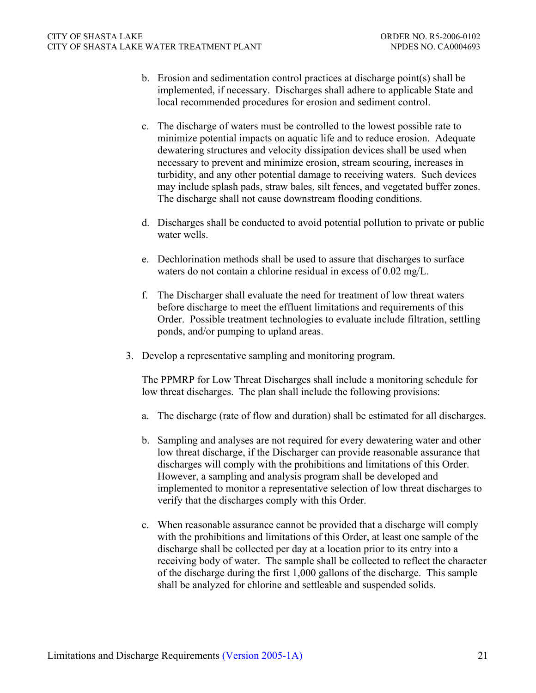- b. Erosion and sedimentation control practices at discharge point(s) shall be implemented, if necessary. Discharges shall adhere to applicable State and local recommended procedures for erosion and sediment control.
- c. The discharge of waters must be controlled to the lowest possible rate to minimize potential impacts on aquatic life and to reduce erosion. Adequate dewatering structures and velocity dissipation devices shall be used when necessary to prevent and minimize erosion, stream scouring, increases in turbidity, and any other potential damage to receiving waters. Such devices may include splash pads, straw bales, silt fences, and vegetated buffer zones. The discharge shall not cause downstream flooding conditions.
- d. Discharges shall be conducted to avoid potential pollution to private or public water wells.
- e. Dechlorination methods shall be used to assure that discharges to surface waters do not contain a chlorine residual in excess of 0.02 mg/L.
- f. The Discharger shall evaluate the need for treatment of low threat waters before discharge to meet the effluent limitations and requirements of this Order. Possible treatment technologies to evaluate include filtration, settling ponds, and/or pumping to upland areas.
- 3. Develop a representative sampling and monitoring program.

The PPMRP for Low Threat Discharges shall include a monitoring schedule for low threat discharges. The plan shall include the following provisions:

- a. The discharge (rate of flow and duration) shall be estimated for all discharges.
- b. Sampling and analyses are not required for every dewatering water and other low threat discharge, if the Discharger can provide reasonable assurance that discharges will comply with the prohibitions and limitations of this Order. However, a sampling and analysis program shall be developed and implemented to monitor a representative selection of low threat discharges to verify that the discharges comply with this Order.
- c. When reasonable assurance cannot be provided that a discharge will comply with the prohibitions and limitations of this Order, at least one sample of the discharge shall be collected per day at a location prior to its entry into a receiving body of water. The sample shall be collected to reflect the character of the discharge during the first 1,000 gallons of the discharge. This sample shall be analyzed for chlorine and settleable and suspended solids.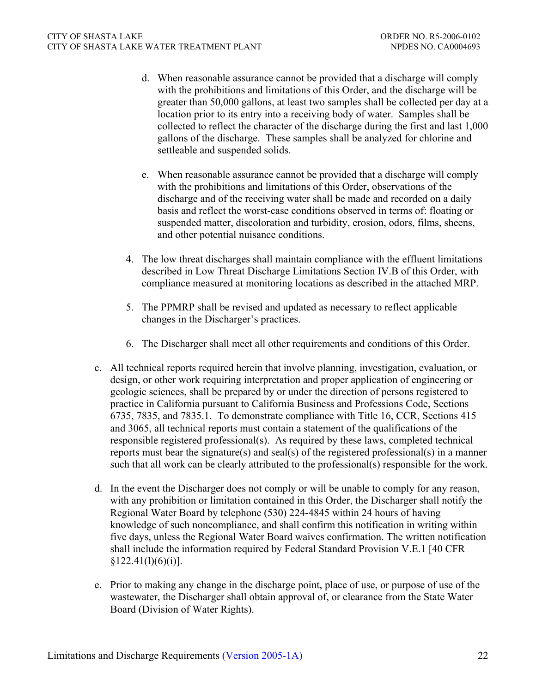- d. When reasonable assurance cannot be provided that a discharge will comply with the prohibitions and limitations of this Order, and the discharge will be greater than 50,000 gallons, at least two samples shall be collected per day at a location prior to its entry into a receiving body of water. Samples shall be collected to reflect the character of the discharge during the first and last 1,000 gallons of the discharge. These samples shall be analyzed for chlorine and settleable and suspended solids.
- e. When reasonable assurance cannot be provided that a discharge will comply with the prohibitions and limitations of this Order, observations of the discharge and of the receiving water shall be made and recorded on a daily basis and reflect the worst-case conditions observed in terms of: floating or suspended matter, discoloration and turbidity, erosion, odors, films, sheens, and other potential nuisance conditions.
- 4. The low threat discharges shall maintain compliance with the effluent limitations described in Low Threat Discharge Limitations Section IV.B of this Order, with compliance measured at monitoring locations as described in the attached MRP.
- 5. The PPMRP shall be revised and updated as necessary to reflect applicable changes in the Discharger's practices.
- 6. The Discharger shall meet all other requirements and conditions of this Order.
- c. All technical reports required herein that involve planning, investigation, evaluation, or design, or other work requiring interpretation and proper application of engineering or geologic sciences, shall be prepared by or under the direction of persons registered to practice in California pursuant to California Business and Professions Code, Sections 6735, 7835, and 7835.1. To demonstrate compliance with Title 16, CCR, Sections 415 and 3065, all technical reports must contain a statement of the qualifications of the responsible registered professional(s). As required by these laws, completed technical reports must bear the signature(s) and seal(s) of the registered professional(s) in a manner such that all work can be clearly attributed to the professional(s) responsible for the work.
- d. In the event the Discharger does not comply or will be unable to comply for any reason, with any prohibition or limitation contained in this Order, the Discharger shall notify the Regional Water Board by telephone (530) 224-4845 within 24 hours of having knowledge of such noncompliance, and shall confirm this notification in writing within five days, unless the Regional Water Board waives confirmation. The written notification shall include the information required by Federal Standard Provision V.E.1 [40 CFR  $§122.41(1)(6)(i)].$
- e. Prior to making any change in the discharge point, place of use, or purpose of use of the wastewater, the Discharger shall obtain approval of, or clearance from the State Water Board (Division of Water Rights).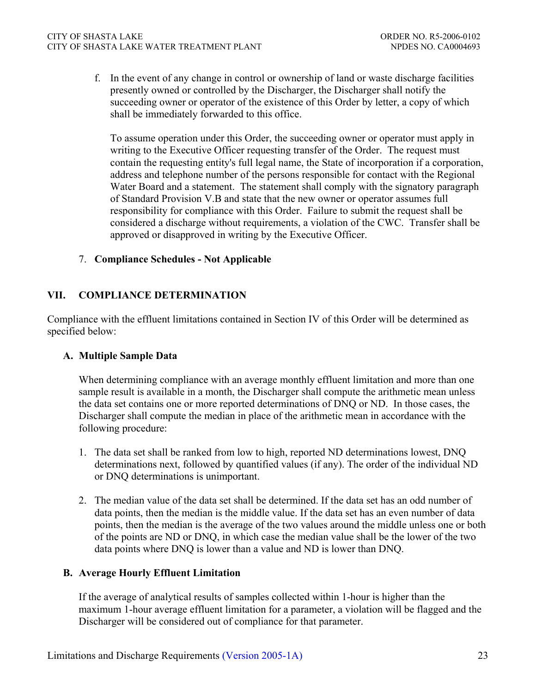f. In the event of any change in control or ownership of land or waste discharge facilities presently owned or controlled by the Discharger, the Discharger shall notify the succeeding owner or operator of the existence of this Order by letter, a copy of which shall be immediately forwarded to this office.

To assume operation under this Order, the succeeding owner or operator must apply in writing to the Executive Officer requesting transfer of the Order. The request must contain the requesting entity's full legal name, the State of incorporation if a corporation, address and telephone number of the persons responsible for contact with the Regional Water Board and a statement. The statement shall comply with the signatory paragraph of Standard Provision V.B and state that the new owner or operator assumes full responsibility for compliance with this Order. Failure to submit the request shall be considered a discharge without requirements, a violation of the CWC. Transfer shall be approved or disapproved in writing by the Executive Officer.

## 7. **Compliance Schedules - Not Applicable**

## **VII. COMPLIANCE DETERMINATION**

Compliance with the effluent limitations contained in Section IV of this Order will be determined as specified below:

## **A. Multiple Sample Data**

When determining compliance with an average monthly effluent limitation and more than one sample result is available in a month, the Discharger shall compute the arithmetic mean unless the data set contains one or more reported determinations of DNQ or ND. In those cases, the Discharger shall compute the median in place of the arithmetic mean in accordance with the following procedure:

- 1. The data set shall be ranked from low to high, reported ND determinations lowest, DNQ determinations next, followed by quantified values (if any). The order of the individual ND or DNQ determinations is unimportant.
- 2. The median value of the data set shall be determined. If the data set has an odd number of data points, then the median is the middle value. If the data set has an even number of data points, then the median is the average of the two values around the middle unless one or both of the points are ND or DNQ, in which case the median value shall be the lower of the two data points where DNQ is lower than a value and ND is lower than DNQ.

## **B. Average Hourly Effluent Limitation**

If the average of analytical results of samples collected within 1-hour is higher than the maximum 1-hour average effluent limitation for a parameter, a violation will be flagged and the Discharger will be considered out of compliance for that parameter.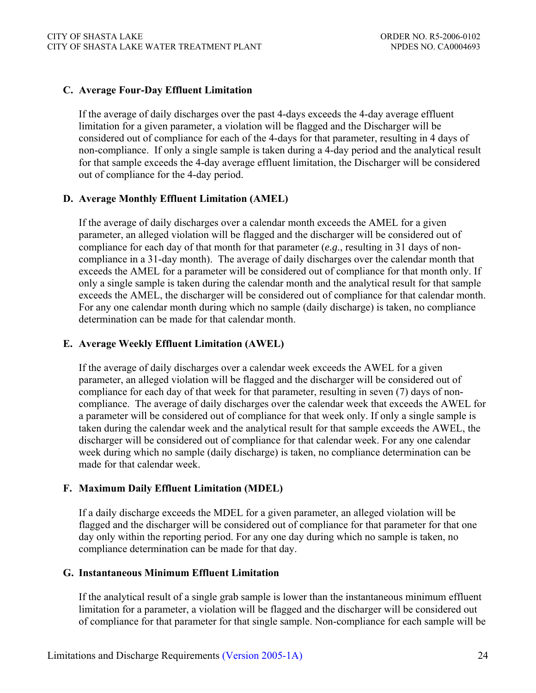### **C. Average Four-Day Effluent Limitation**

If the average of daily discharges over the past 4-days exceeds the 4-day average effluent limitation for a given parameter, a violation will be flagged and the Discharger will be considered out of compliance for each of the 4-days for that parameter, resulting in 4 days of non-compliance. If only a single sample is taken during a 4-day period and the analytical result for that sample exceeds the 4-day average effluent limitation, the Discharger will be considered out of compliance for the 4-day period.

#### **D. Average Monthly Effluent Limitation (AMEL)**

If the average of daily discharges over a calendar month exceeds the AMEL for a given parameter, an alleged violation will be flagged and the discharger will be considered out of compliance for each day of that month for that parameter (*e.g*., resulting in 31 days of noncompliance in a 31-day month). The average of daily discharges over the calendar month that exceeds the AMEL for a parameter will be considered out of compliance for that month only. If only a single sample is taken during the calendar month and the analytical result for that sample exceeds the AMEL, the discharger will be considered out of compliance for that calendar month. For any one calendar month during which no sample (daily discharge) is taken, no compliance determination can be made for that calendar month.

### **E. Average Weekly Effluent Limitation (AWEL)**

If the average of daily discharges over a calendar week exceeds the AWEL for a given parameter, an alleged violation will be flagged and the discharger will be considered out of compliance for each day of that week for that parameter, resulting in seven (7) days of noncompliance. The average of daily discharges over the calendar week that exceeds the AWEL for a parameter will be considered out of compliance for that week only. If only a single sample is taken during the calendar week and the analytical result for that sample exceeds the AWEL, the discharger will be considered out of compliance for that calendar week. For any one calendar week during which no sample (daily discharge) is taken, no compliance determination can be made for that calendar week

## **F. Maximum Daily Effluent Limitation (MDEL)**

If a daily discharge exceeds the MDEL for a given parameter, an alleged violation will be flagged and the discharger will be considered out of compliance for that parameter for that one day only within the reporting period. For any one day during which no sample is taken, no compliance determination can be made for that day.

#### **G. Instantaneous Minimum Effluent Limitation**

If the analytical result of a single grab sample is lower than the instantaneous minimum effluent limitation for a parameter, a violation will be flagged and the discharger will be considered out of compliance for that parameter for that single sample. Non-compliance for each sample will be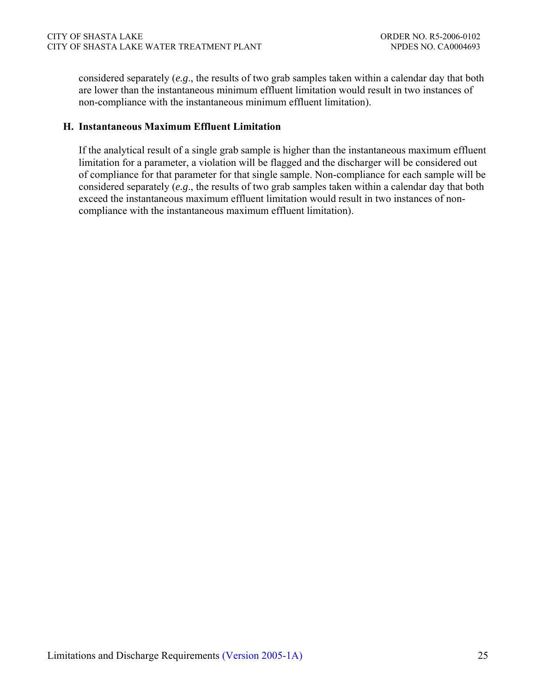considered separately (*e.g*., the results of two grab samples taken within a calendar day that both are lower than the instantaneous minimum effluent limitation would result in two instances of non-compliance with the instantaneous minimum effluent limitation).

## **H. Instantaneous Maximum Effluent Limitation**

If the analytical result of a single grab sample is higher than the instantaneous maximum effluent limitation for a parameter, a violation will be flagged and the discharger will be considered out of compliance for that parameter for that single sample. Non-compliance for each sample will be considered separately (*e.g*., the results of two grab samples taken within a calendar day that both exceed the instantaneous maximum effluent limitation would result in two instances of noncompliance with the instantaneous maximum effluent limitation).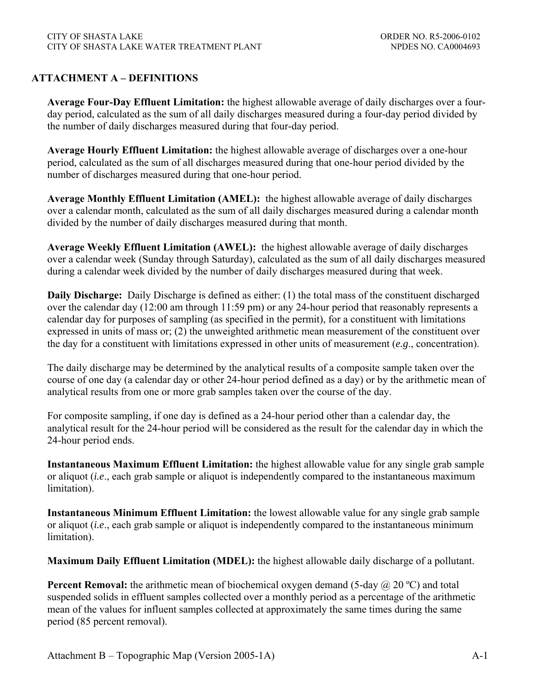## **ATTACHMENT A – DEFINITIONS**

**Average Four-Day Effluent Limitation:** the highest allowable average of daily discharges over a fourday period, calculated as the sum of all daily discharges measured during a four-day period divided by the number of daily discharges measured during that four-day period.

**Average Hourly Effluent Limitation:** the highest allowable average of discharges over a one-hour period, calculated as the sum of all discharges measured during that one-hour period divided by the number of discharges measured during that one-hour period.

**Average Monthly Effluent Limitation (AMEL):** the highest allowable average of daily discharges over a calendar month, calculated as the sum of all daily discharges measured during a calendar month divided by the number of daily discharges measured during that month.

**Average Weekly Effluent Limitation (AWEL):** the highest allowable average of daily discharges over a calendar week (Sunday through Saturday), calculated as the sum of all daily discharges measured during a calendar week divided by the number of daily discharges measured during that week.

**Daily Discharge:** Daily Discharge is defined as either: (1) the total mass of the constituent discharged over the calendar day (12:00 am through 11:59 pm) or any 24-hour period that reasonably represents a calendar day for purposes of sampling (as specified in the permit), for a constituent with limitations expressed in units of mass or; (2) the unweighted arithmetic mean measurement of the constituent over the day for a constituent with limitations expressed in other units of measurement (*e.g*., concentration).

The daily discharge may be determined by the analytical results of a composite sample taken over the course of one day (a calendar day or other 24-hour period defined as a day) or by the arithmetic mean of analytical results from one or more grab samples taken over the course of the day.

For composite sampling, if one day is defined as a 24-hour period other than a calendar day, the analytical result for the 24-hour period will be considered as the result for the calendar day in which the 24-hour period ends.

**Instantaneous Maximum Effluent Limitation:** the highest allowable value for any single grab sample or aliquot (*i.e*., each grab sample or aliquot is independently compared to the instantaneous maximum limitation).

**Instantaneous Minimum Effluent Limitation:** the lowest allowable value for any single grab sample or aliquot (*i.e*., each grab sample or aliquot is independently compared to the instantaneous minimum limitation).

**Maximum Daily Effluent Limitation (MDEL):** the highest allowable daily discharge of a pollutant.

**Percent Removal:** the arithmetic mean of biochemical oxygen demand (5-day @ 20 °C) and total suspended solids in effluent samples collected over a monthly period as a percentage of the arithmetic mean of the values for influent samples collected at approximately the same times during the same period (85 percent removal).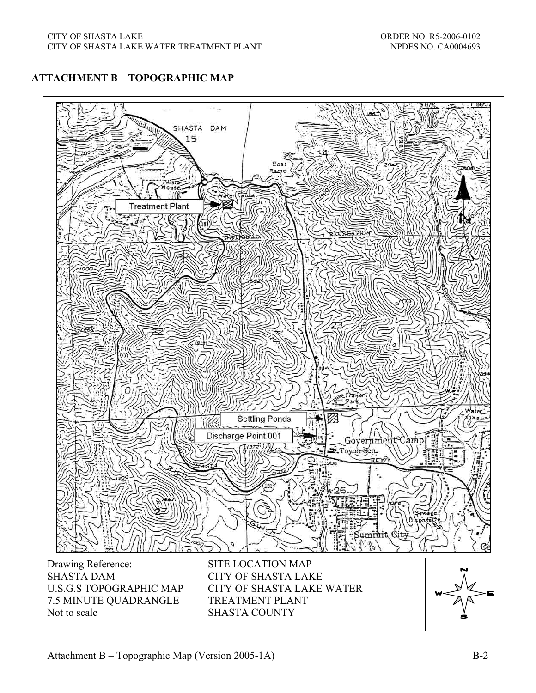# **ATTACHMENT B – TOPOGRAPHIC MAP**

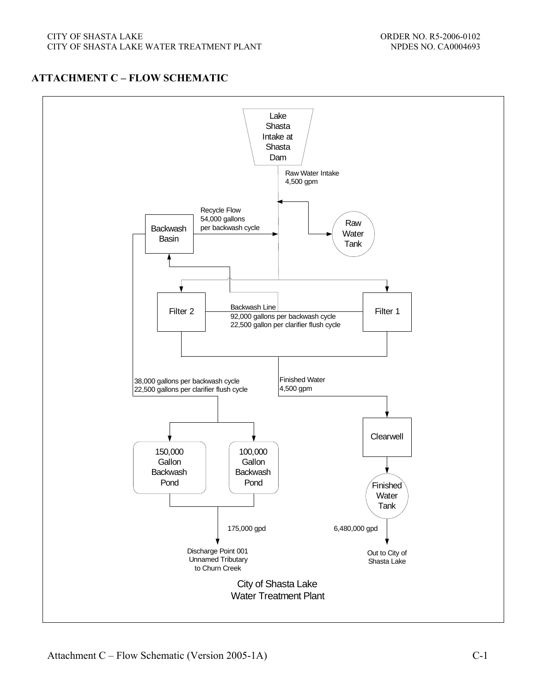# **ATTACHMENT C – FLOW SCHEMATIC**

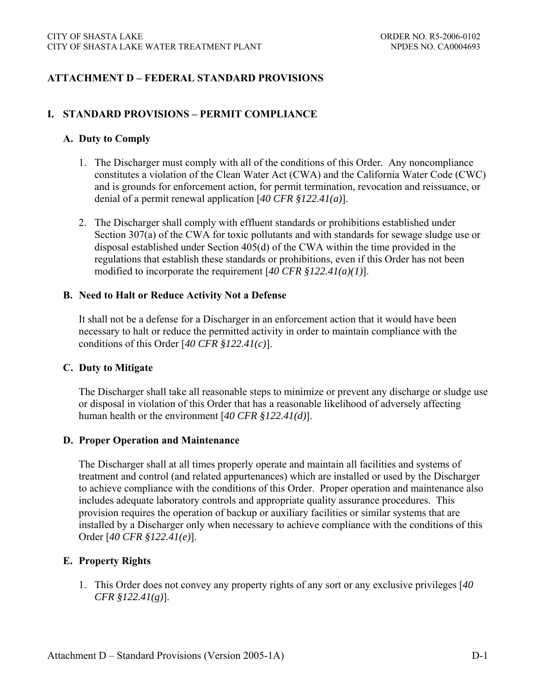## **ATTACHMENT D – FEDERAL STANDARD PROVISIONS**

### **I. STANDARD PROVISIONS – PERMIT COMPLIANCE**

#### **A. Duty to Comply**

- 1. The Discharger must comply with all of the conditions of this Order. Any noncompliance constitutes a violation of the Clean Water Act (CWA) and the California Water Code (CWC) and is grounds for enforcement action, for permit termination, revocation and reissuance, or denial of a permit renewal application [*40 CFR §122.41(a)*].
- 2. The Discharger shall comply with effluent standards or prohibitions established under Section 307(a) of the CWA for toxic pollutants and with standards for sewage sludge use or disposal established under Section 405(d) of the CWA within the time provided in the regulations that establish these standards or prohibitions, even if this Order has not been modified to incorporate the requirement [*40 CFR §122.41(a)(1)*].

#### **B. Need to Halt or Reduce Activity Not a Defense**

It shall not be a defense for a Discharger in an enforcement action that it would have been necessary to halt or reduce the permitted activity in order to maintain compliance with the conditions of this Order [*40 CFR §122.41(c)*].

#### **C. Duty to Mitigate**

The Discharger shall take all reasonable steps to minimize or prevent any discharge or sludge use or disposal in violation of this Order that has a reasonable likelihood of adversely affecting human health or the environment [*40 CFR §122.41(d)*].

### **D. Proper Operation and Maintenance**

The Discharger shall at all times properly operate and maintain all facilities and systems of treatment and control (and related appurtenances) which are installed or used by the Discharger to achieve compliance with the conditions of this Order. Proper operation and maintenance also includes adequate laboratory controls and appropriate quality assurance procedures. This provision requires the operation of backup or auxiliary facilities or similar systems that are installed by a Discharger only when necessary to achieve compliance with the conditions of this Order [*40 CFR §122.41(e)*].

#### **E. Property Rights**

1. This Order does not convey any property rights of any sort or any exclusive privileges [*40 CFR §122.41(g)*].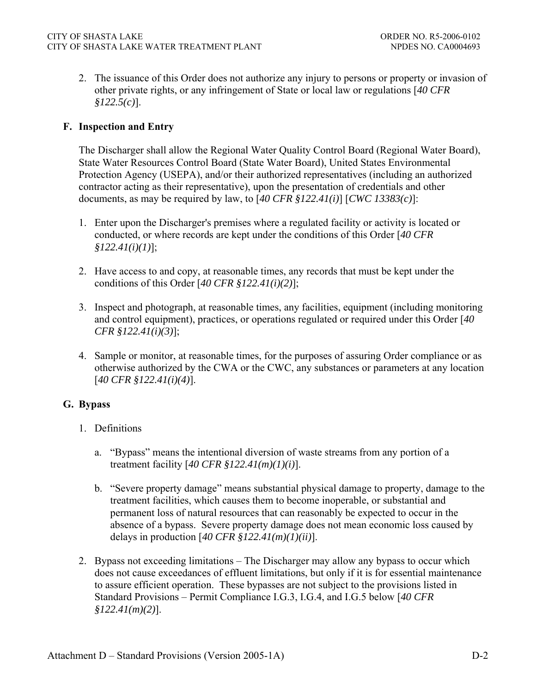2. The issuance of this Order does not authorize any injury to persons or property or invasion of other private rights, or any infringement of State or local law or regulations [*40 CFR §122.5(c)*].

## **F. Inspection and Entry**

The Discharger shall allow the Regional Water Quality Control Board (Regional Water Board), State Water Resources Control Board (State Water Board), United States Environmental Protection Agency (USEPA), and/or their authorized representatives (including an authorized contractor acting as their representative), upon the presentation of credentials and other documents, as may be required by law, to [*40 CFR §122.41(i)*] [*CWC 13383(c)*]:

- 1. Enter upon the Discharger's premises where a regulated facility or activity is located or conducted, or where records are kept under the conditions of this Order [*40 CFR §122.41(i)(1)*];
- 2. Have access to and copy, at reasonable times, any records that must be kept under the conditions of this Order [*40 CFR §122.41(i)(2)*];
- 3. Inspect and photograph, at reasonable times, any facilities, equipment (including monitoring and control equipment), practices, or operations regulated or required under this Order [*40 CFR §122.41(i)(3)*];
- 4. Sample or monitor, at reasonable times, for the purposes of assuring Order compliance or as otherwise authorized by the CWA or the CWC, any substances or parameters at any location [*40 CFR §122.41(i)(4)*].

# **G. Bypass**

- 1. Definitions
	- a. "Bypass" means the intentional diversion of waste streams from any portion of a treatment facility [*40 CFR §122.41(m)(1)(i)*].
	- b. "Severe property damage" means substantial physical damage to property, damage to the treatment facilities, which causes them to become inoperable, or substantial and permanent loss of natural resources that can reasonably be expected to occur in the absence of a bypass. Severe property damage does not mean economic loss caused by delays in production [*40 CFR §122.41(m)(1)(ii)*].
- 2. Bypass not exceeding limitations The Discharger may allow any bypass to occur which does not cause exceedances of effluent limitations, but only if it is for essential maintenance to assure efficient operation. These bypasses are not subject to the provisions listed in Standard Provisions – Permit Compliance I.G.3, I.G.4, and I.G.5 below [*40 CFR §122.41(m)(2)*].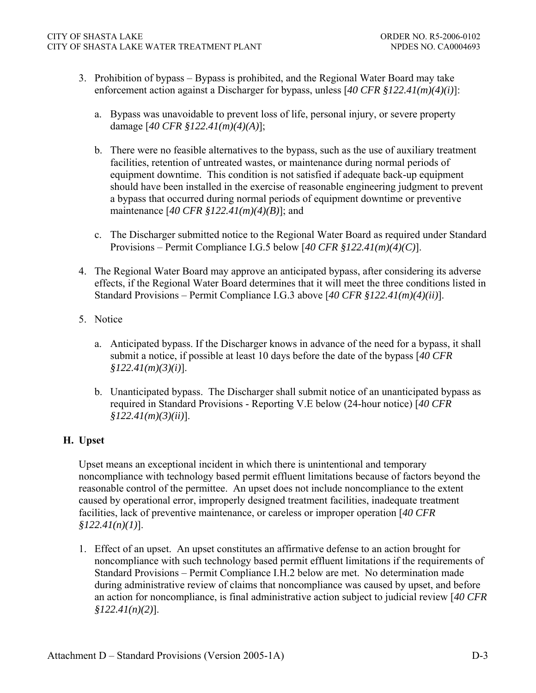- 3. Prohibition of bypass Bypass is prohibited, and the Regional Water Board may take enforcement action against a Discharger for bypass, unless [*40 CFR §122.41(m)(4)(i)*]:
	- a. Bypass was unavoidable to prevent loss of life, personal injury, or severe property damage [*40 CFR §122.41(m)(4)(A)*];
	- b. There were no feasible alternatives to the bypass, such as the use of auxiliary treatment facilities, retention of untreated wastes, or maintenance during normal periods of equipment downtime. This condition is not satisfied if adequate back-up equipment should have been installed in the exercise of reasonable engineering judgment to prevent a bypass that occurred during normal periods of equipment downtime or preventive maintenance [*40 CFR §122.41(m)(4)(B)*]; and
	- c. The Discharger submitted notice to the Regional Water Board as required under Standard Provisions – Permit Compliance I.G.5 below [*40 CFR §122.41(m)(4)(C)*].
- 4. The Regional Water Board may approve an anticipated bypass, after considering its adverse effects, if the Regional Water Board determines that it will meet the three conditions listed in Standard Provisions – Permit Compliance I.G.3 above [*40 CFR §122.41(m)(4)(ii)*].
- 5. Notice
	- a. Anticipated bypass. If the Discharger knows in advance of the need for a bypass, it shall submit a notice, if possible at least 10 days before the date of the bypass [*40 CFR §122.41(m)(3)(i)*].
	- b. Unanticipated bypass. The Discharger shall submit notice of an unanticipated bypass as required in Standard Provisions - Reporting V.E below (24-hour notice) [*40 CFR §122.41(m)(3)(ii)*].

# **H. Upset**

Upset means an exceptional incident in which there is unintentional and temporary noncompliance with technology based permit effluent limitations because of factors beyond the reasonable control of the permittee. An upset does not include noncompliance to the extent caused by operational error, improperly designed treatment facilities, inadequate treatment facilities, lack of preventive maintenance, or careless or improper operation [*40 CFR §122.41(n)(1)*].

1. Effect of an upset. An upset constitutes an affirmative defense to an action brought for noncompliance with such technology based permit effluent limitations if the requirements of Standard Provisions – Permit Compliance I.H.2 below are met. No determination made during administrative review of claims that noncompliance was caused by upset, and before an action for noncompliance, is final administrative action subject to judicial review [*40 CFR §122.41(n)(2)*].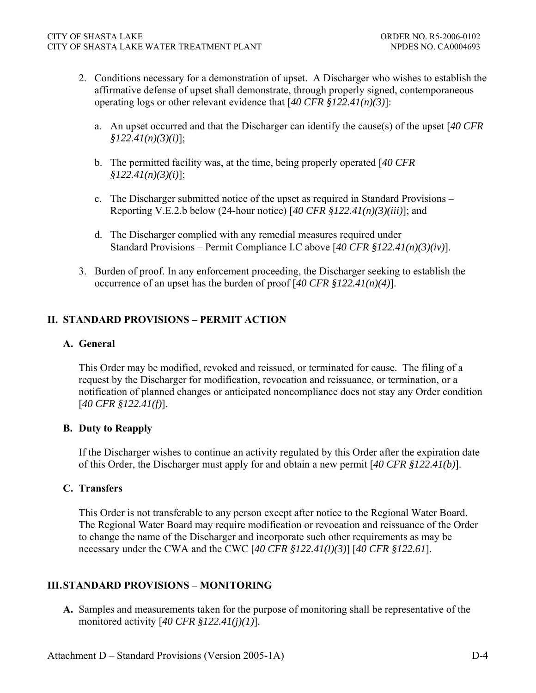- 2. Conditions necessary for a demonstration of upset. A Discharger who wishes to establish the affirmative defense of upset shall demonstrate, through properly signed, contemporaneous operating logs or other relevant evidence that [*40 CFR §122.41(n)(3)*]:
	- a. An upset occurred and that the Discharger can identify the cause(s) of the upset [*40 CFR §122.41(n)(3)(i)*];
	- b. The permitted facility was, at the time, being properly operated [*40 CFR §122.41(n)(3)(i)*];
	- c. The Discharger submitted notice of the upset as required in Standard Provisions Reporting V.E.2.b below (24-hour notice) [*40 CFR §122.41(n)(3)(iii)*]; and
	- d. The Discharger complied with any remedial measures required under Standard Provisions – Permit Compliance I.C above [*40 CFR §122.41(n)(3)(iv)*].
- 3. Burden of proof. In any enforcement proceeding, the Discharger seeking to establish the occurrence of an upset has the burden of proof [*40 CFR §122.41(n)(4)*].

# **II. STANDARD PROVISIONS – PERMIT ACTION**

## **A. General**

This Order may be modified, revoked and reissued, or terminated for cause. The filing of a request by the Discharger for modification, revocation and reissuance, or termination, or a notification of planned changes or anticipated noncompliance does not stay any Order condition [*40 CFR §122.41(f)*].

## **B. Duty to Reapply**

If the Discharger wishes to continue an activity regulated by this Order after the expiration date of this Order, the Discharger must apply for and obtain a new permit [*40 CFR §122.41(b)*].

## **C. Transfers**

This Order is not transferable to any person except after notice to the Regional Water Board. The Regional Water Board may require modification or revocation and reissuance of the Order to change the name of the Discharger and incorporate such other requirements as may be necessary under the CWA and the CWC [*40 CFR §122.41(l)(3)*] [*40 CFR §122.61*].

# **III. STANDARD PROVISIONS – MONITORING**

**A.** Samples and measurements taken for the purpose of monitoring shall be representative of the monitored activity [*40 CFR §122.41(j)(1)*].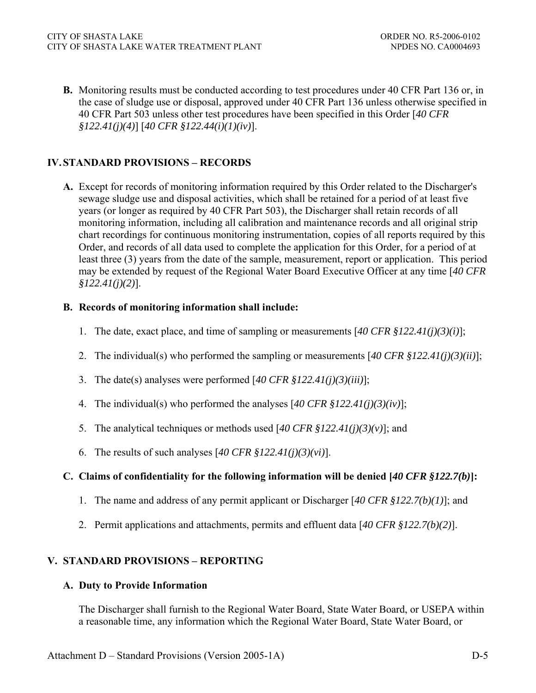**B.** Monitoring results must be conducted according to test procedures under 40 CFR Part 136 or, in the case of sludge use or disposal, approved under 40 CFR Part 136 unless otherwise specified in 40 CFR Part 503 unless other test procedures have been specified in this Order [*40 CFR §122.41(j)(4)*] [*40 CFR §122.44(i)(1)(iv)*].

# **IV. STANDARD PROVISIONS – RECORDS**

**A.** Except for records of monitoring information required by this Order related to the Discharger's sewage sludge use and disposal activities, which shall be retained for a period of at least five years (or longer as required by 40 CFR Part 503), the Discharger shall retain records of all monitoring information, including all calibration and maintenance records and all original strip chart recordings for continuous monitoring instrumentation, copies of all reports required by this Order, and records of all data used to complete the application for this Order, for a period of at least three (3) years from the date of the sample, measurement, report or application. This period may be extended by request of the Regional Water Board Executive Officer at any time [*40 CFR §122.41(j)(2)*].

## **B. Records of monitoring information shall include:**

- 1. The date, exact place, and time of sampling or measurements [*40 CFR §122.41(j)(3)(i)*];
- 2. The individual(s) who performed the sampling or measurements [*40 CFR §122.41(j)(3)(ii)*];
- 3. The date(s) analyses were performed [*40 CFR §122.41(j)(3)(iii)*];
- 4. The individual(s) who performed the analyses [*40 CFR §122.41(j)(3)(iv)*];
- 5. The analytical techniques or methods used [*40 CFR §122.41(j)(3)(v)*]; and
- 6. The results of such analyses [*40 CFR §122.41(j)(3)(vi)*].

# **C. Claims of confidentiality for the following information will be denied [***40 CFR §122.7(b)***]:**

- 1. The name and address of any permit applicant or Discharger [*40 CFR §122.7(b)(1)*]; and
- 2. Permit applications and attachments, permits and effluent data [*40 CFR §122.7(b)(2)*].

# **V. STANDARD PROVISIONS – REPORTING**

## **A. Duty to Provide Information**

The Discharger shall furnish to the Regional Water Board, State Water Board, or USEPA within a reasonable time, any information which the Regional Water Board, State Water Board, or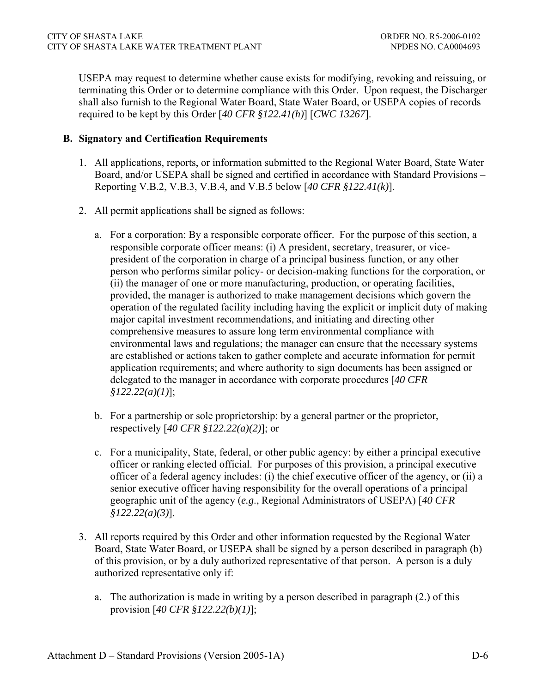USEPA may request to determine whether cause exists for modifying, revoking and reissuing, or terminating this Order or to determine compliance with this Order. Upon request, the Discharger shall also furnish to the Regional Water Board, State Water Board, or USEPA copies of records required to be kept by this Order [*40 CFR §122.41(h)*] [*CWC 13267*].

### **B. Signatory and Certification Requirements**

- 1. All applications, reports, or information submitted to the Regional Water Board, State Water Board, and/or USEPA shall be signed and certified in accordance with Standard Provisions – Reporting V.B.2, V.B.3, V.B.4, and V.B.5 below [*40 CFR §122.41(k)*].
- 2. All permit applications shall be signed as follows:
	- a. For a corporation: By a responsible corporate officer. For the purpose of this section, a responsible corporate officer means: (i) A president, secretary, treasurer, or vicepresident of the corporation in charge of a principal business function, or any other person who performs similar policy- or decision-making functions for the corporation, or (ii) the manager of one or more manufacturing, production, or operating facilities, provided, the manager is authorized to make management decisions which govern the operation of the regulated facility including having the explicit or implicit duty of making major capital investment recommendations, and initiating and directing other comprehensive measures to assure long term environmental compliance with environmental laws and regulations; the manager can ensure that the necessary systems are established or actions taken to gather complete and accurate information for permit application requirements; and where authority to sign documents has been assigned or delegated to the manager in accordance with corporate procedures [*40 CFR §122.22(a)(1)*];
	- b. For a partnership or sole proprietorship: by a general partner or the proprietor, respectively [*40 CFR §122.22(a)(2)*]; or
	- c. For a municipality, State, federal, or other public agency: by either a principal executive officer or ranking elected official. For purposes of this provision, a principal executive officer of a federal agency includes: (i) the chief executive officer of the agency, or (ii) a senior executive officer having responsibility for the overall operations of a principal geographic unit of the agency (*e.g*., Regional Administrators of USEPA) [*40 CFR §122.22(a)(3)*].
- 3. All reports required by this Order and other information requested by the Regional Water Board, State Water Board, or USEPA shall be signed by a person described in paragraph (b) of this provision, or by a duly authorized representative of that person. A person is a duly authorized representative only if:
	- a. The authorization is made in writing by a person described in paragraph (2.) of this provision [*40 CFR §122.22(b)(1)*];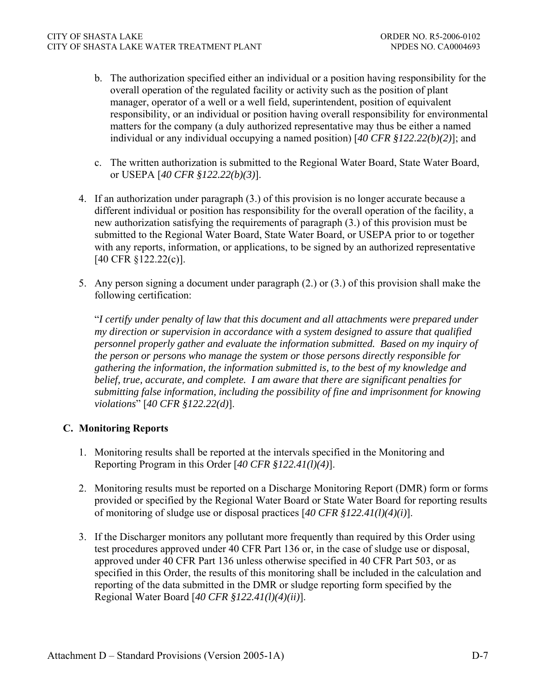- b. The authorization specified either an individual or a position having responsibility for the overall operation of the regulated facility or activity such as the position of plant manager, operator of a well or a well field, superintendent, position of equivalent responsibility, or an individual or position having overall responsibility for environmental matters for the company (a duly authorized representative may thus be either a named individual or any individual occupying a named position) [*40 CFR §122.22(b)(2)*]; and
- c. The written authorization is submitted to the Regional Water Board, State Water Board, or USEPA [*40 CFR §122.22(b)(3)*].
- 4. If an authorization under paragraph (3.) of this provision is no longer accurate because a different individual or position has responsibility for the overall operation of the facility, a new authorization satisfying the requirements of paragraph (3.) of this provision must be submitted to the Regional Water Board, State Water Board, or USEPA prior to or together with any reports, information, or applications, to be signed by an authorized representative [40 CFR §122.22(c)].
- 5. Any person signing a document under paragraph (2.) or (3.) of this provision shall make the following certification:

"*I certify under penalty of law that this document and all attachments were prepared under my direction or supervision in accordance with a system designed to assure that qualified personnel properly gather and evaluate the information submitted. Based on my inquiry of the person or persons who manage the system or those persons directly responsible for gathering the information, the information submitted is, to the best of my knowledge and belief, true, accurate, and complete. I am aware that there are significant penalties for submitting false information, including the possibility of fine and imprisonment for knowing violations*" [*40 CFR §122.22(d)*].

## **C. Monitoring Reports**

- 1. Monitoring results shall be reported at the intervals specified in the Monitoring and Reporting Program in this Order [*40 CFR §122.41(l)(4)*].
- 2. Monitoring results must be reported on a Discharge Monitoring Report (DMR) form or forms provided or specified by the Regional Water Board or State Water Board for reporting results of monitoring of sludge use or disposal practices [*40 CFR §122.41(l)(4)(i)*].
- 3. If the Discharger monitors any pollutant more frequently than required by this Order using test procedures approved under 40 CFR Part 136 or, in the case of sludge use or disposal, approved under 40 CFR Part 136 unless otherwise specified in 40 CFR Part 503, or as specified in this Order, the results of this monitoring shall be included in the calculation and reporting of the data submitted in the DMR or sludge reporting form specified by the Regional Water Board [*40 CFR §122.41(l)(4)(ii)*].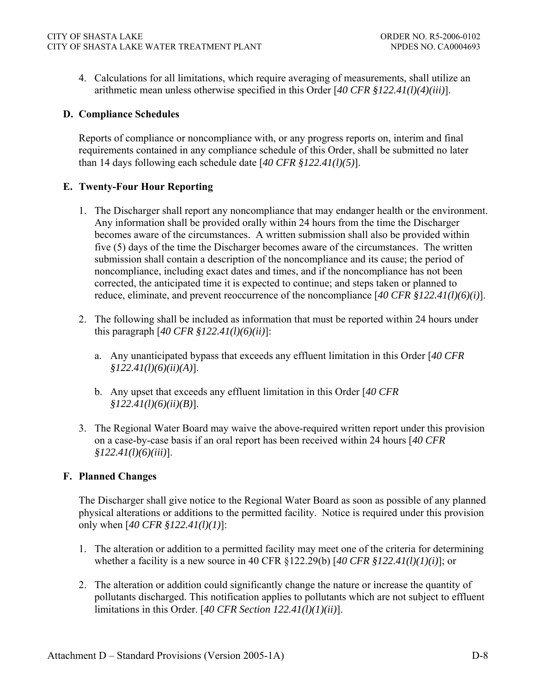4. Calculations for all limitations, which require averaging of measurements, shall utilize an arithmetic mean unless otherwise specified in this Order [*40 CFR §122.41(l)(4)(iii)*].

## **D. Compliance Schedules**

Reports of compliance or noncompliance with, or any progress reports on, interim and final requirements contained in any compliance schedule of this Order, shall be submitted no later than 14 days following each schedule date [*40 CFR §122.41(l)(5)*].

## **E. Twenty-Four Hour Reporting**

- 1. The Discharger shall report any noncompliance that may endanger health or the environment. Any information shall be provided orally within 24 hours from the time the Discharger becomes aware of the circumstances. A written submission shall also be provided within five (5) days of the time the Discharger becomes aware of the circumstances. The written submission shall contain a description of the noncompliance and its cause; the period of noncompliance, including exact dates and times, and if the noncompliance has not been corrected, the anticipated time it is expected to continue; and steps taken or planned to reduce, eliminate, and prevent reoccurrence of the noncompliance [*40 CFR §122.41(l)(6)(i)*].
- 2. The following shall be included as information that must be reported within 24 hours under this paragraph [*40 CFR §122.41(l)(6)(ii)*]:
	- a. Any unanticipated bypass that exceeds any effluent limitation in this Order [*40 CFR §122.41(l)(6)(ii)(A)*].
	- b. Any upset that exceeds any effluent limitation in this Order [*40 CFR §122.41(l)(6)(ii)(B)*].
- 3. The Regional Water Board may waive the above-required written report under this provision on a case-by-case basis if an oral report has been received within 24 hours [*40 CFR §122.41(l)(6)(iii)*].

## **F. Planned Changes**

The Discharger shall give notice to the Regional Water Board as soon as possible of any planned physical alterations or additions to the permitted facility. Notice is required under this provision only when [*40 CFR §122.41(l)(1)*]:

- 1. The alteration or addition to a permitted facility may meet one of the criteria for determining whether a facility is a new source in 40 CFR §122.29(b) [*40 CFR §122.41(l)(1)(i)*]; or
- 2. The alteration or addition could significantly change the nature or increase the quantity of pollutants discharged. This notification applies to pollutants which are not subject to effluent limitations in this Order. [*40 CFR Section 122.41(l)(1)(ii)*].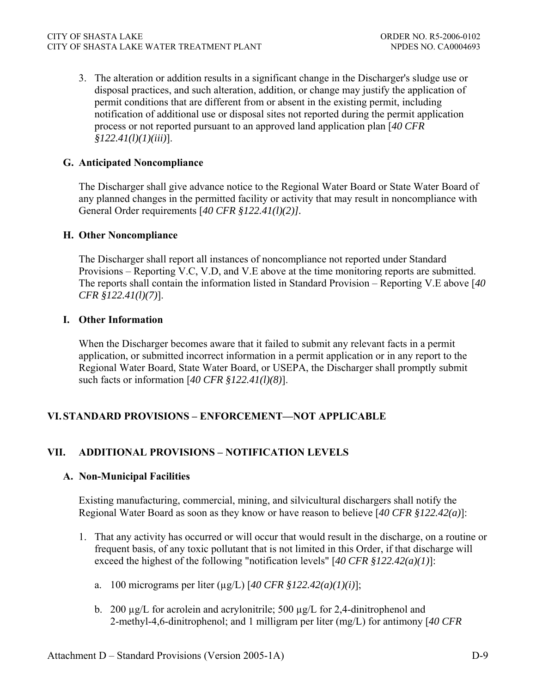3. The alteration or addition results in a significant change in the Discharger's sludge use or disposal practices, and such alteration, addition, or change may justify the application of permit conditions that are different from or absent in the existing permit, including notification of additional use or disposal sites not reported during the permit application process or not reported pursuant to an approved land application plan [*40 CFR §122.41(l)(1)(iii)*].

## **G. Anticipated Noncompliance**

The Discharger shall give advance notice to the Regional Water Board or State Water Board of any planned changes in the permitted facility or activity that may result in noncompliance with General Order requirements [*40 CFR §122.41(l)(2)].*

## **H. Other Noncompliance**

The Discharger shall report all instances of noncompliance not reported under Standard Provisions – Reporting V.C, V.D, and V.E above at the time monitoring reports are submitted. The reports shall contain the information listed in Standard Provision – Reporting V.E above [*40 CFR §122.41(l)(7)*].

## **I. Other Information**

When the Discharger becomes aware that it failed to submit any relevant facts in a permit application, or submitted incorrect information in a permit application or in any report to the Regional Water Board, State Water Board, or USEPA, the Discharger shall promptly submit such facts or information [*40 CFR §122.41(l)(8)*].

# **VI. STANDARD PROVISIONS – ENFORCEMENT—NOT APPLICABLE**

# **VII. ADDITIONAL PROVISIONS – NOTIFICATION LEVELS**

## **A. Non-Municipal Facilities**

Existing manufacturing, commercial, mining, and silvicultural dischargers shall notify the Regional Water Board as soon as they know or have reason to believe [*40 CFR §122.42(a)*]:

- 1. That any activity has occurred or will occur that would result in the discharge, on a routine or frequent basis, of any toxic pollutant that is not limited in this Order, if that discharge will exceed the highest of the following "notification levels" [*40 CFR §122.42(a)(1)*]:
	- a. 100 micrograms per liter (µg/L) [*40 CFR §122.42(a)(1)(i)*];
	- b. 200  $\mu$ g/L for acrolein and acrylonitrile; 500  $\mu$ g/L for 2,4-dinitrophenol and 2-methyl-4,6-dinitrophenol; and 1 milligram per liter (mg/L) for antimony [*40 CFR*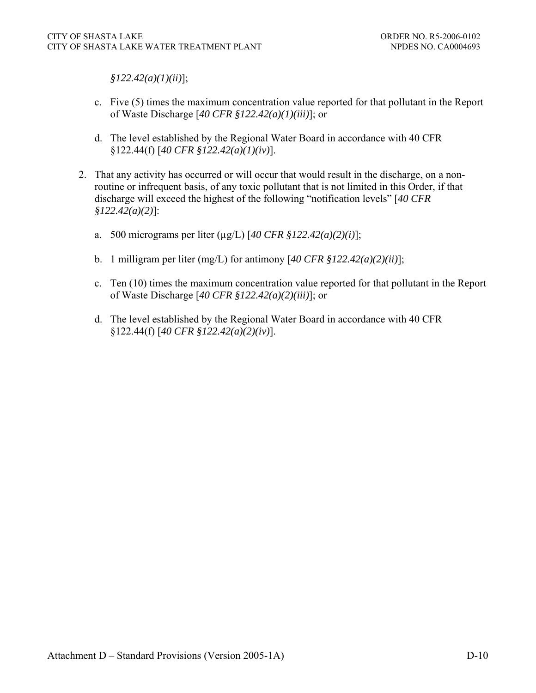*§122.42(a)(1)(ii)*];

- c. Five (5) times the maximum concentration value reported for that pollutant in the Report of Waste Discharge [*40 CFR §122.42(a)(1)(iii)*]; or
- d. The level established by the Regional Water Board in accordance with 40 CFR §122.44(f) [*40 CFR §122.42(a)(1)(iv)*].
- 2. That any activity has occurred or will occur that would result in the discharge, on a nonroutine or infrequent basis, of any toxic pollutant that is not limited in this Order, if that discharge will exceed the highest of the following "notification levels" [*40 CFR §122.42(a)(2)*]:
	- a. 500 micrograms per liter (µg/L) [*40 CFR §122.42(a)(2)(i)*];
	- b. 1 milligram per liter (mg/L) for antimony [*40 CFR §122.42(a)(2)(ii)*];
	- c. Ten (10) times the maximum concentration value reported for that pollutant in the Report of Waste Discharge [*40 CFR §122.42(a)(2)(iii)*]; or
	- d. The level established by the Regional Water Board in accordance with 40 CFR §122.44(f) [*40 CFR §122.42(a)(2)(iv)*].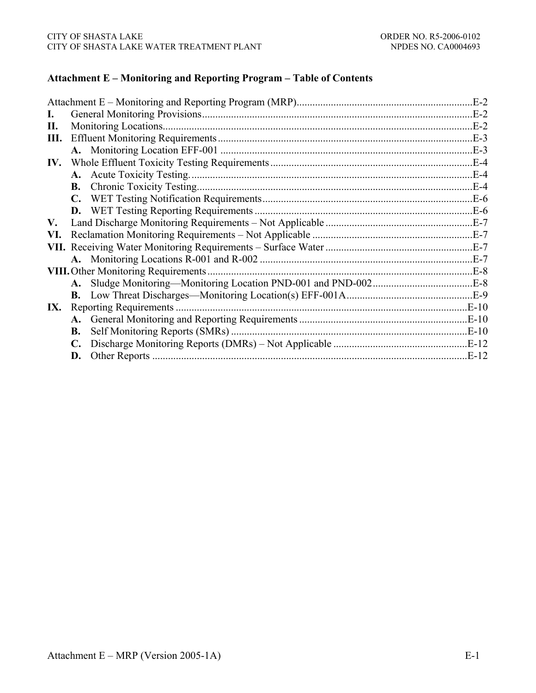## **Attachment E – Monitoring and Reporting Program – Table of Contents**

|     |           |                                             | $E-2$      |
|-----|-----------|---------------------------------------------|------------|
| Ι.  |           | $E-2$                                       |            |
| П.  |           |                                             | .E-2       |
| Ш.  |           |                                             | $E-3$      |
|     |           |                                             | $E-3$      |
| IV. |           |                                             | <b>E-4</b> |
|     |           |                                             | <b>E-4</b> |
|     |           |                                             | E-4        |
|     |           |                                             | .E-6       |
|     |           |                                             |            |
| V.  |           |                                             |            |
| VI. |           |                                             |            |
|     |           |                                             | $E-7$      |
|     |           |                                             |            |
|     |           | <b>VIII.</b> Other Monitoring Requirements. |            |
|     |           |                                             |            |
|     |           |                                             |            |
|     |           |                                             | $E-10$     |
|     |           |                                             | $E-10$     |
|     | <b>B.</b> |                                             |            |
|     |           |                                             |            |
|     | D.        |                                             | E-12       |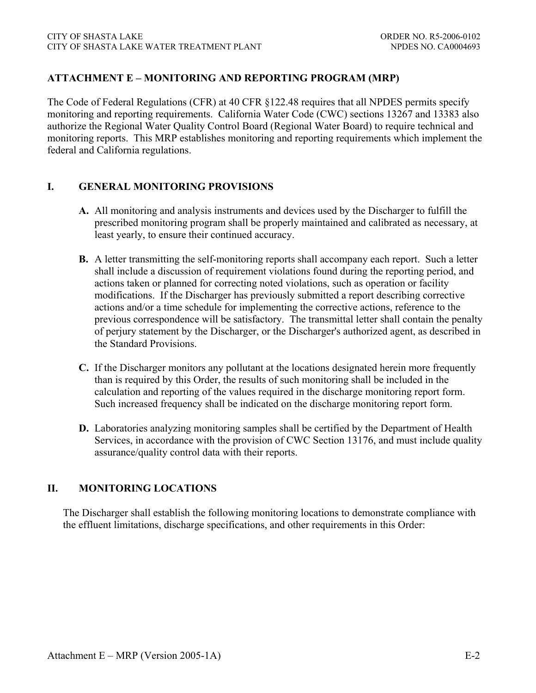## **ATTACHMENT E – MONITORING AND REPORTING PROGRAM (MRP)**

The Code of Federal Regulations (CFR) at 40 CFR §122.48 requires that all NPDES permits specify monitoring and reporting requirements. California Water Code (CWC) sections 13267 and 13383 also authorize the Regional Water Quality Control Board (Regional Water Board) to require technical and monitoring reports. This MRP establishes monitoring and reporting requirements which implement the federal and California regulations.

## **I. GENERAL MONITORING PROVISIONS**

- **A.** All monitoring and analysis instruments and devices used by the Discharger to fulfill the prescribed monitoring program shall be properly maintained and calibrated as necessary, at least yearly, to ensure their continued accuracy.
- **B.** A letter transmitting the self-monitoring reports shall accompany each report. Such a letter shall include a discussion of requirement violations found during the reporting period, and actions taken or planned for correcting noted violations, such as operation or facility modifications. If the Discharger has previously submitted a report describing corrective actions and/or a time schedule for implementing the corrective actions, reference to the previous correspondence will be satisfactory. The transmittal letter shall contain the penalty of perjury statement by the Discharger, or the Discharger's authorized agent, as described in the Standard Provisions.
- **C.** If the Discharger monitors any pollutant at the locations designated herein more frequently than is required by this Order, the results of such monitoring shall be included in the calculation and reporting of the values required in the discharge monitoring report form. Such increased frequency shall be indicated on the discharge monitoring report form.
- **D.** Laboratories analyzing monitoring samples shall be certified by the Department of Health Services, in accordance with the provision of CWC Section 13176, and must include quality assurance/quality control data with their reports.

## **II. MONITORING LOCATIONS**

The Discharger shall establish the following monitoring locations to demonstrate compliance with the effluent limitations, discharge specifications, and other requirements in this Order: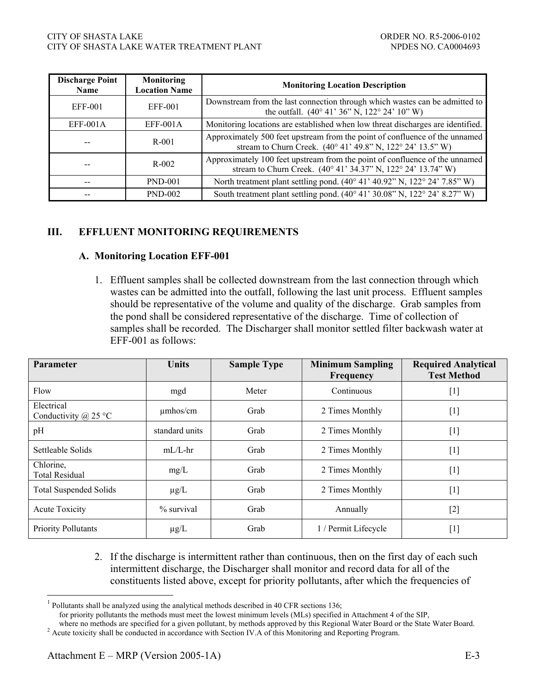| <b>Discharge Point</b><br><b>Name</b> | <b>Monitoring</b><br><b>Location Name</b> | <b>Monitoring Location Description</b>                                                                                                        |
|---------------------------------------|-------------------------------------------|-----------------------------------------------------------------------------------------------------------------------------------------------|
| EFF-001                               | EFF-001                                   | Downstream from the last connection through which wastes can be admitted to<br>the outfall. $(40^{\circ} 41' 36'' N, 122^{\circ} 24' 10'' W)$ |
| $EFF-001A$                            | $EFF-001A$                                | Monitoring locations are established when low threat discharges are identified.                                                               |
| --                                    | R-001                                     | Approximately 500 feet upstream from the point of confluence of the unnamed<br>stream to Churn Creek. (40° 41' 49.8" N, 122° 24' 13.5" W)     |
| --                                    | $R-002$                                   | Approximately 100 feet upstream from the point of confluence of the unnamed<br>stream to Churn Creek. (40° 41' 34.37" N, 122° 24' 13.74" W)   |
| --                                    | <b>PND-001</b>                            | North treatment plant settling pond. (40° 41' 40.92" N, 122° 24' 7.85" W)                                                                     |
|                                       | <b>PND-002</b>                            | South treatment plant settling pond. (40° 41' 30.08" N, 122° 24' 8.27" W)                                                                     |

# **III. EFFLUENT MONITORING REQUIREMENTS**

#### **A. Monitoring Location EFF-001**

1. Effluent samples shall be collected downstream from the last connection through which wastes can be admitted into the outfall, following the last unit process. Effluent samples should be representative of the volume and quality of the discharge. Grab samples from the pond shall be considered representative of the discharge. Time of collection of samples shall be recorded. The Discharger shall monitor settled filter backwash water at EFF-001 as follows:

| Parameter                                 | <b>Units</b>   | <b>Sample Type</b> | <b>Minimum Sampling</b><br>Frequency | <b>Required Analytical</b><br><b>Test Method</b> |
|-------------------------------------------|----------------|--------------------|--------------------------------------|--------------------------------------------------|
| Flow                                      | mgd            | Meter              | Continuous                           | $[1]$                                            |
| Electrical<br>Conductivity $\omega$ 25 °C | $\mu$ mhos/cm  | Grab               | 2 Times Monthly                      | $[1]$                                            |
| pH                                        | standard units | Grab               | 2 Times Monthly                      | $[1]$                                            |
| Settleable Solids                         | $mL/L$ -hr     | Grab               | 2 Times Monthly                      | $[1]$                                            |
| Chlorine,<br><b>Total Residual</b>        | mg/L           | Grab               | 2 Times Monthly                      | $[1]$                                            |
| <b>Total Suspended Solids</b>             | $\mu$ g/L      | Grab               | 2 Times Monthly                      | $[1]$                                            |
| <b>Acute Toxicity</b>                     | $%$ survival   | Grab               | Annually                             | $[2]$                                            |
| <b>Priority Pollutants</b>                | $\mu$ g/L      | Grab               | 1 / Permit Lifecycle                 | $[1]$                                            |

2. If the discharge is intermittent rather than continuous, then on the first day of each such intermittent discharge, the Discharger shall monitor and record data for all of the constituents listed above, except for priority pollutants, after which the frequencies of

 $\overline{a}$ 

 $<sup>1</sup>$  Pollutants shall be analyzed using the analytical methods described in 40 CFR sections 136;</sup>

for priority pollutants the methods must meet the lowest minimum levels (MLs) specified in Attachment 4 of the SIP,

where no methods are specified for a given pollutant, by methods approved by this Regional Water Board or the State Water Board. <sup>2</sup> Acute toxicity shall be conducted in accordance with Section IV.A of this Monitoring and Reporting Program.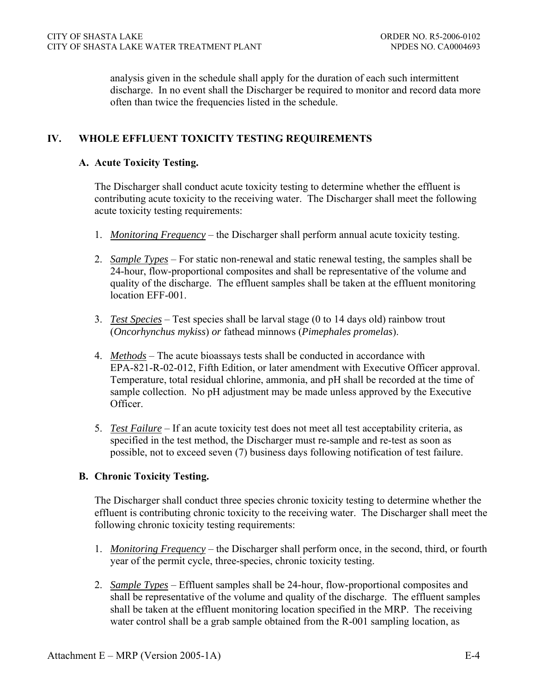analysis given in the schedule shall apply for the duration of each such intermittent discharge. In no event shall the Discharger be required to monitor and record data more often than twice the frequencies listed in the schedule.

# **IV. WHOLE EFFLUENT TOXICITY TESTING REQUIREMENTS**

### **A. Acute Toxicity Testing.**

The Discharger shall conduct acute toxicity testing to determine whether the effluent is contributing acute toxicity to the receiving water. The Discharger shall meet the following acute toxicity testing requirements:

- 1. *Monitoring Frequency* the Discharger shall perform annual acute toxicity testing.
- 2. *Sample Types* For static non-renewal and static renewal testing, the samples shall be 24-hour, flow-proportional composites and shall be representative of the volume and quality of the discharge. The effluent samples shall be taken at the effluent monitoring location EFF-001.
- 3. *Test Species* Test species shall be larval stage (0 to 14 days old) rainbow trout (*Oncorhynchus mykiss*) *or* fathead minnows (*Pimephales promelas*).
- 4. *Methods* The acute bioassays tests shall be conducted in accordance with EPA-821-R-02-012, Fifth Edition, or later amendment with Executive Officer approval. Temperature, total residual chlorine, ammonia, and pH shall be recorded at the time of sample collection. No pH adjustment may be made unless approved by the Executive Officer.
- 5. *Test Failure* If an acute toxicity test does not meet all test acceptability criteria, as specified in the test method, the Discharger must re-sample and re-test as soon as possible, not to exceed seven (7) business days following notification of test failure.

## **B. Chronic Toxicity Testing.**

The Discharger shall conduct three species chronic toxicity testing to determine whether the effluent is contributing chronic toxicity to the receiving water. The Discharger shall meet the following chronic toxicity testing requirements:

- 1. *Monitoring Frequency* the Discharger shall perform once, in the second, third, or fourth year of the permit cycle, three-species, chronic toxicity testing.
- 2. *Sample Types* Effluent samples shall be 24-hour, flow-proportional composites and shall be representative of the volume and quality of the discharge. The effluent samples shall be taken at the effluent monitoring location specified in the MRP. The receiving water control shall be a grab sample obtained from the R-001 sampling location, as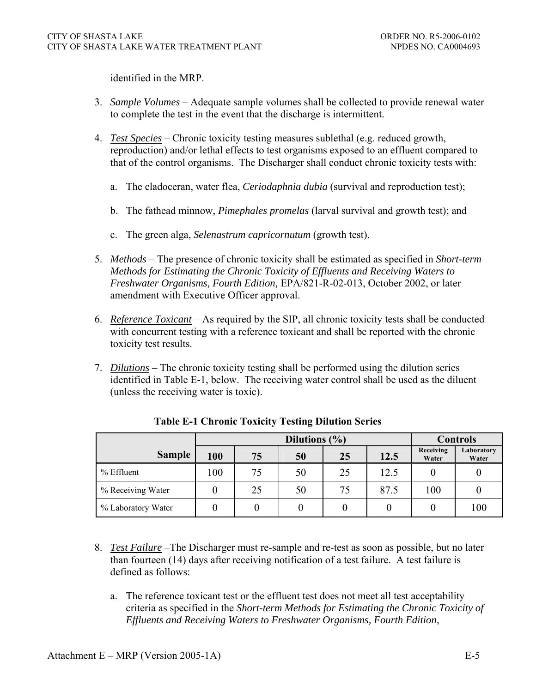identified in the MRP.

- 3. *Sample Volumes* Adequate sample volumes shall be collected to provide renewal water to complete the test in the event that the discharge is intermittent.
- 4. *Test Species* Chronic toxicity testing measures sublethal (e.g. reduced growth, reproduction) and/or lethal effects to test organisms exposed to an effluent compared to that of the control organisms. The Discharger shall conduct chronic toxicity tests with:
	- a. The cladoceran, water flea, *Ceriodaphnia dubia* (survival and reproduction test);
	- b. The fathead minnow, *Pimephales promelas* (larval survival and growth test); and
	- c. The green alga, *Selenastrum capricornutum* (growth test).
- 5. *Methods* The presence of chronic toxicity shall be estimated as specified in *Short-term Methods for Estimating the Chronic Toxicity of Effluents and Receiving Waters to Freshwater Organisms, Fourth Edition,* EPA/821-R-02-013, October 2002, or later amendment with Executive Officer approval.
- 6. *Reference Toxicant* As required by the SIP, all chronic toxicity tests shall be conducted with concurrent testing with a reference toxicant and shall be reported with the chronic toxicity test results.
- 7. *Dilutions* The chronic toxicity testing shall be performed using the dilution series identified in Table E-1, below. The receiving water control shall be used as the diluent (unless the receiving water is toxic).

|                    |     | Dilutions $(\% )$ |    |    |      |                    | <b>Controls</b>     |  |
|--------------------|-----|-------------------|----|----|------|--------------------|---------------------|--|
| <b>Sample</b>      | 100 | 75                | 50 | 25 | 12.5 | Receiving<br>Water | Laboratory<br>Water |  |
| % Effluent         | 100 | 75                | 50 | 25 | 12.5 |                    |                     |  |
| % Receiving Water  |     | 25                | 50 | 75 | 87.5 | 100                |                     |  |
| % Laboratory Water |     |                   |    |    |      |                    | 100                 |  |

**Table E-1 Chronic Toxicity Testing Dilution Series** 

- 8. *Test Failure* –The Discharger must re-sample and re-test as soon as possible, but no later than fourteen (14) days after receiving notification of a test failure. A test failure is defined as follows:
	- a. The reference toxicant test or the effluent test does not meet all test acceptability criteria as specified in the *Short-term Methods for Estimating the Chronic Toxicity of Effluents and Receiving Waters to Freshwater Organisms, Fourth Edition*,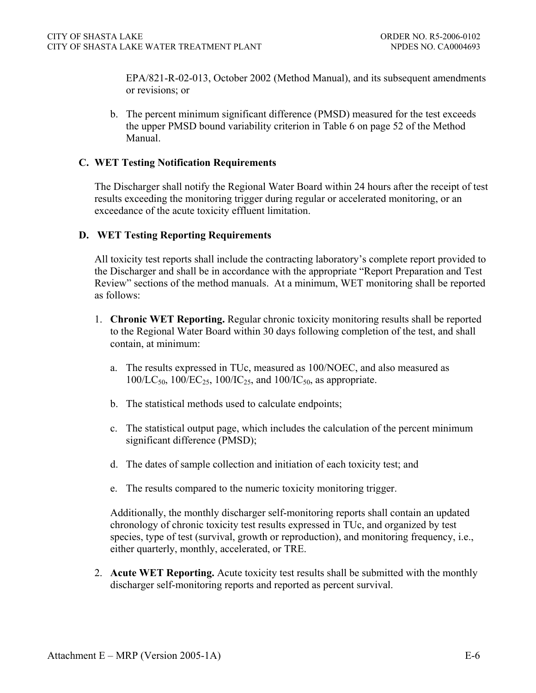EPA/821-R-02-013, October 2002 (Method Manual), and its subsequent amendments or revisions; or

b. The percent minimum significant difference (PMSD) measured for the test exceeds the upper PMSD bound variability criterion in Table 6 on page 52 of the Method Manual.

### **C. WET Testing Notification Requirements**

The Discharger shall notify the Regional Water Board within 24 hours after the receipt of test results exceeding the monitoring trigger during regular or accelerated monitoring, or an exceedance of the acute toxicity effluent limitation.

## **D. WET Testing Reporting Requirements**

All toxicity test reports shall include the contracting laboratory's complete report provided to the Discharger and shall be in accordance with the appropriate "Report Preparation and Test Review" sections of the method manuals. At a minimum, WET monitoring shall be reported as follows:

- 1. **Chronic WET Reporting.** Regular chronic toxicity monitoring results shall be reported to the Regional Water Board within 30 days following completion of the test, and shall contain, at minimum:
	- a. The results expressed in TUc, measured as 100/NOEC, and also measured as  $100/LC_{50}$ ,  $100/EC_{25}$ ,  $100/IC_{25}$ , and  $100/IC_{50}$ , as appropriate.
	- b. The statistical methods used to calculate endpoints;
	- c. The statistical output page, which includes the calculation of the percent minimum significant difference (PMSD);
	- d. The dates of sample collection and initiation of each toxicity test; and
	- e. The results compared to the numeric toxicity monitoring trigger.

Additionally, the monthly discharger self-monitoring reports shall contain an updated chronology of chronic toxicity test results expressed in TUc, and organized by test species, type of test (survival, growth or reproduction), and monitoring frequency, i.e., either quarterly, monthly, accelerated, or TRE.

2. **Acute WET Reporting.** Acute toxicity test results shall be submitted with the monthly discharger self-monitoring reports and reported as percent survival.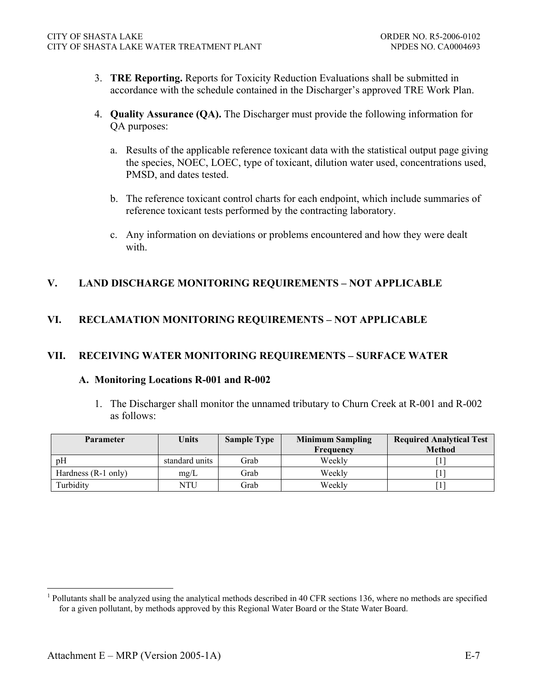- 3. **TRE Reporting.** Reports for Toxicity Reduction Evaluations shall be submitted in accordance with the schedule contained in the Discharger's approved TRE Work Plan.
- 4. **Quality Assurance (QA).** The Discharger must provide the following information for QA purposes:
	- a. Results of the applicable reference toxicant data with the statistical output page giving the species, NOEC, LOEC, type of toxicant, dilution water used, concentrations used, PMSD, and dates tested.
	- b. The reference toxicant control charts for each endpoint, which include summaries of reference toxicant tests performed by the contracting laboratory.
	- c. Any information on deviations or problems encountered and how they were dealt with.

# **V. LAND DISCHARGE MONITORING REQUIREMENTS – NOT APPLICABLE**

# **VI. RECLAMATION MONITORING REQUIREMENTS – NOT APPLICABLE**

## **VII. RECEIVING WATER MONITORING REQUIREMENTS – SURFACE WATER**

#### **A. Monitoring Locations R-001 and R-002**

1. The Discharger shall monitor the unnamed tributary to Churn Creek at R-001 and R-002 as follows:

| <b>Parameter</b>      | <b>Units</b>   | <b>Sample Type</b> | <b>Minimum Sampling</b> | <b>Required Analytical Test</b> |
|-----------------------|----------------|--------------------|-------------------------|---------------------------------|
|                       |                |                    | Frequency               | <b>Method</b>                   |
| pΗ                    | standard units | Grab               | Weekly                  |                                 |
| Hardness $(R-1)$ only | mg/L           | Grab               | Weekly                  |                                 |
| Turbidity             | NTU            | Grab               | Weekly                  |                                 |

 $\overline{a}$ 

<sup>1</sup> Pollutants shall be analyzed using the analytical methods described in 40 CFR sections 136, where no methods are specified for a given pollutant, by methods approved by this Regional Water Board or the State Water Board.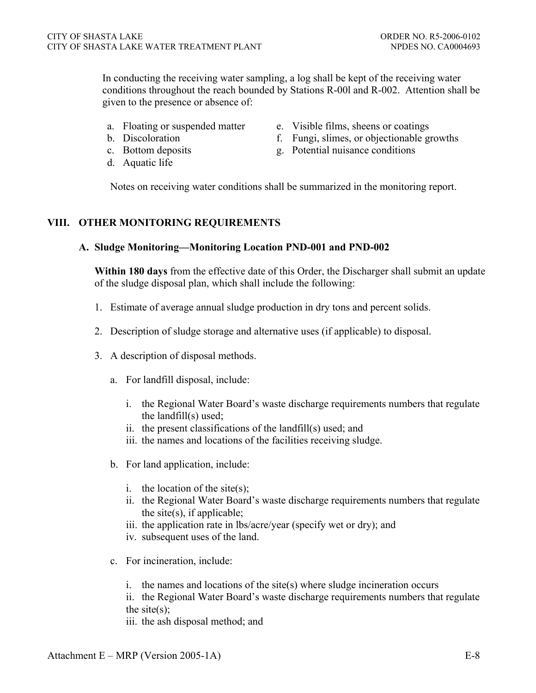In conducting the receiving water sampling, a log shall be kept of the receiving water conditions throughout the reach bounded by Stations R-00l and R-002. Attention shall be given to the presence or absence of:

- 
- 
- 
- d. Aquatic life
- a. Floating or suspended matter e. Visible films, sheens or coatings
- b. Discoloration f. Fungi, slimes, or objectionable growths
- c. Bottom deposits g. Potential nuisance conditions

Notes on receiving water conditions shall be summarized in the monitoring report.

### **VIII. OTHER MONITORING REQUIREMENTS**

#### **A. Sludge Monitoring—Monitoring Location PND-001 and PND-002**

**Within 180 days** from the effective date of this Order, the Discharger shall submit an update of the sludge disposal plan, which shall include the following:

- 1. Estimate of average annual sludge production in dry tons and percent solids.
- 2. Description of sludge storage and alternative uses (if applicable) to disposal.
- 3. A description of disposal methods.
	- a. For landfill disposal, include:
		- i. the Regional Water Board's waste discharge requirements numbers that regulate the landfill(s) used;
		- ii. the present classifications of the landfill(s) used; and
		- iii. the names and locations of the facilities receiving sludge.
	- b. For land application, include:
		- i. the location of the site(s);
		- ii. the Regional Water Board's waste discharge requirements numbers that regulate the site $(s)$ , if applicable;
		- iii. the application rate in lbs/acre/year (specify wet or dry); and
		- iv. subsequent uses of the land.
	- c. For incineration, include:
		- i. the names and locations of the site(s) where sludge incineration occurs

ii. the Regional Water Board's waste discharge requirements numbers that regulate the site $(s)$ ;

iii. the ash disposal method; and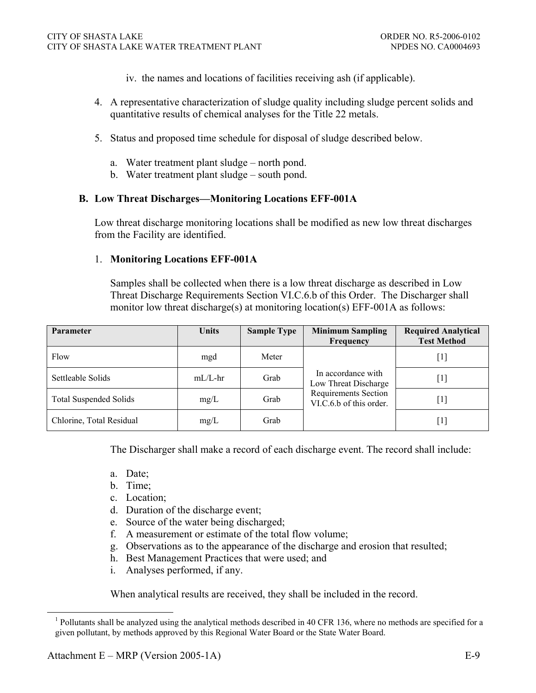- iv. the names and locations of facilities receiving ash (if applicable).
- 4. A representative characterization of sludge quality including sludge percent solids and quantitative results of chemical analyses for the Title 22 metals.
- 5. Status and proposed time schedule for disposal of sludge described below.
	- a. Water treatment plant sludge north pond.
	- b. Water treatment plant sludge south pond.

#### **B. Low Threat Discharges—Monitoring Locations EFF-001A**

Low threat discharge monitoring locations shall be modified as new low threat discharges from the Facility are identified.

#### 1. **Monitoring Locations EFF-001A**

Samples shall be collected when there is a low threat discharge as described in Low Threat Discharge Requirements Section VI.C.6.b of this Order. The Discharger shall monitor low threat discharge(s) at monitoring location(s) EFF-001A as follows:

| <b>Parameter</b>              | <b>Units</b> | <b>Sample Type</b> | <b>Minimum Sampling</b><br>Frequency                   | <b>Required Analytical</b><br><b>Test Method</b> |
|-------------------------------|--------------|--------------------|--------------------------------------------------------|--------------------------------------------------|
| Flow                          | mgd          | Meter              |                                                        | $\lceil 1 \rceil$                                |
| Settleable Solids             | $mL/L$ -hr   | Grab               | In accordance with<br>Low Threat Discharge             | [1]                                              |
| <b>Total Suspended Solids</b> | mg/L         | Grab               | <b>Requirements Section</b><br>VI.C.6.b of this order. | $\lceil 1 \rceil$                                |
| Chlorine, Total Residual      | mg/L         | Grab               |                                                        | $\lceil 1 \rceil$                                |

The Discharger shall make a record of each discharge event. The record shall include:

- a. Date;
- b. Time;
- c. Location;
- d. Duration of the discharge event;
- e. Source of the water being discharged;
- f. A measurement or estimate of the total flow volume;
- g. Observations as to the appearance of the discharge and erosion that resulted;
- h. Best Management Practices that were used; and
- i. Analyses performed, if any.

When analytical results are received, they shall be included in the record.

<sup>&</sup>lt;sup>1</sup> Pollutants shall be analyzed using the analytical methods described in 40 CFR 136, where no methods are specified for a given pollutant, by methods approved by this Regional Water Board or the State Water Board.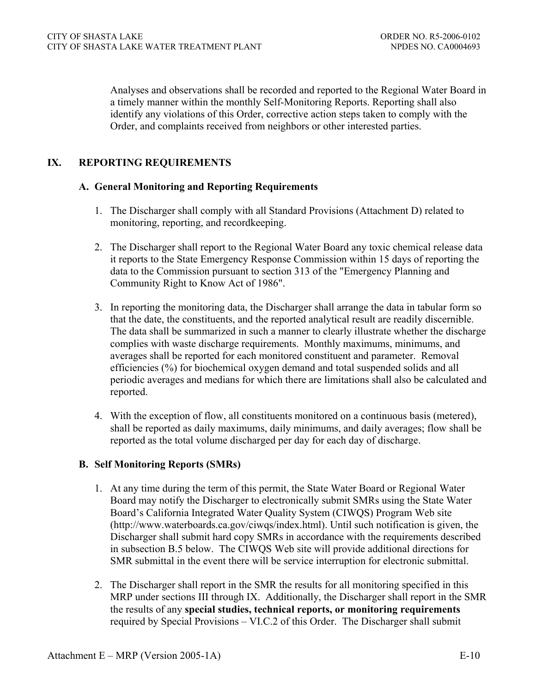Analyses and observations shall be recorded and reported to the Regional Water Board in a timely manner within the monthly Self-Monitoring Reports. Reporting shall also identify any violations of this Order, corrective action steps taken to comply with the Order, and complaints received from neighbors or other interested parties.

# **IX. REPORTING REQUIREMENTS**

### **A. General Monitoring and Reporting Requirements**

- 1. The Discharger shall comply with all Standard Provisions (Attachment D) related to monitoring, reporting, and recordkeeping.
- 2. The Discharger shall report to the Regional Water Board any toxic chemical release data it reports to the State Emergency Response Commission within 15 days of reporting the data to the Commission pursuant to section 313 of the "Emergency Planning and Community Right to Know Act of 1986".
- 3. In reporting the monitoring data, the Discharger shall arrange the data in tabular form so that the date, the constituents, and the reported analytical result are readily discernible. The data shall be summarized in such a manner to clearly illustrate whether the discharge complies with waste discharge requirements. Monthly maximums, minimums, and averages shall be reported for each monitored constituent and parameter. Removal efficiencies (%) for biochemical oxygen demand and total suspended solids and all periodic averages and medians for which there are limitations shall also be calculated and reported.
- 4. With the exception of flow, all constituents monitored on a continuous basis (metered), shall be reported as daily maximums, daily minimums, and daily averages; flow shall be reported as the total volume discharged per day for each day of discharge.

#### **B. Self Monitoring Reports (SMRs)**

- 1. At any time during the term of this permit, the State Water Board or Regional Water Board may notify the Discharger to electronically submit SMRs using the State Water Board's California Integrated Water Quality System (CIWQS) Program Web site (http://www.waterboards.ca.gov/ciwqs/index.html). Until such notification is given, the Discharger shall submit hard copy SMRs in accordance with the requirements described in subsection B.5 below. The CIWQS Web site will provide additional directions for SMR submittal in the event there will be service interruption for electronic submittal.
- 2. The Discharger shall report in the SMR the results for all monitoring specified in this MRP under sections III through IX. Additionally, the Discharger shall report in the SMR the results of any **special studies, technical reports, or monitoring requirements** required by Special Provisions – VI.C.2 of this Order. The Discharger shall submit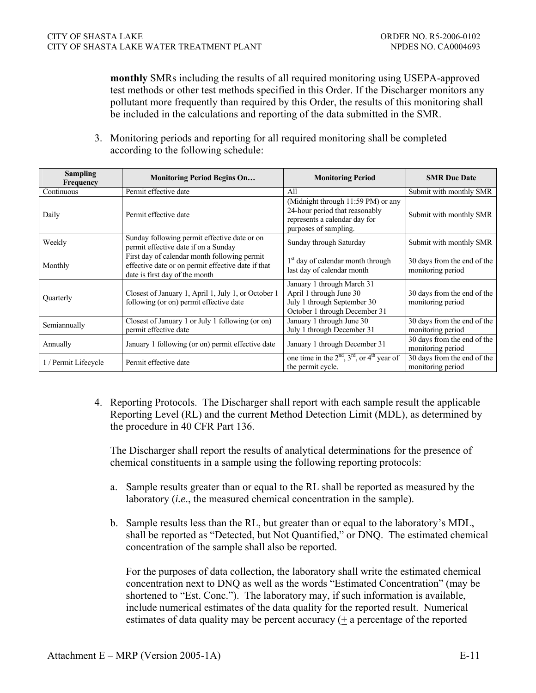**monthly** SMRs including the results of all required monitoring using USEPA-approved test methods or other test methods specified in this Order. If the Discharger monitors any pollutant more frequently than required by this Order, the results of this monitoring shall be included in the calculations and reporting of the data submitted in the SMR.

3. Monitoring periods and reporting for all required monitoring shall be completed according to the following schedule:

| <b>Sampling</b><br>Frequency | <b>Monitoring Period Begins On</b>                                                                                                   | <b>Monitoring Period</b>                                                                                                       | <b>SMR</b> Due Date                              |
|------------------------------|--------------------------------------------------------------------------------------------------------------------------------------|--------------------------------------------------------------------------------------------------------------------------------|--------------------------------------------------|
| Continuous                   | Permit effective date                                                                                                                | A11                                                                                                                            | Submit with monthly SMR                          |
| Daily                        | Permit effective date                                                                                                                | (Midnight through 11:59 PM) or any<br>24-hour period that reasonably<br>represents a calendar day for<br>purposes of sampling. | Submit with monthly SMR                          |
| Weekly                       | Sunday following permit effective date or on<br>permit effective date if on a Sunday                                                 | Sunday through Saturday                                                                                                        | Submit with monthly SMR                          |
| Monthly                      | First day of calendar month following permit<br>effective date or on permit effective date if that<br>date is first day of the month | 1 <sup>st</sup> day of calendar month through<br>last day of calendar month                                                    | 30 days from the end of the<br>monitoring period |
| Quarterly                    | Closest of January 1, April 1, July 1, or October 1<br>following (or on) permit effective date                                       | January 1 through March 31<br>April 1 through June 30<br>July 1 through September 30<br>October 1 through December 31          | 30 days from the end of the<br>monitoring period |
| Semiannually                 | Closest of January 1 or July 1 following (or on)<br>permit effective date                                                            | January 1 through June 30<br>July 1 through December 31                                                                        | 30 days from the end of the<br>monitoring period |
| Annually                     | January 1 following (or on) permit effective date                                                                                    | January 1 through December 31                                                                                                  | 30 days from the end of the<br>monitoring period |
| 1 / Permit Lifecycle         | Permit effective date                                                                                                                | one time in the $2nd$ , $3rd$ , or $4th$ year of<br>the permit cycle.                                                          | 30 days from the end of the<br>monitoring period |

4. Reporting Protocols. The Discharger shall report with each sample result the applicable Reporting Level (RL) and the current Method Detection Limit (MDL), as determined by the procedure in 40 CFR Part 136.

The Discharger shall report the results of analytical determinations for the presence of chemical constituents in a sample using the following reporting protocols:

- a. Sample results greater than or equal to the RL shall be reported as measured by the laboratory (*i.e*., the measured chemical concentration in the sample).
- b. Sample results less than the RL, but greater than or equal to the laboratory's MDL, shall be reported as "Detected, but Not Quantified," or DNQ. The estimated chemical concentration of the sample shall also be reported.

For the purposes of data collection, the laboratory shall write the estimated chemical concentration next to DNQ as well as the words "Estimated Concentration" (may be shortened to "Est. Conc."). The laboratory may, if such information is available, include numerical estimates of the data quality for the reported result. Numerical estimates of data quality may be percent accuracy (+ a percentage of the reported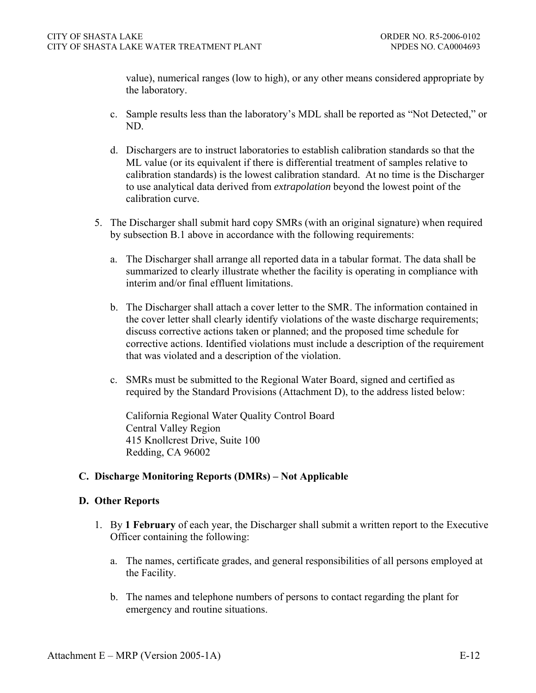value), numerical ranges (low to high), or any other means considered appropriate by the laboratory.

- c. Sample results less than the laboratory's MDL shall be reported as "Not Detected," or ND.
- d. Dischargers are to instruct laboratories to establish calibration standards so that the ML value (or its equivalent if there is differential treatment of samples relative to calibration standards) is the lowest calibration standard. At no time is the Discharger to use analytical data derived from *extrapolation* beyond the lowest point of the calibration curve.
- 5. The Discharger shall submit hard copy SMRs (with an original signature) when required by subsection B.1 above in accordance with the following requirements:
	- a. The Discharger shall arrange all reported data in a tabular format. The data shall be summarized to clearly illustrate whether the facility is operating in compliance with interim and/or final effluent limitations.
	- b. The Discharger shall attach a cover letter to the SMR. The information contained in the cover letter shall clearly identify violations of the waste discharge requirements; discuss corrective actions taken or planned; and the proposed time schedule for corrective actions. Identified violations must include a description of the requirement that was violated and a description of the violation.
	- c. SMRs must be submitted to the Regional Water Board, signed and certified as required by the Standard Provisions (Attachment D), to the address listed below:

California Regional Water Quality Control Board Central Valley Region 415 Knollcrest Drive, Suite 100 Redding, CA 96002

## **C. Discharge Monitoring Reports (DMRs) – Not Applicable**

## **D. Other Reports**

- 1. By **1 February** of each year, the Discharger shall submit a written report to the Executive Officer containing the following:
	- a. The names, certificate grades, and general responsibilities of all persons employed at the Facility.
	- b. The names and telephone numbers of persons to contact regarding the plant for emergency and routine situations.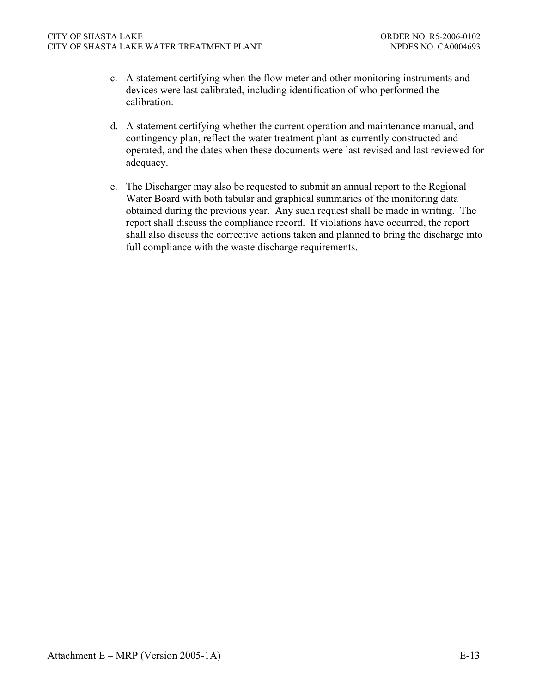- c. A statement certifying when the flow meter and other monitoring instruments and devices were last calibrated, including identification of who performed the calibration.
- d. A statement certifying whether the current operation and maintenance manual, and contingency plan, reflect the water treatment plant as currently constructed and operated, and the dates when these documents were last revised and last reviewed for adequacy.
- e. The Discharger may also be requested to submit an annual report to the Regional Water Board with both tabular and graphical summaries of the monitoring data obtained during the previous year. Any such request shall be made in writing. The report shall discuss the compliance record. If violations have occurred, the report shall also discuss the corrective actions taken and planned to bring the discharge into full compliance with the waste discharge requirements.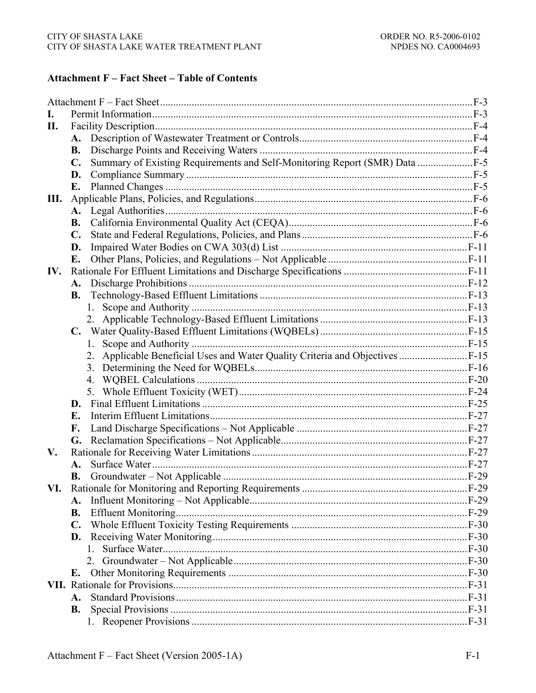# **Attachment F - Fact Sheet - Table of Contents**

| L.  |                |                                                                               |  |
|-----|----------------|-------------------------------------------------------------------------------|--|
| П.  |                |                                                                               |  |
|     |                |                                                                               |  |
|     | <b>B.</b>      |                                                                               |  |
|     | $\mathbf{C}$ . | Summary of Existing Requirements and Self-Monitoring Report (SMR) Data F-5    |  |
|     | D.             |                                                                               |  |
|     | E.             |                                                                               |  |
| Ш.  |                |                                                                               |  |
|     | $\mathbf{A}$ . |                                                                               |  |
|     | <b>B.</b>      |                                                                               |  |
|     | $\mathbf{C}$ . |                                                                               |  |
|     | D.             |                                                                               |  |
|     | E.             |                                                                               |  |
| IV. |                |                                                                               |  |
|     | A.             |                                                                               |  |
|     |                |                                                                               |  |
|     |                |                                                                               |  |
|     |                |                                                                               |  |
|     | $\mathbf{C}$ . |                                                                               |  |
|     |                | 1.                                                                            |  |
|     |                | 2. Applicable Beneficial Uses and Water Quality Criteria and Objectives  F-15 |  |
|     |                |                                                                               |  |
|     |                |                                                                               |  |
|     |                |                                                                               |  |
|     |                |                                                                               |  |
|     | E.             |                                                                               |  |
|     | F.             |                                                                               |  |
|     | G.             |                                                                               |  |
| V.  |                |                                                                               |  |
|     | A.             |                                                                               |  |
|     | В.             |                                                                               |  |
| VI. |                |                                                                               |  |
|     | <b>A.</b>      |                                                                               |  |
|     | <b>B.</b>      |                                                                               |  |
|     | $\mathbf{C}$ . |                                                                               |  |
|     | D.             |                                                                               |  |
|     |                | 1                                                                             |  |
|     |                |                                                                               |  |
|     |                |                                                                               |  |
|     |                |                                                                               |  |
|     | A.             |                                                                               |  |
|     | <b>B.</b>      |                                                                               |  |
|     |                |                                                                               |  |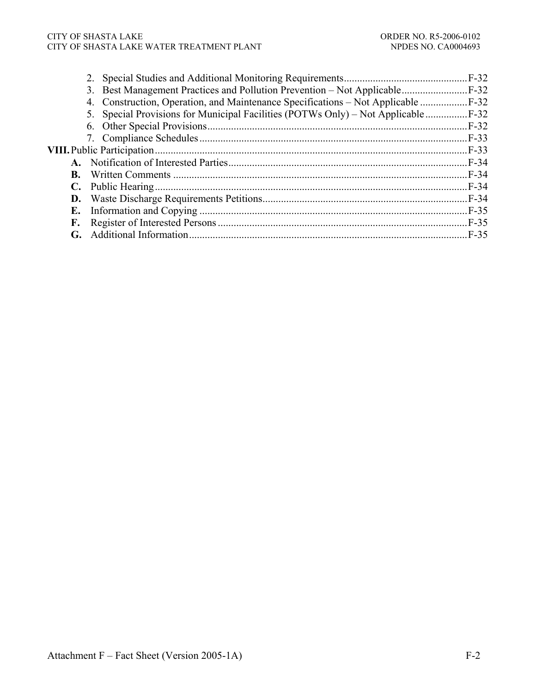#### CITY OF SHASTA LAKE ORDER NO. R5-2006-0102 CITY OF SHASTA LAKE WATER TREATMENT PLANT NETWORK NO CA0004693

|           | 4. Construction, Operation, and Maintenance Specifications – Not Applicable  F-32  |         |
|-----------|------------------------------------------------------------------------------------|---------|
|           | 5. Special Provisions for Municipal Facilities (POTWs Only) – Not Applicable  F-32 |         |
|           |                                                                                    | $.F-32$ |
|           |                                                                                    |         |
|           |                                                                                    |         |
| A.        |                                                                                    | $F-34$  |
| <b>B.</b> |                                                                                    |         |
|           |                                                                                    |         |
|           |                                                                                    |         |
| Е.        |                                                                                    |         |
| F.        |                                                                                    | $F-35$  |
| G.        |                                                                                    | F-35    |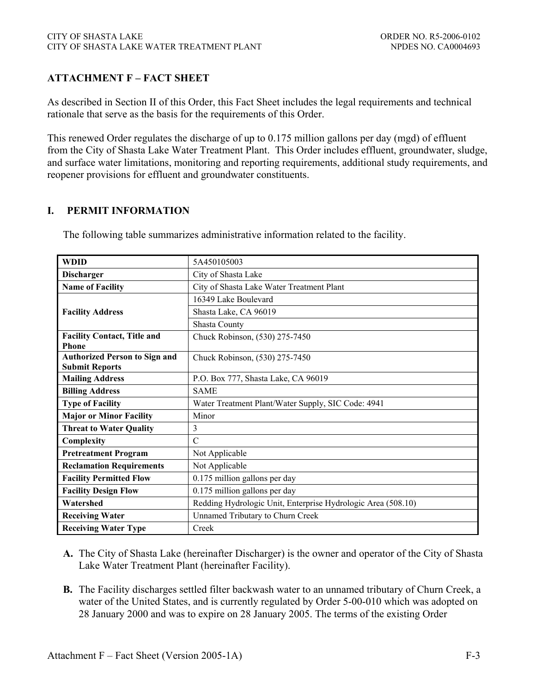# **ATTACHMENT F – FACT SHEET**

As described in Section II of this Order, this Fact Sheet includes the legal requirements and technical rationale that serve as the basis for the requirements of this Order.

This renewed Order regulates the discharge of up to 0.175 million gallons per day (mgd) of effluent from the City of Shasta Lake Water Treatment Plant. This Order includes effluent, groundwater, sludge, and surface water limitations, monitoring and reporting requirements, additional study requirements, and reopener provisions for effluent and groundwater constituents.

### **I. PERMIT INFORMATION**

The following table summarizes administrative information related to the facility.

| <b>WDID</b>                          | 5A450105003                                                  |
|--------------------------------------|--------------------------------------------------------------|
| <b>Discharger</b>                    | City of Shasta Lake                                          |
| <b>Name of Facility</b>              | City of Shasta Lake Water Treatment Plant                    |
|                                      | 16349 Lake Boulevard                                         |
| <b>Facility Address</b>              | Shasta Lake, CA 96019                                        |
|                                      | Shasta County                                                |
| <b>Facility Contact, Title and</b>   | Chuck Robinson, (530) 275-7450                               |
| <b>Phone</b>                         |                                                              |
| <b>Authorized Person to Sign and</b> | Chuck Robinson, (530) 275-7450                               |
| <b>Submit Reports</b>                |                                                              |
| <b>Mailing Address</b>               | P.O. Box 777, Shasta Lake, CA 96019                          |
| <b>Billing Address</b>               | <b>SAME</b>                                                  |
| <b>Type of Facility</b>              | Water Treatment Plant/Water Supply, SIC Code: 4941           |
| <b>Major or Minor Facility</b>       | Minor                                                        |
| <b>Threat to Water Quality</b>       | 3                                                            |
| Complexity                           | $\mathcal{C}$                                                |
| <b>Pretreatment Program</b>          | Not Applicable                                               |
| <b>Reclamation Requirements</b>      | Not Applicable                                               |
| <b>Facility Permitted Flow</b>       | 0.175 million gallons per day                                |
| <b>Facility Design Flow</b>          | 0.175 million gallons per day                                |
| Watershed                            | Redding Hydrologic Unit, Enterprise Hydrologic Area (508.10) |
| <b>Receiving Water</b>               | Unnamed Tributary to Churn Creek                             |
| <b>Receiving Water Type</b>          | Creek                                                        |

- **A.** The City of Shasta Lake (hereinafter Discharger) is the owner and operator of the City of Shasta Lake Water Treatment Plant (hereinafter Facility).
- **B.** The Facility discharges settled filter backwash water to an unnamed tributary of Churn Creek, a water of the United States, and is currently regulated by Order 5-00-010 which was adopted on 28 January 2000 and was to expire on 28 January 2005. The terms of the existing Order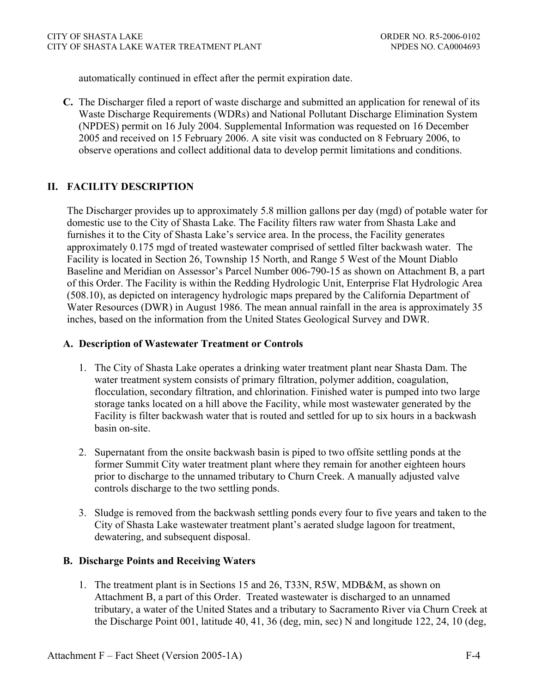automatically continued in effect after the permit expiration date.

**C.** The Discharger filed a report of waste discharge and submitted an application for renewal of its Waste Discharge Requirements (WDRs) and National Pollutant Discharge Elimination System (NPDES) permit on 16 July 2004. Supplemental Information was requested on 16 December 2005 and received on 15 February 2006. A site visit was conducted on 8 February 2006, to observe operations and collect additional data to develop permit limitations and conditions.

# **II. FACILITY DESCRIPTION**

The Discharger provides up to approximately 5.8 million gallons per day (mgd) of potable water for domestic use to the City of Shasta Lake. The Facility filters raw water from Shasta Lake and furnishes it to the City of Shasta Lake's service area. In the process, the Facility generates approximately 0.175 mgd of treated wastewater comprised of settled filter backwash water. The Facility is located in Section 26, Township 15 North, and Range 5 West of the Mount Diablo Baseline and Meridian on Assessor's Parcel Number 006-790-15 as shown on Attachment B, a part of this Order. The Facility is within the Redding Hydrologic Unit, Enterprise Flat Hydrologic Area (508.10), as depicted on interagency hydrologic maps prepared by the California Department of Water Resources (DWR) in August 1986. The mean annual rainfall in the area is approximately 35 inches, based on the information from the United States Geological Survey and DWR.

### **A. Description of Wastewater Treatment or Controls**

- 1. The City of Shasta Lake operates a drinking water treatment plant near Shasta Dam. The water treatment system consists of primary filtration, polymer addition, coagulation, flocculation, secondary filtration, and chlorination. Finished water is pumped into two large storage tanks located on a hill above the Facility, while most wastewater generated by the Facility is filter backwash water that is routed and settled for up to six hours in a backwash basin on-site.
- 2. Supernatant from the onsite backwash basin is piped to two offsite settling ponds at the former Summit City water treatment plant where they remain for another eighteen hours prior to discharge to the unnamed tributary to Churn Creek. A manually adjusted valve controls discharge to the two settling ponds.
- 3. Sludge is removed from the backwash settling ponds every four to five years and taken to the City of Shasta Lake wastewater treatment plant's aerated sludge lagoon for treatment, dewatering, and subsequent disposal.

## **B. Discharge Points and Receiving Waters**

1. The treatment plant is in Sections 15 and 26, T33N, R5W, MDB&M, as shown on Attachment B, a part of this Order. Treated wastewater is discharged to an unnamed tributary, a water of the United States and a tributary to Sacramento River via Churn Creek at the Discharge Point 001, latitude 40, 41, 36 (deg, min, sec) N and longitude 122, 24, 10 (deg,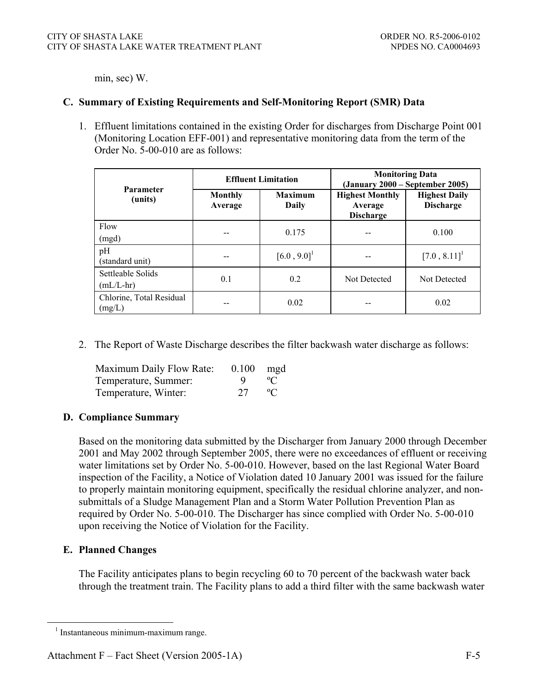min, sec) W.

#### **C. Summary of Existing Requirements and Self-Monitoring Report (SMR) Data**

1. Effluent limitations contained in the existing Order for discharges from Discharge Point 001 (Monitoring Location EFF-001) and representative monitoring data from the term of the Order No. 5-00-010 are as follows:

| <b>Parameter</b>                   |                    | <b>Effluent Limitation</b> | <b>Monitoring Data</b><br>(January 2000 – September 2005) |                                          |  |
|------------------------------------|--------------------|----------------------------|-----------------------------------------------------------|------------------------------------------|--|
| (units)                            | Monthly<br>Average | <b>Maximum</b><br>Daily    | <b>Highest Monthly</b><br>Average<br><b>Discharge</b>     | <b>Highest Daily</b><br><b>Discharge</b> |  |
| Flow                               |                    | 0.175                      |                                                           | 0.100                                    |  |
| (mgd)                              |                    |                            |                                                           |                                          |  |
| pH<br>(standard unit)              |                    | $[6.0, 9.0]$ <sup>1</sup>  |                                                           | $[7.0, 8.11]$ <sup>1</sup>               |  |
| Settleable Solids<br>$(mL/L-hr)$   | 0.1                | 0.2                        | Not Detected                                              | Not Detected                             |  |
| Chlorine, Total Residual<br>(mg/L) |                    | 0.02                       |                                                           | 0.02                                     |  |

2. The Report of Waste Discharge describes the filter backwash water discharge as follows:

| Maximum Daily Flow Rate: | $0.100$ mgd |              |
|--------------------------|-------------|--------------|
| Temperature, Summer:     | <u>u</u>    | $^{\circ}$ C |
| Temperature, Winter:     | 27          | $^{\circ}C$  |

#### **D. Compliance Summary**

Based on the monitoring data submitted by the Discharger from January 2000 through December 2001 and May 2002 through September 2005, there were no exceedances of effluent or receiving water limitations set by Order No. 5-00-010. However, based on the last Regional Water Board inspection of the Facility, a Notice of Violation dated 10 January 2001 was issued for the failure to properly maintain monitoring equipment, specifically the residual chlorine analyzer, and nonsubmittals of a Sludge Management Plan and a Storm Water Pollution Prevention Plan as required by Order No. 5-00-010. The Discharger has since complied with Order No. 5-00-010 upon receiving the Notice of Violation for the Facility.

#### **E. Planned Changes**

The Facility anticipates plans to begin recycling 60 to 70 percent of the backwash water back through the treatment train. The Facility plans to add a third filter with the same backwash water

 <sup>1</sup> Instantaneous minimum-maximum range.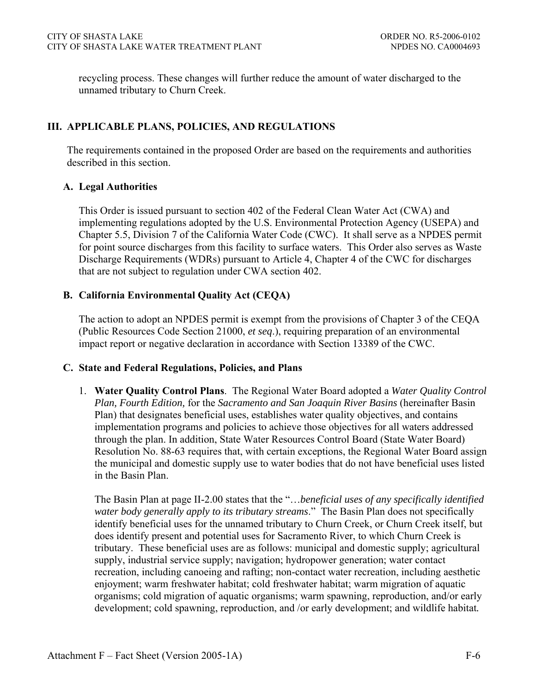recycling process. These changes will further reduce the amount of water discharged to the unnamed tributary to Churn Creek.

## **III. APPLICABLE PLANS, POLICIES, AND REGULATIONS**

The requirements contained in the proposed Order are based on the requirements and authorities described in this section.

## **A. Legal Authorities**

This Order is issued pursuant to section 402 of the Federal Clean Water Act (CWA) and implementing regulations adopted by the U.S. Environmental Protection Agency (USEPA) and Chapter 5.5, Division 7 of the California Water Code (CWC). It shall serve as a NPDES permit for point source discharges from this facility to surface waters. This Order also serves as Waste Discharge Requirements (WDRs) pursuant to Article 4, Chapter 4 of the CWC for discharges that are not subject to regulation under CWA section 402.

# **B. California Environmental Quality Act (CEQA)**

The action to adopt an NPDES permit is exempt from the provisions of Chapter 3 of the CEQA (Public Resources Code Section 21000, *et seq*.), requiring preparation of an environmental impact report or negative declaration in accordance with Section 13389 of the CWC.

## **C. State and Federal Regulations, Policies, and Plans**

1. **Water Quality Control Plans**. The Regional Water Board adopted a *Water Quality Control Plan, Fourth Edition,* for the *Sacramento and San Joaquin River Basins* (hereinafter Basin Plan) that designates beneficial uses, establishes water quality objectives, and contains implementation programs and policies to achieve those objectives for all waters addressed through the plan. In addition, State Water Resources Control Board (State Water Board) Resolution No. 88-63 requires that, with certain exceptions, the Regional Water Board assign the municipal and domestic supply use to water bodies that do not have beneficial uses listed in the Basin Plan.

The Basin Plan at page II-2.00 states that the "…*beneficial uses of any specifically identified water body generally apply to its tributary streams*." The Basin Plan does not specifically identify beneficial uses for the unnamed tributary to Churn Creek, or Churn Creek itself, but does identify present and potential uses for Sacramento River, to which Churn Creek is tributary. These beneficial uses are as follows: municipal and domestic supply; agricultural supply, industrial service supply; navigation; hydropower generation; water contact recreation, including canoeing and rafting; non-contact water recreation, including aesthetic enjoyment; warm freshwater habitat; cold freshwater habitat; warm migration of aquatic organisms; cold migration of aquatic organisms; warm spawning, reproduction, and/or early development; cold spawning, reproduction, and /or early development; and wildlife habitat*.*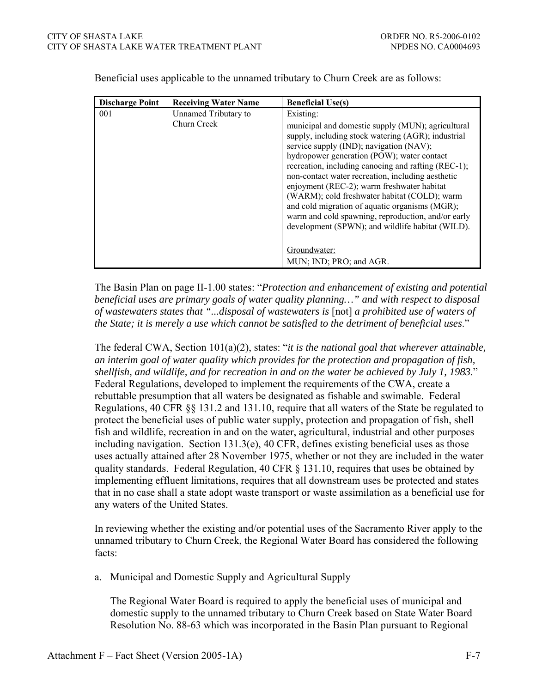| <b>Discharge Point</b> | <b>Receiving Water Name</b>         | <b>Beneficial Use(s)</b>                                                                                                                                                                                                                                                                                                                                                                                                                                                                                                                                                                                                       |
|------------------------|-------------------------------------|--------------------------------------------------------------------------------------------------------------------------------------------------------------------------------------------------------------------------------------------------------------------------------------------------------------------------------------------------------------------------------------------------------------------------------------------------------------------------------------------------------------------------------------------------------------------------------------------------------------------------------|
| 001                    | Unnamed Tributary to<br>Churn Creek | Existing:<br>municipal and domestic supply (MUN); agricultural<br>supply, including stock watering (AGR); industrial<br>service supply (IND); navigation (NAV);<br>hydropower generation (POW); water contact<br>recreation, including canoeing and rafting (REC-1);<br>non-contact water recreation, including aesthetic<br>enjoyment (REC-2); warm freshwater habitat<br>(WARM); cold freshwater habitat (COLD); warm<br>and cold migration of aquatic organisms (MGR);<br>warm and cold spawning, reproduction, and/or early<br>development (SPWN); and wildlife habitat (WILD).<br>Groundwater:<br>MUN; IND; PRO; and AGR. |

Beneficial uses applicable to the unnamed tributary to Churn Creek are as follows:

The Basin Plan on page II-1.00 states: "*Protection and enhancement of existing and potential beneficial uses are primary goals of water quality planning…" and with respect to disposal of wastewaters states that "...disposal of wastewaters is* [not] *a prohibited use of waters of the State; it is merely a use which cannot be satisfied to the detriment of beneficial uses*."

The federal CWA, Section 101(a)(2), states: "*it is the national goal that wherever attainable, an interim goal of water quality which provides for the protection and propagation of fish, shellfish, and wildlife, and for recreation in and on the water be achieved by July 1, 1983*." Federal Regulations, developed to implement the requirements of the CWA, create a rebuttable presumption that all waters be designated as fishable and swimable. Federal Regulations, 40 CFR §§ 131.2 and 131.10, require that all waters of the State be regulated to protect the beneficial uses of public water supply, protection and propagation of fish, shell fish and wildlife, recreation in and on the water, agricultural, industrial and other purposes including navigation. Section 131.3(e), 40 CFR, defines existing beneficial uses as those uses actually attained after 28 November 1975, whether or not they are included in the water quality standards. Federal Regulation, 40 CFR § 131.10, requires that uses be obtained by implementing effluent limitations, requires that all downstream uses be protected and states that in no case shall a state adopt waste transport or waste assimilation as a beneficial use for any waters of the United States.

In reviewing whether the existing and/or potential uses of the Sacramento River apply to the unnamed tributary to Churn Creek, the Regional Water Board has considered the following facts:

a. Municipal and Domestic Supply and Agricultural Supply

The Regional Water Board is required to apply the beneficial uses of municipal and domestic supply to the unnamed tributary to Churn Creek based on State Water Board Resolution No. 88-63 which was incorporated in the Basin Plan pursuant to Regional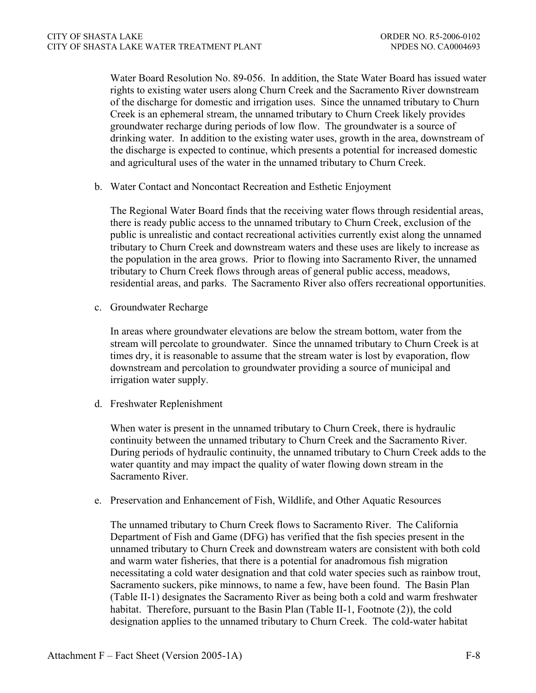Water Board Resolution No. 89-056. In addition, the State Water Board has issued water rights to existing water users along Churn Creek and the Sacramento River downstream of the discharge for domestic and irrigation uses. Since the unnamed tributary to Churn Creek is an ephemeral stream, the unnamed tributary to Churn Creek likely provides groundwater recharge during periods of low flow. The groundwater is a source of drinking water. In addition to the existing water uses, growth in the area, downstream of the discharge is expected to continue, which presents a potential for increased domestic and agricultural uses of the water in the unnamed tributary to Churn Creek.

b. Water Contact and Noncontact Recreation and Esthetic Enjoyment

The Regional Water Board finds that the receiving water flows through residential areas, there is ready public access to the unnamed tributary to Churn Creek, exclusion of the public is unrealistic and contact recreational activities currently exist along the unnamed tributary to Churn Creek and downstream waters and these uses are likely to increase as the population in the area grows. Prior to flowing into Sacramento River, the unnamed tributary to Churn Creek flows through areas of general public access, meadows, residential areas, and parks. The Sacramento River also offers recreational opportunities.

c. Groundwater Recharge

In areas where groundwater elevations are below the stream bottom, water from the stream will percolate to groundwater. Since the unnamed tributary to Churn Creek is at times dry, it is reasonable to assume that the stream water is lost by evaporation, flow downstream and percolation to groundwater providing a source of municipal and irrigation water supply.

d. Freshwater Replenishment

When water is present in the unnamed tributary to Churn Creek, there is hydraulic continuity between the unnamed tributary to Churn Creek and the Sacramento River. During periods of hydraulic continuity, the unnamed tributary to Churn Creek adds to the water quantity and may impact the quality of water flowing down stream in the Sacramento River.

e. Preservation and Enhancement of Fish, Wildlife, and Other Aquatic Resources

The unnamed tributary to Churn Creek flows to Sacramento River. The California Department of Fish and Game (DFG) has verified that the fish species present in the unnamed tributary to Churn Creek and downstream waters are consistent with both cold and warm water fisheries, that there is a potential for anadromous fish migration necessitating a cold water designation and that cold water species such as rainbow trout, Sacramento suckers, pike minnows, to name a few, have been found. The Basin Plan (Table II-1) designates the Sacramento River as being both a cold and warm freshwater habitat. Therefore, pursuant to the Basin Plan (Table II-1, Footnote (2)), the cold designation applies to the unnamed tributary to Churn Creek. The cold-water habitat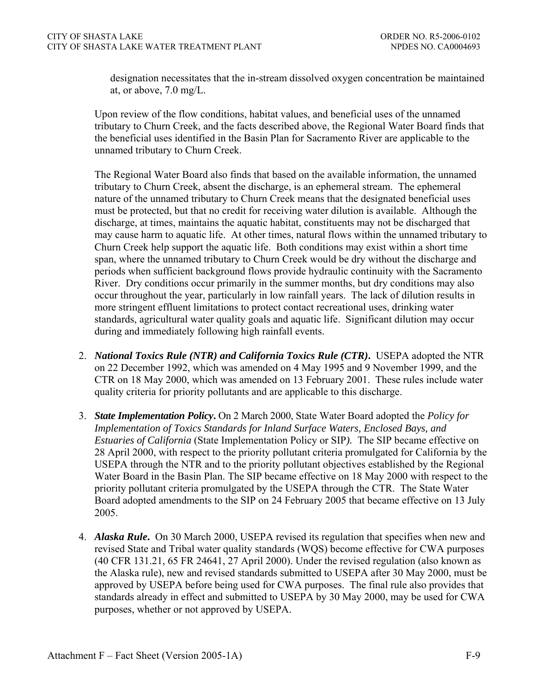designation necessitates that the in-stream dissolved oxygen concentration be maintained at, or above, 7.0 mg/L.

Upon review of the flow conditions, habitat values, and beneficial uses of the unnamed tributary to Churn Creek, and the facts described above, the Regional Water Board finds that the beneficial uses identified in the Basin Plan for Sacramento River are applicable to the unnamed tributary to Churn Creek.

The Regional Water Board also finds that based on the available information, the unnamed tributary to Churn Creek, absent the discharge, is an ephemeral stream. The ephemeral nature of the unnamed tributary to Churn Creek means that the designated beneficial uses must be protected, but that no credit for receiving water dilution is available. Although the discharge, at times, maintains the aquatic habitat, constituents may not be discharged that may cause harm to aquatic life. At other times, natural flows within the unnamed tributary to Churn Creek help support the aquatic life. Both conditions may exist within a short time span, where the unnamed tributary to Churn Creek would be dry without the discharge and periods when sufficient background flows provide hydraulic continuity with the Sacramento River. Dry conditions occur primarily in the summer months, but dry conditions may also occur throughout the year, particularly in low rainfall years. The lack of dilution results in more stringent effluent limitations to protect contact recreational uses, drinking water standards, agricultural water quality goals and aquatic life. Significant dilution may occur during and immediately following high rainfall events.

- 2. *National Toxics Rule (NTR) and California Toxics Rule (CTR)***.** USEPA adopted the NTR on 22 December 1992, which was amended on 4 May 1995 and 9 November 1999, and the CTR on 18 May 2000, which was amended on 13 February 2001. These rules include water quality criteria for priority pollutants and are applicable to this discharge.
- 3. *State Implementation Policy***.** On 2 March 2000, State Water Board adopted the *Policy for Implementation of Toxics Standards for Inland Surface Waters, Enclosed Bays, and Estuaries of California* (State Implementation Policy or SIP*).* The SIP became effective on 28 April 2000, with respect to the priority pollutant criteria promulgated for California by the USEPA through the NTR and to the priority pollutant objectives established by the Regional Water Board in the Basin Plan. The SIP became effective on 18 May 2000 with respect to the priority pollutant criteria promulgated by the USEPA through the CTR. The State Water Board adopted amendments to the SIP on 24 February 2005 that became effective on 13 July 2005.
- 4. *Alaska Rule***.** On 30 March 2000, USEPA revised its regulation that specifies when new and revised State and Tribal water quality standards (WQS) become effective for CWA purposes (40 CFR 131.21, 65 FR 24641, 27 April 2000). Under the revised regulation (also known as the Alaska rule), new and revised standards submitted to USEPA after 30 May 2000, must be approved by USEPA before being used for CWA purposes. The final rule also provides that standards already in effect and submitted to USEPA by 30 May 2000, may be used for CWA purposes, whether or not approved by USEPA.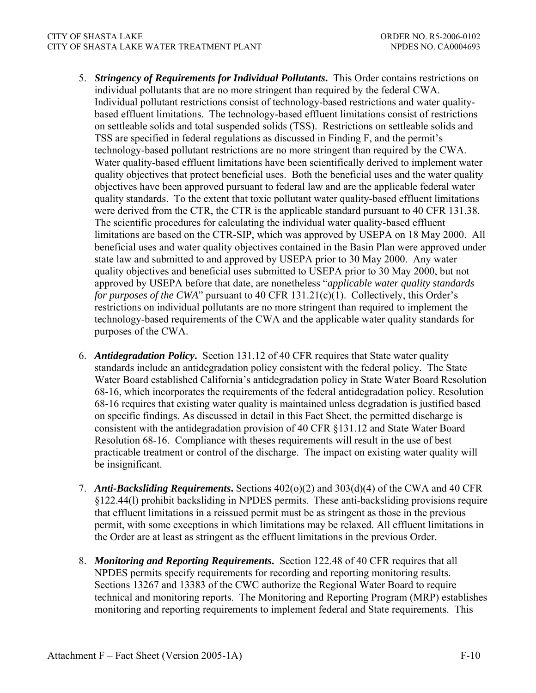#### CITY OF SHASTA LAKE ORDER NO. R5-2006-0102 CITY OF SHASTA LAKE WATER TREATMENT PLANT NETWORK AND MEDES NO. CA0004693

- 5. *Stringency of Requirements for Individual Pollutants***.** This Order contains restrictions on individual pollutants that are no more stringent than required by the federal CWA. Individual pollutant restrictions consist of technology-based restrictions and water qualitybased effluent limitations. The technology-based effluent limitations consist of restrictions on settleable solids and total suspended solids (TSS). Restrictions on settleable solids and TSS are specified in federal regulations as discussed in Finding F, and the permit's technology-based pollutant restrictions are no more stringent than required by the CWA. Water quality-based effluent limitations have been scientifically derived to implement water quality objectives that protect beneficial uses. Both the beneficial uses and the water quality objectives have been approved pursuant to federal law and are the applicable federal water quality standards. To the extent that toxic pollutant water quality-based effluent limitations were derived from the CTR, the CTR is the applicable standard pursuant to 40 CFR 131.38. The scientific procedures for calculating the individual water quality-based effluent limitations are based on the CTR-SIP, which was approved by USEPA on 18 May 2000. All beneficial uses and water quality objectives contained in the Basin Plan were approved under state law and submitted to and approved by USEPA prior to 30 May 2000. Any water quality objectives and beneficial uses submitted to USEPA prior to 30 May 2000, but not approved by USEPA before that date, are nonetheless "*applicable water quality standards for purposes of the CWA*" pursuant to 40 CFR 131.21(c)(1). Collectively, this Order's restrictions on individual pollutants are no more stringent than required to implement the technology-based requirements of the CWA and the applicable water quality standards for purposes of the CWA.
- 6. *Antidegradation Policy***.** Section 131.12 of 40 CFR requires that State water quality standards include an antidegradation policy consistent with the federal policy. The State Water Board established California's antidegradation policy in State Water Board Resolution 68-16, which incorporates the requirements of the federal antidegradation policy. Resolution 68-16 requires that existing water quality is maintained unless degradation is justified based on specific findings. As discussed in detail in this Fact Sheet, the permitted discharge is consistent with the antidegradation provision of 40 CFR §131.12 and State Water Board Resolution 68-16. Compliance with theses requirements will result in the use of best practicable treatment or control of the discharge. The impact on existing water quality will be insignificant.
- 7. *Anti-Backsliding Requirements***.** Sections 402(o)(2) and 303(d)(4) of the CWA and 40 CFR §122.44(l) prohibit backsliding in NPDES permits. These anti-backsliding provisions require that effluent limitations in a reissued permit must be as stringent as those in the previous permit, with some exceptions in which limitations may be relaxed. All effluent limitations in the Order are at least as stringent as the effluent limitations in the previous Order.
- 8. *Monitoring and Reporting Requirements***.** Section 122.48 of 40 CFR requires that all NPDES permits specify requirements for recording and reporting monitoring results. Sections 13267 and 13383 of the CWC authorize the Regional Water Board to require technical and monitoring reports. The Monitoring and Reporting Program (MRP) establishes monitoring and reporting requirements to implement federal and State requirements. This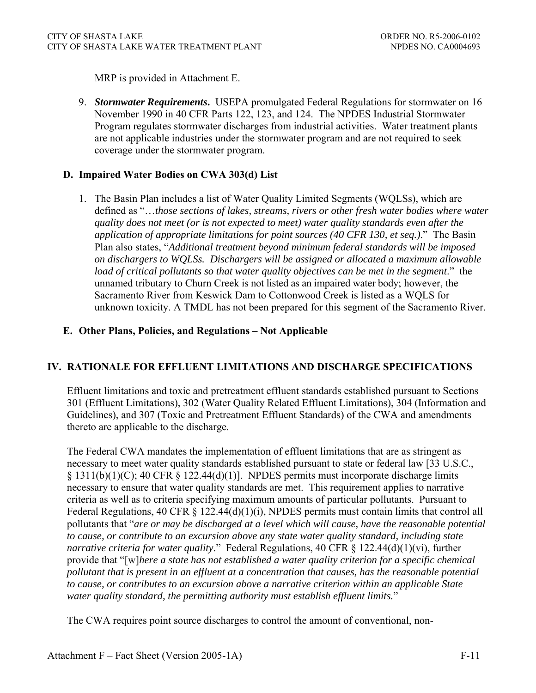MRP is provided in Attachment E.

9. *Stormwater Requirements***.** USEPA promulgated Federal Regulations for stormwater on 16 November 1990 in 40 CFR Parts 122, 123, and 124. The NPDES Industrial Stormwater Program regulates stormwater discharges from industrial activities. Water treatment plants are not applicable industries under the stormwater program and are not required to seek coverage under the stormwater program.

### **D. Impaired Water Bodies on CWA 303(d) List**

1. The Basin Plan includes a list of Water Quality Limited Segments (WQLSs), which are defined as "…*those sections of lakes, streams, rivers or other fresh water bodies where water quality does not meet (or is not expected to meet) water quality standards even after the application of appropriate limitations for point sources (40 CFR 130, et seq.)*." The Basin Plan also states, "*Additional treatment beyond minimum federal standards will be imposed on dischargers to WQLSs. Dischargers will be assigned or allocated a maximum allowable load of critical pollutants so that water quality objectives can be met in the segment*." the unnamed tributary to Churn Creek is not listed as an impaired water body; however, the Sacramento River from Keswick Dam to Cottonwood Creek is listed as a WQLS for unknown toxicity. A TMDL has not been prepared for this segment of the Sacramento River.

### **E. Other Plans, Policies, and Regulations – Not Applicable**

## **IV. RATIONALE FOR EFFLUENT LIMITATIONS AND DISCHARGE SPECIFICATIONS**

Effluent limitations and toxic and pretreatment effluent standards established pursuant to Sections 301 (Effluent Limitations), 302 (Water Quality Related Effluent Limitations), 304 (Information and Guidelines), and 307 (Toxic and Pretreatment Effluent Standards) of the CWA and amendments thereto are applicable to the discharge.

The Federal CWA mandates the implementation of effluent limitations that are as stringent as necessary to meet water quality standards established pursuant to state or federal law [33 U.S.C.,  $\S$  1311(b)(1)(C); 40 CFR  $\S$  122.44(d)(1)]. NPDES permits must incorporate discharge limits necessary to ensure that water quality standards are met. This requirement applies to narrative criteria as well as to criteria specifying maximum amounts of particular pollutants. Pursuant to Federal Regulations, 40 CFR § 122.44(d)(1)(i), NPDES permits must contain limits that control all pollutants that "*are or may be discharged at a level which will cause, have the reasonable potential to cause, or contribute to an excursion above any state water quality standard, including state narrative criteria for water quality*." Federal Regulations, 40 CFR § 122.44(d)(1)(vi), further provide that "[w]*here a state has not established a water quality criterion for a specific chemical pollutant that is present in an effluent at a concentration that causes, has the reasonable potential to cause, or contributes to an excursion above a narrative criterion within an applicable State water quality standard, the permitting authority must establish effluent limits.*"

The CWA requires point source discharges to control the amount of conventional, non-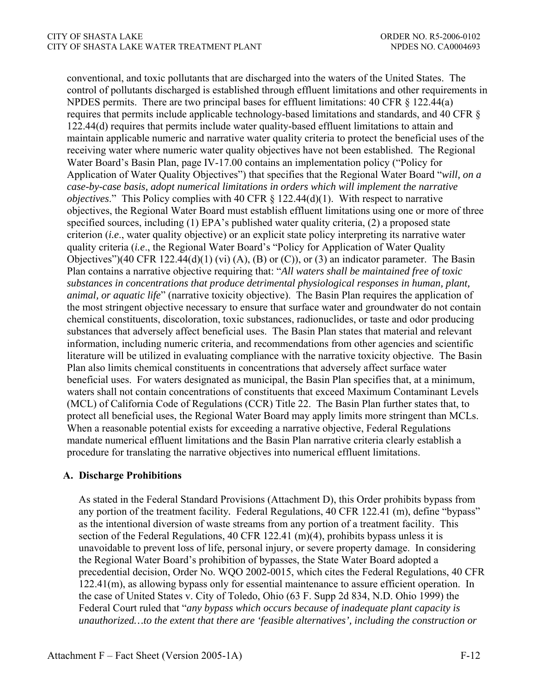conventional, and toxic pollutants that are discharged into the waters of the United States. The control of pollutants discharged is established through effluent limitations and other requirements in NPDES permits. There are two principal bases for effluent limitations: 40 CFR § 122.44(a) requires that permits include applicable technology-based limitations and standards, and 40 CFR § 122.44(d) requires that permits include water quality-based effluent limitations to attain and maintain applicable numeric and narrative water quality criteria to protect the beneficial uses of the receiving water where numeric water quality objectives have not been established. The Regional Water Board's Basin Plan, page IV-17.00 contains an implementation policy ("Policy for Application of Water Quality Objectives") that specifies that the Regional Water Board "*will, on a case-by-case basis, adopt numerical limitations in orders which will implement the narrative objectives.*" This Policy complies with 40 CFR § 122.44(d)(1). With respect to narrative objectives, the Regional Water Board must establish effluent limitations using one or more of three specified sources, including (1) EPA's published water quality criteria, (2) a proposed state criterion (*i.e*., water quality objective) or an explicit state policy interpreting its narrative water quality criteria (*i.e*., the Regional Water Board's "Policy for Application of Water Quality Objectives")(40 CFR 122.44(d)(1) (vi) (A), (B) or (C)), or (3) an indicator parameter. The Basin Plan contains a narrative objective requiring that: "*All waters shall be maintained free of toxic substances in concentrations that produce detrimental physiological responses in human, plant, animal, or aquatic life*" (narrative toxicity objective). The Basin Plan requires the application of the most stringent objective necessary to ensure that surface water and groundwater do not contain chemical constituents, discoloration, toxic substances, radionuclides, or taste and odor producing substances that adversely affect beneficial uses. The Basin Plan states that material and relevant information, including numeric criteria, and recommendations from other agencies and scientific literature will be utilized in evaluating compliance with the narrative toxicity objective. The Basin Plan also limits chemical constituents in concentrations that adversely affect surface water beneficial uses. For waters designated as municipal, the Basin Plan specifies that, at a minimum, waters shall not contain concentrations of constituents that exceed Maximum Contaminant Levels (MCL) of California Code of Regulations (CCR) Title 22. The Basin Plan further states that, to protect all beneficial uses, the Regional Water Board may apply limits more stringent than MCLs. When a reasonable potential exists for exceeding a narrative objective, Federal Regulations mandate numerical effluent limitations and the Basin Plan narrative criteria clearly establish a procedure for translating the narrative objectives into numerical effluent limitations.

## **A. Discharge Prohibitions**

As stated in the Federal Standard Provisions (Attachment D), this Order prohibits bypass from any portion of the treatment facility*.* Federal Regulations, 40 CFR 122.41 (m), define "bypass" as the intentional diversion of waste streams from any portion of a treatment facility. This section of the Federal Regulations, 40 CFR 122.41 (m)(4), prohibits bypass unless it is unavoidable to prevent loss of life, personal injury, or severe property damage. In considering the Regional Water Board's prohibition of bypasses, the State Water Board adopted a precedential decision, Order No. WQO 2002-0015, which cites the Federal Regulations, 40 CFR 122.41(m), as allowing bypass only for essential maintenance to assure efficient operation. In the case of United States v. City of Toledo, Ohio (63 F. Supp 2d 834, N.D. Ohio 1999) the Federal Court ruled that "*any bypass which occurs because of inadequate plant capacity is unauthorized…to the extent that there are 'feasible alternatives', including the construction or*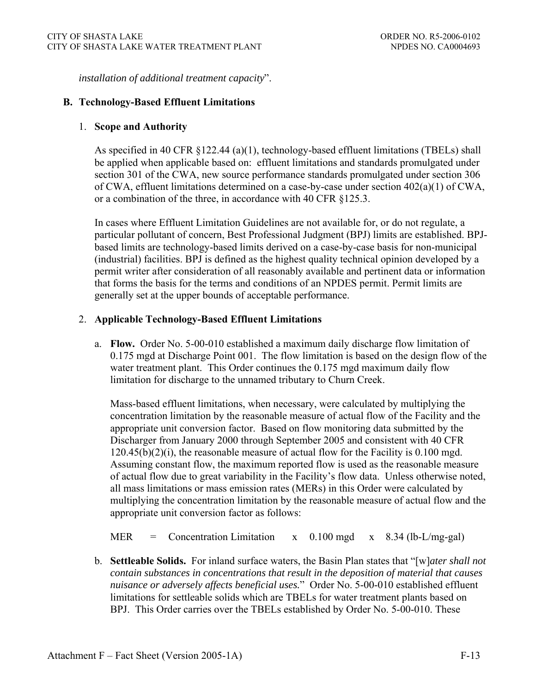*installation of additional treatment capacity*".

### **B. Technology-Based Effluent Limitations**

### 1. **Scope and Authority**

As specified in 40 CFR §122.44 (a)(1), technology-based effluent limitations (TBELs) shall be applied when applicable based on: effluent limitations and standards promulgated under section 301 of the CWA, new source performance standards promulgated under section 306 of CWA, effluent limitations determined on a case-by-case under section 402(a)(1) of CWA, or a combination of the three, in accordance with 40 CFR §125.3.

In cases where Effluent Limitation Guidelines are not available for, or do not regulate, a particular pollutant of concern, Best Professional Judgment (BPJ) limits are established. BPJbased limits are technology-based limits derived on a case-by-case basis for non-municipal (industrial) facilities. BPJ is defined as the highest quality technical opinion developed by a permit writer after consideration of all reasonably available and pertinent data or information that forms the basis for the terms and conditions of an NPDES permit. Permit limits are generally set at the upper bounds of acceptable performance.

### 2. **Applicable Technology-Based Effluent Limitations**

a. **Flow.** Order No. 5-00-010 established a maximum daily discharge flow limitation of 0.175 mgd at Discharge Point 001. The flow limitation is based on the design flow of the water treatment plant. This Order continues the 0.175 mgd maximum daily flow limitation for discharge to the unnamed tributary to Churn Creek.

Mass-based effluent limitations, when necessary, were calculated by multiplying the concentration limitation by the reasonable measure of actual flow of the Facility and the appropriate unit conversion factor. Based on flow monitoring data submitted by the Discharger from January 2000 through September 2005 and consistent with 40 CFR 120.45(b)(2)(i), the reasonable measure of actual flow for the Facility is 0.100 mgd. Assuming constant flow, the maximum reported flow is used as the reasonable measure of actual flow due to great variability in the Facility's flow data. Unless otherwise noted, all mass limitations or mass emission rates (MERs) in this Order were calculated by multiplying the concentration limitation by the reasonable measure of actual flow and the appropriate unit conversion factor as follows:

- MER = Concentration Limitation  $x = 0.100$  mgd  $x = 8.34$  (lb-L/mg-gal)
- b. **Settleable Solids.** For inland surface waters, the Basin Plan states that "[w]*ater shall not contain substances in concentrations that result in the deposition of material that causes nuisance or adversely affects beneficial uses.*" Order No. 5-00-010 established effluent limitations for settleable solids which are TBELs for water treatment plants based on BPJ. This Order carries over the TBELs established by Order No. 5-00-010. These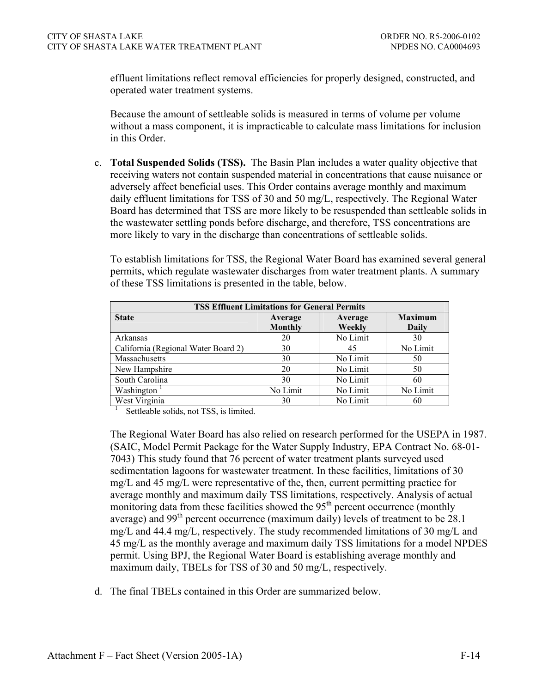effluent limitations reflect removal efficiencies for properly designed, constructed, and operated water treatment systems.

Because the amount of settleable solids is measured in terms of volume per volume without a mass component, it is impracticable to calculate mass limitations for inclusion in this Order.

c. **Total Suspended Solids (TSS).** The Basin Plan includes a water quality objective that receiving waters not contain suspended material in concentrations that cause nuisance or adversely affect beneficial uses. This Order contains average monthly and maximum daily effluent limitations for TSS of 30 and 50 mg/L, respectively. The Regional Water Board has determined that TSS are more likely to be resuspended than settleable solids in the wastewater settling ponds before discharge, and therefore, TSS concentrations are more likely to vary in the discharge than concentrations of settleable solids.

To establish limitations for TSS, the Regional Water Board has examined several general permits, which regulate wastewater discharges from water treatment plants. A summary of these TSS limitations is presented in the table, below.

| <b>TSS Effluent Limitations for General Permits</b> |                |          |                |  |  |
|-----------------------------------------------------|----------------|----------|----------------|--|--|
| <b>State</b>                                        | Average        | Average  | <b>Maximum</b> |  |  |
|                                                     | <b>Monthly</b> | Weekly   | Daily          |  |  |
| Arkansas                                            | 20             | No Limit | 30             |  |  |
| California (Regional Water Board 2)                 | 30             | 45       | No Limit       |  |  |
| Massachusetts                                       | 30             | No Limit | 50             |  |  |
| New Hampshire                                       | 20             | No Limit | 50             |  |  |
| South Carolina                                      | 30             | No Limit | 60             |  |  |
| Washington                                          | No Limit       | No Limit | No Limit       |  |  |
| West Virginia                                       | 30             | No Limit | 60             |  |  |

Settleable solids, not TSS, is limited.

1

The Regional Water Board has also relied on research performed for the USEPA in 1987. (SAIC, Model Permit Package for the Water Supply Industry, EPA Contract No. 68-01- 7043) This study found that 76 percent of water treatment plants surveyed used sedimentation lagoons for wastewater treatment. In these facilities, limitations of 30 mg/L and 45 mg/L were representative of the, then, current permitting practice for average monthly and maximum daily TSS limitations, respectively. Analysis of actual monitoring data from these facilities showed the  $95<sup>th</sup>$  percent occurrence (monthly average) and 99<sup>th</sup> percent occurrence (maximum daily) levels of treatment to be  $28.1$ mg/L and 44.4 mg/L, respectively. The study recommended limitations of 30 mg/L and 45 mg/L as the monthly average and maximum daily TSS limitations for a model NPDES permit. Using BPJ, the Regional Water Board is establishing average monthly and maximum daily, TBELs for TSS of 30 and 50 mg/L, respectively.

d. The final TBELs contained in this Order are summarized below.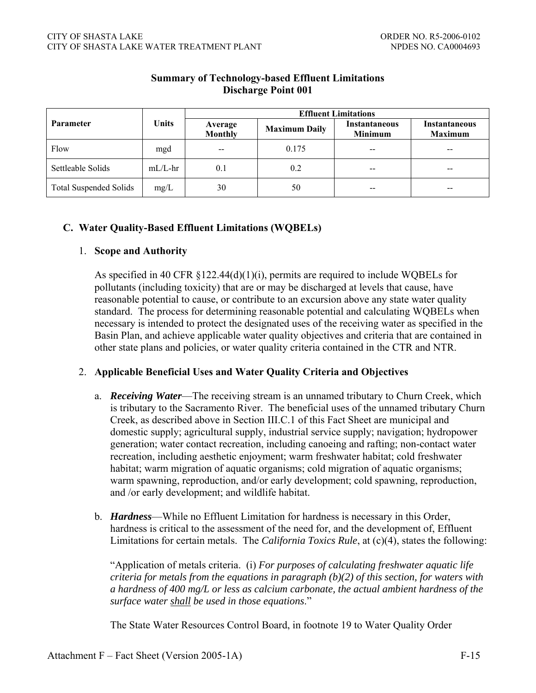|                               |            | <b>Effluent Limitations</b> |                      |                                        |                                        |  |
|-------------------------------|------------|-----------------------------|----------------------|----------------------------------------|----------------------------------------|--|
| Parameter                     | Units      | Average<br><b>Monthly</b>   | <b>Maximum Daily</b> | <b>Instantaneous</b><br><b>Minimum</b> | <b>Instantaneous</b><br><b>Maximum</b> |  |
| Flow                          | mgd        | $- -$                       | 0.175                | $- -$                                  | --                                     |  |
| Settleable Solids             | $mL/L$ -hr | 0.1                         | 0.2                  |                                        | --                                     |  |
| <b>Total Suspended Solids</b> | mg/L       | 30                          | 50                   | --                                     | $- -$                                  |  |

# **Summary of Technology-based Effluent Limitations Discharge Point 001**

## **C. Water Quality-Based Effluent Limitations (WQBELs)**

### 1. **Scope and Authority**

As specified in 40 CFR §122.44(d)(1)(i), permits are required to include WQBELs for pollutants (including toxicity) that are or may be discharged at levels that cause, have reasonable potential to cause, or contribute to an excursion above any state water quality standard. The process for determining reasonable potential and calculating WQBELs when necessary is intended to protect the designated uses of the receiving water as specified in the Basin Plan, and achieve applicable water quality objectives and criteria that are contained in other state plans and policies, or water quality criteria contained in the CTR and NTR.

## 2. **Applicable Beneficial Uses and Water Quality Criteria and Objectives**

- a. *Receiving Water*—The receiving stream is an unnamed tributary to Churn Creek, which is tributary to the Sacramento River. The beneficial uses of the unnamed tributary Churn Creek, as described above in Section III.C.1 of this Fact Sheet are municipal and domestic supply; agricultural supply, industrial service supply; navigation; hydropower generation; water contact recreation, including canoeing and rafting; non-contact water recreation, including aesthetic enjoyment; warm freshwater habitat; cold freshwater habitat; warm migration of aquatic organisms; cold migration of aquatic organisms; warm spawning, reproduction, and/or early development; cold spawning, reproduction, and /or early development; and wildlife habitat.
- b. *Hardness*—While no Effluent Limitation for hardness is necessary in this Order, hardness is critical to the assessment of the need for, and the development of, Effluent Limitations for certain metals. The *California Toxics Rule*, at (c)(4), states the following:

"Application of metals criteria. (i) *For purposes of calculating freshwater aquatic life criteria for metals from the equations in paragraph (b)(2) of this section, for waters with a hardness of 400 mg/L or less as calcium carbonate, the actual ambient hardness of the surface water shall be used in those equations*."

The State Water Resources Control Board, in footnote 19 to Water Quality Order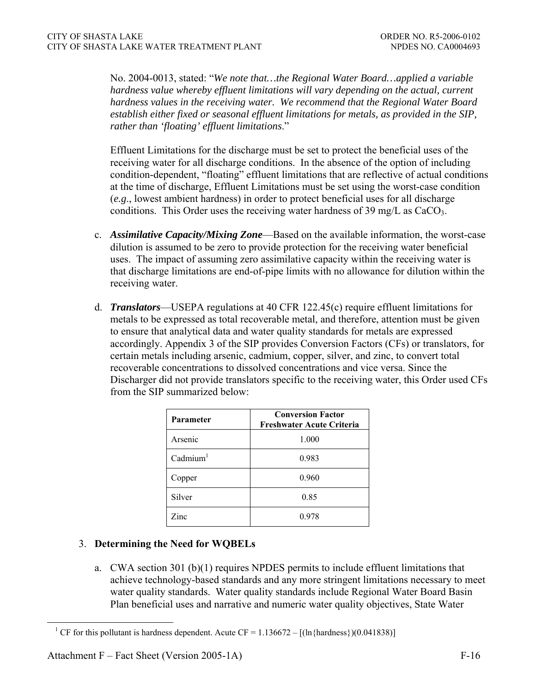No. 2004-0013, stated: "*We note that…the Regional Water Board…applied a variable hardness value whereby effluent limitations will vary depending on the actual, current hardness values in the receiving water. We recommend that the Regional Water Board establish either fixed or seasonal effluent limitations for metals, as provided in the SIP, rather than 'floating' effluent limitations*."

Effluent Limitations for the discharge must be set to protect the beneficial uses of the receiving water for all discharge conditions. In the absence of the option of including condition-dependent, "floating" effluent limitations that are reflective of actual conditions at the time of discharge, Effluent Limitations must be set using the worst-case condition (*e.g*., lowest ambient hardness) in order to protect beneficial uses for all discharge conditions. This Order uses the receiving water hardness of 39 mg/L as  $CaCO<sub>3</sub>$ .

- c. *Assimilative Capacity/Mixing Zone*—Based on the available information, the worst-case dilution is assumed to be zero to provide protection for the receiving water beneficial uses. The impact of assuming zero assimilative capacity within the receiving water is that discharge limitations are end-of-pipe limits with no allowance for dilution within the receiving water.
- d. *Translators*—USEPA regulations at 40 CFR 122.45(c) require effluent limitations for metals to be expressed as total recoverable metal, and therefore, attention must be given to ensure that analytical data and water quality standards for metals are expressed accordingly. Appendix 3 of the SIP provides Conversion Factors (CFs) or translators, for certain metals including arsenic, cadmium, copper, silver, and zinc, to convert total recoverable concentrations to dissolved concentrations and vice versa. Since the Discharger did not provide translators specific to the receiving water, this Order used CFs from the SIP summarized below:

| <b>Parameter</b>      | <b>Conversion Factor</b><br>Freshwater Acute Criteria |  |  |  |  |
|-----------------------|-------------------------------------------------------|--|--|--|--|
| Arsenic               | 1.000                                                 |  |  |  |  |
| $C^{\text{admium}^1}$ | 0.983                                                 |  |  |  |  |
| Copper                | 0.960                                                 |  |  |  |  |
| Silver                | 0.85                                                  |  |  |  |  |
| Zinc                  | 0.978                                                 |  |  |  |  |

# 3. **Determining the Need for WQBELs**

a. CWA section 301 (b)(1) requires NPDES permits to include effluent limitations that achieve technology-based standards and any more stringent limitations necessary to meet water quality standards. Water quality standards include Regional Water Board Basin Plan beneficial uses and narrative and numeric water quality objectives, State Water

<sup>&</sup>lt;sup>1</sup> CF for this pollutant is hardness dependent. Acute CF =  $1.136672 - [(\ln{\text{hardness}})(0.041838)]$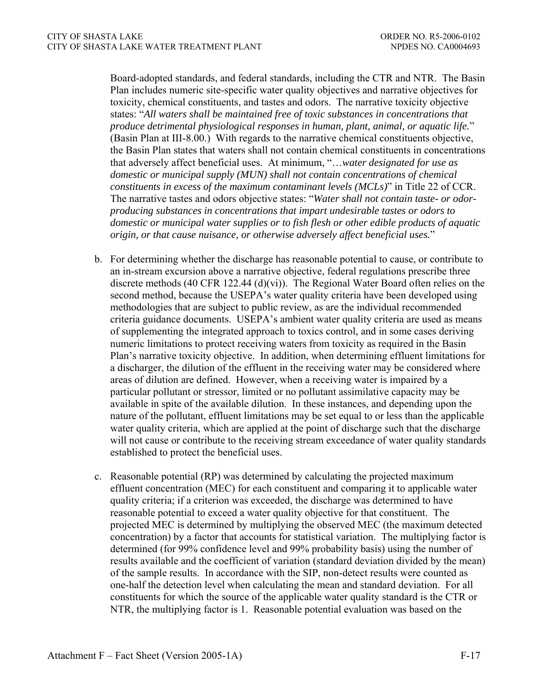Board-adopted standards, and federal standards, including the CTR and NTR. The Basin Plan includes numeric site-specific water quality objectives and narrative objectives for toxicity, chemical constituents, and tastes and odors. The narrative toxicity objective states: "*All waters shall be maintained free of toxic substances in concentrations that produce detrimental physiological responses in human, plant, animal, or aquatic life.*" (Basin Plan at III-8.00.) With regards to the narrative chemical constituents objective, the Basin Plan states that waters shall not contain chemical constituents in concentrations that adversely affect beneficial uses. At minimum, "…*water designated for use as domestic or municipal supply (MUN) shall not contain concentrations of chemical constituents in excess of the maximum contaminant levels (MCLs)*" in Title 22 of CCR. The narrative tastes and odors objective states: "*Water shall not contain taste- or odorproducing substances in concentrations that impart undesirable tastes or odors to domestic or municipal water supplies or to fish flesh or other edible products of aquatic origin, or that cause nuisance, or otherwise adversely affect beneficial uses.*"

- b. For determining whether the discharge has reasonable potential to cause, or contribute to an in-stream excursion above a narrative objective, federal regulations prescribe three discrete methods (40 CFR 122.44 (d)(vi)). The Regional Water Board often relies on the second method, because the USEPA's water quality criteria have been developed using methodologies that are subject to public review, as are the individual recommended criteria guidance documents. USEPA's ambient water quality criteria are used as means of supplementing the integrated approach to toxics control, and in some cases deriving numeric limitations to protect receiving waters from toxicity as required in the Basin Plan's narrative toxicity objective. In addition, when determining effluent limitations for a discharger, the dilution of the effluent in the receiving water may be considered where areas of dilution are defined. However, when a receiving water is impaired by a particular pollutant or stressor, limited or no pollutant assimilative capacity may be available in spite of the available dilution. In these instances, and depending upon the nature of the pollutant, effluent limitations may be set equal to or less than the applicable water quality criteria, which are applied at the point of discharge such that the discharge will not cause or contribute to the receiving stream exceedance of water quality standards established to protect the beneficial uses.
- c. Reasonable potential (RP) was determined by calculating the projected maximum effluent concentration (MEC) for each constituent and comparing it to applicable water quality criteria; if a criterion was exceeded, the discharge was determined to have reasonable potential to exceed a water quality objective for that constituent. The projected MEC is determined by multiplying the observed MEC (the maximum detected concentration) by a factor that accounts for statistical variation. The multiplying factor is determined (for 99% confidence level and 99% probability basis) using the number of results available and the coefficient of variation (standard deviation divided by the mean) of the sample results. In accordance with the SIP, non-detect results were counted as one-half the detection level when calculating the mean and standard deviation. For all constituents for which the source of the applicable water quality standard is the CTR or NTR, the multiplying factor is 1. Reasonable potential evaluation was based on the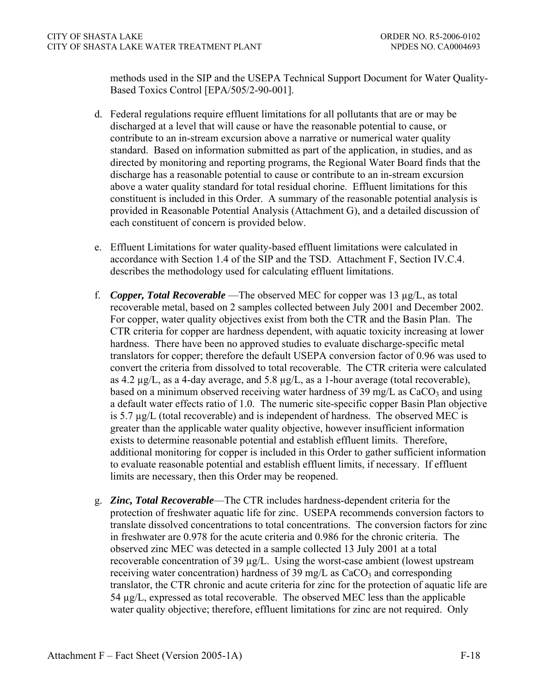methods used in the SIP and the USEPA Technical Support Document for Water Quality-Based Toxics Control [EPA/505/2-90-001].

- d. Federal regulations require effluent limitations for all pollutants that are or may be discharged at a level that will cause or have the reasonable potential to cause, or contribute to an in-stream excursion above a narrative or numerical water quality standard. Based on information submitted as part of the application, in studies, and as directed by monitoring and reporting programs, the Regional Water Board finds that the discharge has a reasonable potential to cause or contribute to an in-stream excursion above a water quality standard for total residual chorine. Effluent limitations for this constituent is included in this Order. A summary of the reasonable potential analysis is provided in Reasonable Potential Analysis (Attachment G), and a detailed discussion of each constituent of concern is provided below.
- e. Effluent Limitations for water quality-based effluent limitations were calculated in accordance with Section 1.4 of the SIP and the TSD. Attachment F, Section IV.C.4. describes the methodology used for calculating effluent limitations.
- f. *Copper, Total Recoverable* —The observed MEC for copper was 13 µg/L, as total recoverable metal, based on 2 samples collected between July 2001 and December 2002. For copper, water quality objectives exist from both the CTR and the Basin Plan. The CTR criteria for copper are hardness dependent, with aquatic toxicity increasing at lower hardness. There have been no approved studies to evaluate discharge-specific metal translators for copper; therefore the default USEPA conversion factor of 0.96 was used to convert the criteria from dissolved to total recoverable. The CTR criteria were calculated as 4.2  $\mu$ g/L, as a 4-day average, and 5.8  $\mu$ g/L, as a 1-hour average (total recoverable), based on a minimum observed receiving water hardness of 39 mg/L as  $CaCO<sub>3</sub>$  and using a default water effects ratio of 1.0. The numeric site-specific copper Basin Plan objective is 5.7 µg/L (total recoverable) and is independent of hardness. The observed MEC is greater than the applicable water quality objective, however insufficient information exists to determine reasonable potential and establish effluent limits. Therefore, additional monitoring for copper is included in this Order to gather sufficient information to evaluate reasonable potential and establish effluent limits, if necessary. If effluent limits are necessary, then this Order may be reopened.
- g. *Zinc, Total Recoverable*—The CTR includes hardness-dependent criteria for the protection of freshwater aquatic life for zinc. USEPA recommends conversion factors to translate dissolved concentrations to total concentrations. The conversion factors for zinc in freshwater are 0.978 for the acute criteria and 0.986 for the chronic criteria. The observed zinc MEC was detected in a sample collected 13 July 2001 at a total recoverable concentration of 39 µg/L. Using the worst-case ambient (lowest upstream receiving water concentration) hardness of 39 mg/L as  $CaCO<sub>3</sub>$  and corresponding translator, the CTR chronic and acute criteria for zinc for the protection of aquatic life are 54 µg/L, expressed as total recoverable. The observed MEC less than the applicable water quality objective; therefore, effluent limitations for zinc are not required. Only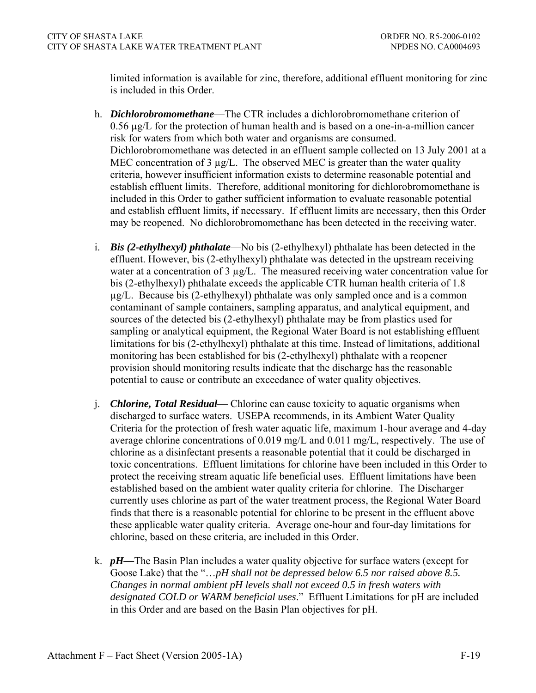limited information is available for zinc, therefore, additional effluent monitoring for zinc is included in this Order.

- h. *Dichlorobromomethane*—The CTR includes a dichlorobromomethane criterion of 0.56 µg/L for the protection of human health and is based on a one-in-a-million cancer risk for waters from which both water and organisms are consumed. Dichlorobromomethane was detected in an effluent sample collected on 13 July 2001 at a MEC concentration of 3 µg/L. The observed MEC is greater than the water quality criteria, however insufficient information exists to determine reasonable potential and establish effluent limits. Therefore, additional monitoring for dichlorobromomethane is included in this Order to gather sufficient information to evaluate reasonable potential and establish effluent limits, if necessary. If effluent limits are necessary, then this Order may be reopened. No dichlorobromomethane has been detected in the receiving water.
- i. *Bis (2-ethylhexyl) phthalate*—No bis (2-ethylhexyl) phthalate has been detected in the effluent. However, bis (2-ethylhexyl) phthalate was detected in the upstream receiving water at a concentration of  $3 \mu g/L$ . The measured receiving water concentration value for bis (2-ethylhexyl) phthalate exceeds the applicable CTR human health criteria of 1.8 µg/L. Because bis (2-ethylhexyl) phthalate was only sampled once and is a common contaminant of sample containers, sampling apparatus, and analytical equipment, and sources of the detected bis (2-ethylhexyl) phthalate may be from plastics used for sampling or analytical equipment, the Regional Water Board is not establishing effluent limitations for bis (2-ethylhexyl) phthalate at this time. Instead of limitations, additional monitoring has been established for bis (2-ethylhexyl) phthalate with a reopener provision should monitoring results indicate that the discharge has the reasonable potential to cause or contribute an exceedance of water quality objectives.
- j. *Chlorine, Total Residual* Chlorine can cause toxicity to aquatic organisms when discharged to surface waters. USEPA recommends, in its Ambient Water Quality Criteria for the protection of fresh water aquatic life, maximum 1-hour average and 4-day average chlorine concentrations of 0.019 mg/L and 0.011 mg/L, respectively. The use of chlorine as a disinfectant presents a reasonable potential that it could be discharged in toxic concentrations. Effluent limitations for chlorine have been included in this Order to protect the receiving stream aquatic life beneficial uses. Effluent limitations have been established based on the ambient water quality criteria for chlorine. The Discharger currently uses chlorine as part of the water treatment process, the Regional Water Board finds that there is a reasonable potential for chlorine to be present in the effluent above these applicable water quality criteria. Average one-hour and four-day limitations for chlorine, based on these criteria, are included in this Order.
- k. *pH—*The Basin Plan includes a water quality objective for surface waters (except for Goose Lake) that the "...pH shall not be depressed below 6.5 nor raised above 8.5. *Changes in normal ambient pH levels shall not exceed 0.5 in fresh waters with designated COLD or WARM beneficial uses*." Effluent Limitations for pH are included in this Order and are based on the Basin Plan objectives for pH.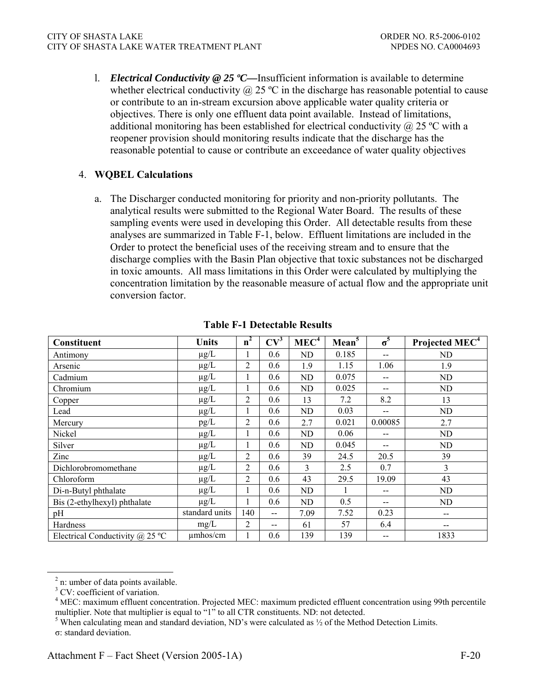l. *Electrical Conductivity @ 25 ºC—*Insufficient information is available to determine whether electrical conductivity  $\omega$  25 °C in the discharge has reasonable potential to cause or contribute to an in-stream excursion above applicable water quality criteria or objectives. There is only one effluent data point available. Instead of limitations, additional monitoring has been established for electrical conductivity  $\omega$  25 °C with a reopener provision should monitoring results indicate that the discharge has the reasonable potential to cause or contribute an exceedance of water quality objectives

## 4. **WQBEL Calculations**

a. The Discharger conducted monitoring for priority and non-priority pollutants. The analytical results were submitted to the Regional Water Board. The results of these sampling events were used in developing this Order. All detectable results from these analyses are summarized in Table F-1, below. Effluent limitations are included in the Order to protect the beneficial uses of the receiving stream and to ensure that the discharge complies with the Basin Plan objective that toxic substances not be discharged in toxic amounts. All mass limitations in this Order were calculated by multiplying the concentration limitation by the reasonable measure of actual flow and the appropriate unit conversion factor.

| Constituent                            | Units          | n <sup>2</sup> | $CV^3$                                | MEC <sup>4</sup> | Mean <sup>5</sup> | $\sigma^5$                            | Projected MEC <sup>4</sup> |
|----------------------------------------|----------------|----------------|---------------------------------------|------------------|-------------------|---------------------------------------|----------------------------|
| Antimony                               | $\mu$ g/L      | 1              | 0.6                                   | ND               | 0.185             | $\hspace{0.05cm}$ – $\hspace{0.05cm}$ | ND.                        |
| Arsenic                                | $\mu$ g/L      | $\overline{2}$ | 0.6                                   | 1.9              | 1.15              | 1.06                                  | 1.9                        |
| Cadmium                                | $\mu$ g/L      | 1              | 0.6                                   | ND.              | 0.075             | $\hspace{0.05cm}$ – $\hspace{0.05cm}$ | ND                         |
| Chromium                               | $\mu$ g/L      | $\mathbf{I}$   | 0.6                                   | ND.              | 0.025             | $- -$                                 | ND                         |
| Copper                                 | $\mu$ g/L      | $\overline{2}$ | 0.6                                   | 13               | 7.2               | 8.2                                   | 13                         |
| Lead                                   | $\mu$ g/L      | 1              | 0.6                                   | ND               | 0.03              | $\hspace{0.05cm}$ – $\hspace{0.05cm}$ | ND                         |
| Mercury                                | pg/L           | 2              | 0.6                                   | 2.7              | 0.021             | 0.00085                               | 2.7                        |
| Nickel                                 | $\mu g/L$      | 1              | 0.6                                   | ND.              | 0.06              | $-$                                   | ND                         |
| Silver                                 | $\mu$ g/L      | 1              | 0.6                                   | ND               | 0.045             | $\hspace{0.05cm}$ – $\hspace{0.05cm}$ | ND                         |
| Zinc                                   | $\mu$ g/L      | 2              | 0.6                                   | 39               | 24.5              | 20.5                                  | 39                         |
| Dichlorobromomethane                   | $\mu$ g/L      | 2              | 0.6                                   | 3                | 2.5               | 0.7                                   | $\overline{3}$             |
| Chloroform                             | $\mu$ g/L      | 2              | 0.6                                   | 43               | 29.5              | 19.09                                 | 43                         |
| Di-n-Butyl phthalate                   | $\mu$ g/L      | 1              | 0.6                                   | ND.              |                   | $- -$                                 | ND                         |
| Bis (2-ethylhexyl) phthalate           | $\mu$ g/L      | $\mathbf{1}$   | 0.6                                   | ND.              | 0.5               | $\hspace{0.05cm}$ – $\hspace{0.05cm}$ | <b>ND</b>                  |
| pH                                     | standard units | 140            | $\hspace{0.05cm}$ – $\hspace{0.05cm}$ | 7.09             | 7.52              | 0.23                                  | $- -$                      |
| Hardness                               | mg/L           | 2              | $\hspace{0.05cm}$ – $\hspace{0.05cm}$ | 61               | 57                | 6.4                                   | $- -$                      |
| Electrical Conductivity $\omega$ 25 °C | $\mu$ mhos/cm  |                | 0.6                                   | 139              | 139               | $\hspace{0.05cm}$ – $\hspace{0.05cm}$ | 1833                       |

#### **Table F-1 Detectable Results**

<sup>&</sup>lt;sup>2</sup> n: umber of data points available.

<sup>&</sup>lt;sup>3</sup> CV: coefficient of variation.

<sup>&</sup>lt;sup>4</sup> MEC: maximum effluent concentration. Projected MEC: maximum predicted effluent concentration using 99th percentile multiplier. Note that multiplier is equal to "1" to all CTR constituents. ND: not detected.

<sup>&</sup>lt;sup>5</sup> When calculating mean and standard deviation, ND's were calculated as  $\frac{1}{2}$  of the Method Detection Limits.

σ: standard deviation.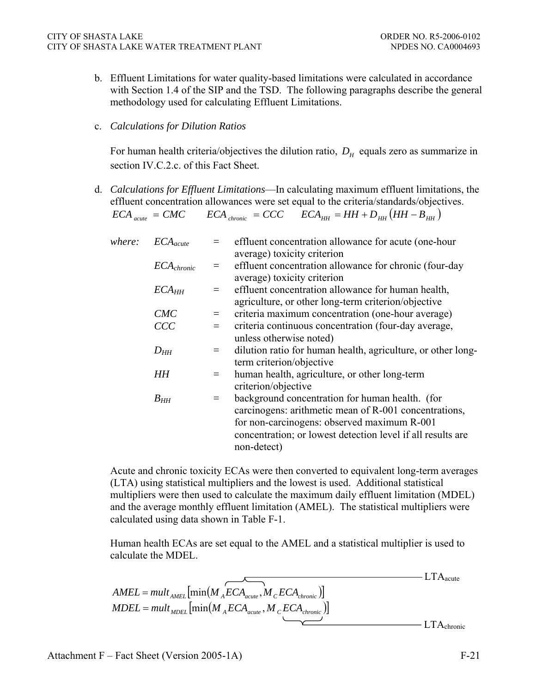b. Effluent Limitations for water quality-based limitations were calculated in accordance with Section 1.4 of the SIP and the TSD. The following paragraphs describe the general methodology used for calculating Effluent Limitations.

#### c. *Calculations for Dilution Ratios*

For human health criteria/objectives the dilution ratio,  $D_H$  equals zero as summarize in section IV.C.2.c. of this Fact Sheet.

d. *Calculations for Effluent Limitations*—In calculating maximum effluent limitations, the effluent concentration allowances were set equal to the criteria/standards/objectives.

$$
ECA_{\text{acute}} = CMC \qquad ECA_{\text{chromic}} = CCC \qquad ECA_{\text{HH}} = HH + D_{\text{HH}}(HH - B_{\text{HH}})
$$

| where: | $ECA_{acute}$     |     | effluent concentration allowance for acute (one-hour         |
|--------|-------------------|-----|--------------------------------------------------------------|
|        |                   |     | average) toxicity criterion                                  |
|        | $ECA_{chronic}$   |     | $=$ effluent concentration allowance for chronic (four-day   |
|        |                   |     | average) toxicity criterion                                  |
|        | ECA <sub>HH</sub> | $=$ | effluent concentration allowance for human health,           |
|        |                   |     | agriculture, or other long-term criterion/objective          |
|        | CMC               | $=$ | criteria maximum concentration (one-hour average)            |
|        | CCC               |     | criteria continuous concentration (four-day average,         |
|        |                   |     | unless otherwise noted)                                      |
|        | $D_{HH}$          | $=$ | dilution ratio for human health, agriculture, or other long- |
|        |                   |     | term criterion/objective                                     |
|        | HН                | $=$ | human health, agriculture, or other long-term                |
|        |                   |     | criterion/objective                                          |
|        | $B_{HH}$          | $=$ | background concentration for human health. (for              |
|        |                   |     | carcinogens: arithmetic mean of R-001 concentrations,        |
|        |                   |     | for non-carcinogens: observed maximum R-001                  |
|        |                   |     | concentration; or lowest detection level if all results are  |
|        |                   |     | non-detect)                                                  |
|        |                   |     |                                                              |

Acute and chronic toxicity ECAs were then converted to equivalent long-term averages (LTA) using statistical multipliers and the lowest is used. Additional statistical multipliers were then used to calculate the maximum daily effluent limitation (MDEL) and the average monthly effluent limitation (AMEL). The statistical multipliers were calculated using data shown in Table F-1.

Human health ECAs are set equal to the AMEL and a statistical multiplier is used to calculate the MDEL.

$$
AMEL = mult_{AMEL} [\min(M_{A}ECA_{acute}, M_{C}ECA_{chronic})]
$$
  

$$
MDEL = mult_{MDEL} [\min(M_{A}ECA_{acute}, M_{C}ECA_{chronic})]
$$
  
LTA<sub>chronic</sub>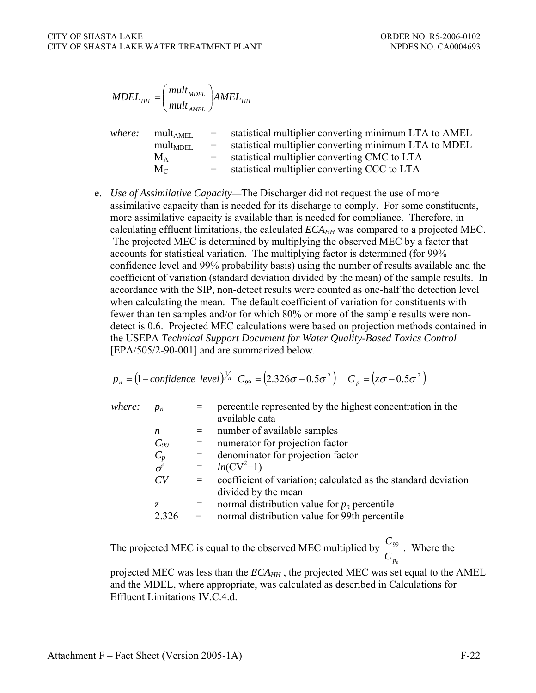$$
MDEL_{HH} = \left(\frac{mult_{MDEL}}{mult_{AMEL}}\right) AMEL_{HH}
$$

| where: | mult <sub>AMEL</sub> | $=$ $-$  | statistical multiplier converting minimum LTA to AMEL |
|--------|----------------------|----------|-------------------------------------------------------|
|        | $mult_{MDEL}$        | $\equiv$ | statistical multiplier converting minimum LTA to MDEL |
|        | $M_A$                | $=$ $-$  | statistical multiplier converting CMC to LTA          |
|        | $M_{\odot}$          | $=$ $-$  | statistical multiplier converting CCC to LTA          |

e. *Use of Assimilative Capacity—*The Discharger did not request the use of more assimilative capacity than is needed for its discharge to comply. For some constituents, more assimilative capacity is available than is needed for compliance. Therefore, in calculating effluent limitations, the calculated  $ECA<sub>HH</sub>$  was compared to a projected MEC. The projected MEC is determined by multiplying the observed MEC by a factor that accounts for statistical variation. The multiplying factor is determined (for 99% confidence level and 99% probability basis) using the number of results available and the coefficient of variation (standard deviation divided by the mean) of the sample results. In accordance with the SIP, non-detect results were counted as one-half the detection level when calculating the mean. The default coefficient of variation for constituents with fewer than ten samples and/or for which 80% or more of the sample results were nondetect is 0.6. Projected MEC calculations were based on projection methods contained in the USEPA *Technical Support Document for Water Quality-Based Toxics Control* [EPA/505/2-90-001] and are summarized below.

$$
p_n = (1 - \text{confidence level})^{1/n} C_{99} = (2.326\sigma - 0.5\sigma^2) C_p = (z\sigma - 0.5\sigma^2)
$$

*where:*  $p_n$  = percentile represented by the highest concentration in the available data  $n =$  number of available samples  $C_{99}$  = numerator for projection factor  $=$  denominator for projection factor σ *2*  $= ln(CV^2+1)$  $CV =$  coefficient of variation; calculated as the standard deviation divided by the mean *z* = normal distribution value for  $p_n$  percentile  $2.326$  = normal distribution value for 99th percentile

The projected MEC is equal to the observed MEC multiplied by  $C_{p_n}$  $\frac{C_{99}}{2}$ . Where the

projected MEC was less than the  $ECA_{HH}$ , the projected MEC was set equal to the AMEL and the MDEL, where appropriate, was calculated as described in Calculations for Effluent Limitations IV.C.4.d.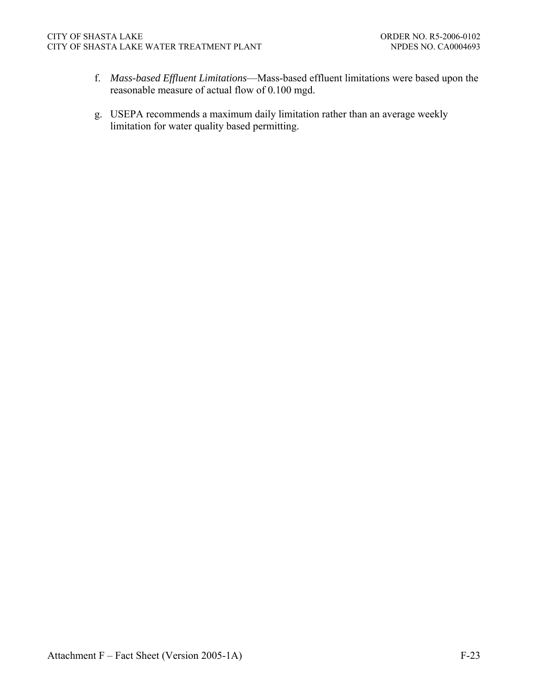- f. *Mass-based Effluent Limitations*—Mass-based effluent limitations were based upon the reasonable measure of actual flow of 0.100 mgd.
- g. USEPA recommends a maximum daily limitation rather than an average weekly limitation for water quality based permitting.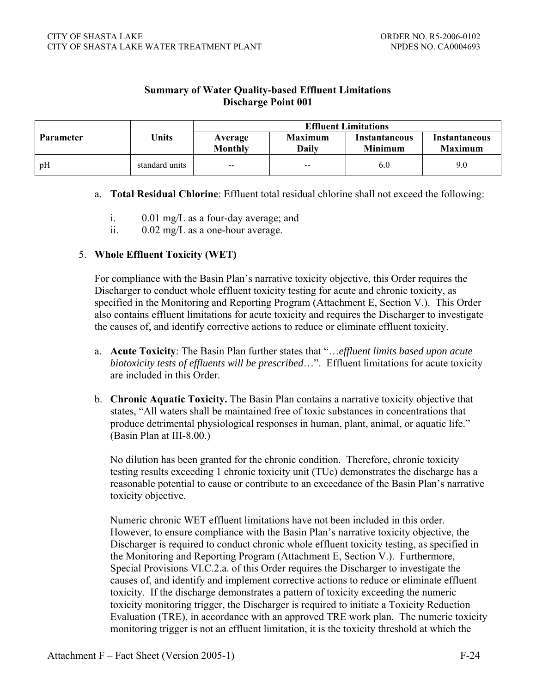| <b>Summary of Water Quality-based Effluent Limitations</b> |
|------------------------------------------------------------|
| <b>Discharge Point 001</b>                                 |

|                  |                | <b>Effluent Limitations</b>                    |                         |                                 |                                 |  |  |
|------------------|----------------|------------------------------------------------|-------------------------|---------------------------------|---------------------------------|--|--|
| <b>Parameter</b> | Units          | Average<br><b>Monthly</b>                      | <b>Maximum</b><br>Dailv | Instantaneous<br><b>Minimum</b> | Instantaneous<br><b>Maximum</b> |  |  |
| pH               | standard units | $\hspace{0.1mm}-\hspace{0.1mm}-\hspace{0.1mm}$ | $\sim$                  | 6.0                             | 9.0                             |  |  |

#### a. **Total Residual Chlorine**: Effluent total residual chlorine shall not exceed the following:

- i. 0.01 mg/L as a four-day average; and
- ii. 0.02 mg/L as a one-hour average.

#### 5. **Whole Effluent Toxicity (WET)**

For compliance with the Basin Plan's narrative toxicity objective, this Order requires the Discharger to conduct whole effluent toxicity testing for acute and chronic toxicity, as specified in the Monitoring and Reporting Program (Attachment E, Section V.). This Order also contains effluent limitations for acute toxicity and requires the Discharger to investigate the causes of, and identify corrective actions to reduce or eliminate effluent toxicity.

- a. **Acute Toxicity**: The Basin Plan further states that "…*effluent limits based upon acute biotoxicity tests of effluents will be prescribed*…". Effluent limitations for acute toxicity are included in this Order.
- b. **Chronic Aquatic Toxicity.** The Basin Plan contains a narrative toxicity objective that states, "All waters shall be maintained free of toxic substances in concentrations that produce detrimental physiological responses in human, plant, animal, or aquatic life." (Basin Plan at III-8.00.)

No dilution has been granted for the chronic condition. Therefore, chronic toxicity testing results exceeding 1 chronic toxicity unit (TUc) demonstrates the discharge has a reasonable potential to cause or contribute to an exceedance of the Basin Plan's narrative toxicity objective.

Numeric chronic WET effluent limitations have not been included in this order. However, to ensure compliance with the Basin Plan's narrative toxicity objective, the Discharger is required to conduct chronic whole effluent toxicity testing, as specified in the Monitoring and Reporting Program (Attachment E, Section V.). Furthermore, Special Provisions VI.C.2.a. of this Order requires the Discharger to investigate the causes of, and identify and implement corrective actions to reduce or eliminate effluent toxicity. If the discharge demonstrates a pattern of toxicity exceeding the numeric toxicity monitoring trigger, the Discharger is required to initiate a Toxicity Reduction Evaluation (TRE), in accordance with an approved TRE work plan. The numeric toxicity monitoring trigger is not an effluent limitation, it is the toxicity threshold at which the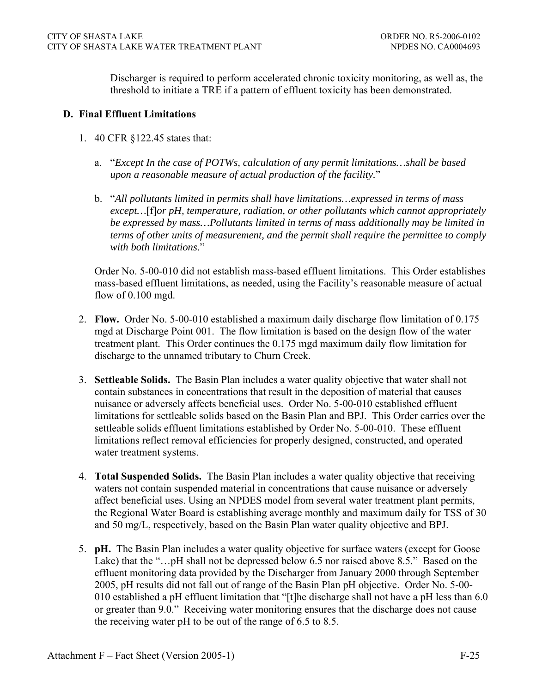Discharger is required to perform accelerated chronic toxicity monitoring, as well as, the threshold to initiate a TRE if a pattern of effluent toxicity has been demonstrated.

### **D. Final Effluent Limitations**

- 1. 40 CFR §122.45 states that:
	- a. "*Except In the case of POTWs, calculation of any permit limitations…shall be based upon a reasonable measure of actual production of the facility.*"
	- b. "*All pollutants limited in permits shall have limitations…expressed in terms of mass except…*[f]*or pH, temperature, radiation, or other pollutants which cannot appropriately be expressed by mass…Pollutants limited in terms of mass additionally may be limited in terms of other units of measurement, and the permit shall require the permittee to comply with both limitations*."

Order No. 5-00-010 did not establish mass-based effluent limitations. This Order establishes mass-based effluent limitations, as needed, using the Facility's reasonable measure of actual flow of 0.100 mgd.

- 2. **Flow.** Order No. 5-00-010 established a maximum daily discharge flow limitation of 0.175 mgd at Discharge Point 001. The flow limitation is based on the design flow of the water treatment plant. This Order continues the 0.175 mgd maximum daily flow limitation for discharge to the unnamed tributary to Churn Creek.
- 3. **Settleable Solids.** The Basin Plan includes a water quality objective that water shall not contain substances in concentrations that result in the deposition of material that causes nuisance or adversely affects beneficial uses. Order No. 5-00-010 established effluent limitations for settleable solids based on the Basin Plan and BPJ. This Order carries over the settleable solids effluent limitations established by Order No. 5-00-010. These effluent limitations reflect removal efficiencies for properly designed, constructed, and operated water treatment systems.
- 4. **Total Suspended Solids.** The Basin Plan includes a water quality objective that receiving waters not contain suspended material in concentrations that cause nuisance or adversely affect beneficial uses. Using an NPDES model from several water treatment plant permits, the Regional Water Board is establishing average monthly and maximum daily for TSS of 30 and 50 mg/L, respectively, based on the Basin Plan water quality objective and BPJ.
- 5. **pH.** The Basin Plan includes a water quality objective for surface waters (except for Goose Lake) that the "…pH shall not be depressed below 6.5 nor raised above 8.5." Based on the effluent monitoring data provided by the Discharger from January 2000 through September 2005, pH results did not fall out of range of the Basin Plan pH objective. Order No. 5-00- 010 established a pH effluent limitation that "[t]he discharge shall not have a pH less than 6.0 or greater than 9.0." Receiving water monitoring ensures that the discharge does not cause the receiving water pH to be out of the range of 6.5 to 8.5.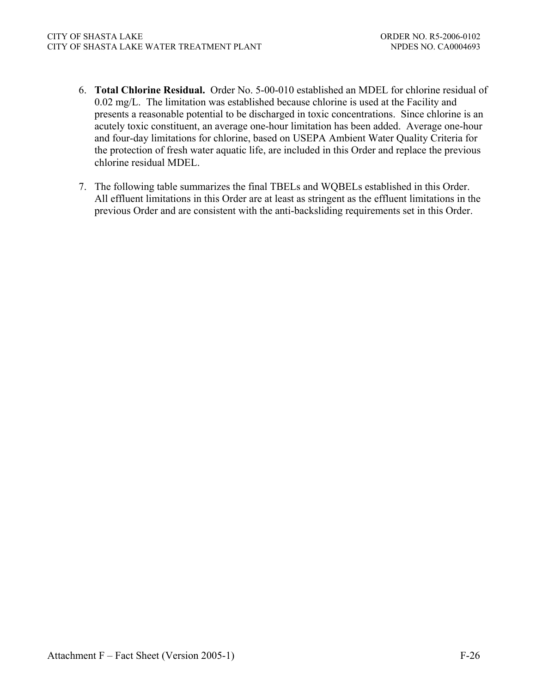- 6. **Total Chlorine Residual.** Order No. 5-00-010 established an MDEL for chlorine residual of 0.02 mg/L. The limitation was established because chlorine is used at the Facility and presents a reasonable potential to be discharged in toxic concentrations. Since chlorine is an acutely toxic constituent, an average one-hour limitation has been added. Average one-hour and four-day limitations for chlorine, based on USEPA Ambient Water Quality Criteria for the protection of fresh water aquatic life, are included in this Order and replace the previous chlorine residual MDEL.
- 7. The following table summarizes the final TBELs and WQBELs established in this Order. All effluent limitations in this Order are at least as stringent as the effluent limitations in the previous Order and are consistent with the anti-backsliding requirements set in this Order.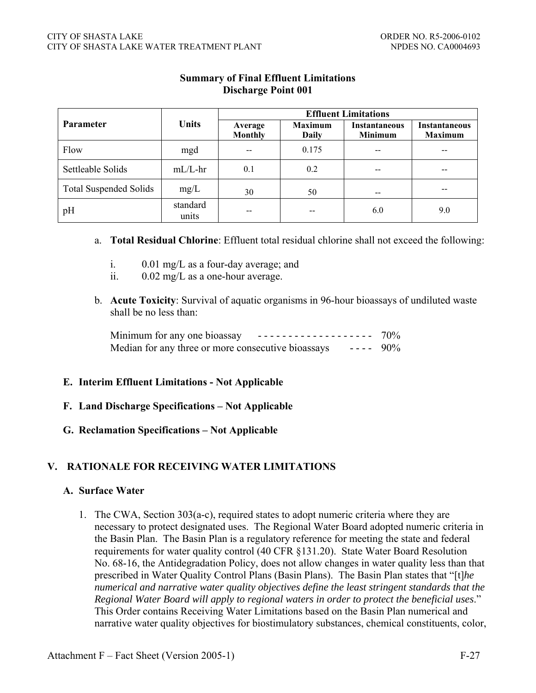|                               |                   | <b>Effluent Limitations</b> |                         |                                        |                                        |  |  |
|-------------------------------|-------------------|-----------------------------|-------------------------|----------------------------------------|----------------------------------------|--|--|
| <b>Parameter</b>              | <b>Units</b>      | Average<br><b>Monthly</b>   | <b>Maximum</b><br>Daily | <b>Instantaneous</b><br><b>Minimum</b> | <b>Instantaneous</b><br><b>Maximum</b> |  |  |
| Flow                          | mgd               |                             | 0.175                   |                                        |                                        |  |  |
| Settleable Solids             | $mL/L$ -hr        | 0.1                         | 0.2                     |                                        | --                                     |  |  |
| <b>Total Suspended Solids</b> | mg/L              | 30                          | 50                      |                                        |                                        |  |  |
| pH                            | standard<br>units | --                          | --                      | 6.0                                    | 9.0                                    |  |  |

## **Summary of Final Effluent Limitations Discharge Point 001**

#### a. **Total Residual Chlorine**: Effluent total residual chlorine shall not exceed the following:

- i. 0.01 mg/L as a four-day average; and
- ii. 0.02 mg/L as a one-hour average.
- b. **Acute Toxicity**: Survival of aquatic organisms in 96-hour bioassays of undiluted waste shall be no less than:

| Minimum for any one bioassay<br><u> ------------------- 70% </u>     |  |
|----------------------------------------------------------------------|--|
| Median for any three or more consecutive bioassays<br>$- - - - 90\%$ |  |

#### **E. Interim Effluent Limitations - Not Applicable**

- **F. Land Discharge Specifications Not Applicable**
- **G. Reclamation Specifications Not Applicable**

# **V. RATIONALE FOR RECEIVING WATER LIMITATIONS**

# **A. Surface Water**

1. The CWA, Section 303(a-c), required states to adopt numeric criteria where they are necessary to protect designated uses. The Regional Water Board adopted numeric criteria in the Basin Plan. The Basin Plan is a regulatory reference for meeting the state and federal requirements for water quality control (40 CFR §131.20). State Water Board Resolution No. 68-16, the Antidegradation Policy, does not allow changes in water quality less than that prescribed in Water Quality Control Plans (Basin Plans). The Basin Plan states that "[t]*he numerical and narrative water quality objectives define the least stringent standards that the Regional Water Board will apply to regional waters in order to protect the beneficial uses*." This Order contains Receiving Water Limitations based on the Basin Plan numerical and narrative water quality objectives for biostimulatory substances, chemical constituents, color,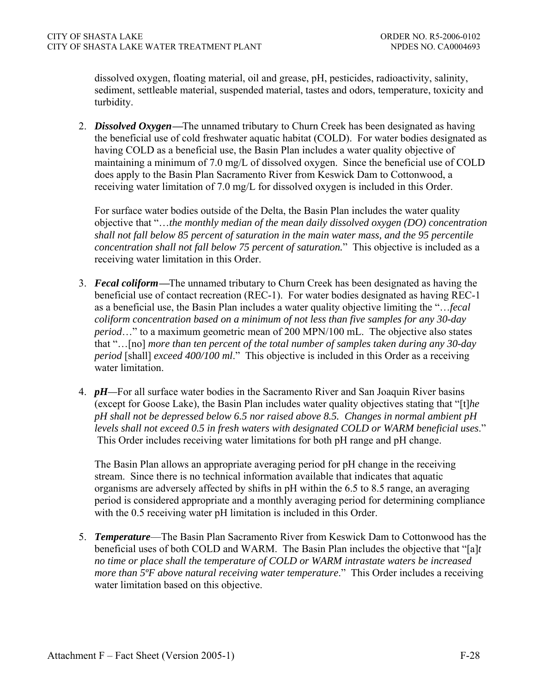dissolved oxygen, floating material, oil and grease, pH, pesticides, radioactivity, salinity, sediment, settleable material, suspended material, tastes and odors, temperature, toxicity and turbidity.

2. *Dissolved Oxygen***—**The unnamed tributary to Churn Creek has been designated as having the beneficial use of cold freshwater aquatic habitat (COLD). For water bodies designated as having COLD as a beneficial use, the Basin Plan includes a water quality objective of maintaining a minimum of 7.0 mg/L of dissolved oxygen. Since the beneficial use of COLD does apply to the Basin Plan Sacramento River from Keswick Dam to Cottonwood, a receiving water limitation of 7.0 mg/L for dissolved oxygen is included in this Order.

For surface water bodies outside of the Delta, the Basin Plan includes the water quality objective that "…*the monthly median of the mean daily dissolved oxygen (DO) concentration shall not fall below 85 percent of saturation in the main water mass, and the 95 percentile concentration shall not fall below 75 percent of saturation.*" This objective is included as a receiving water limitation in this Order.

- 3. *Fecal coliform***—**The unnamed tributary to Churn Creek has been designated as having the beneficial use of contact recreation (REC-1). For water bodies designated as having REC-1 as a beneficial use, the Basin Plan includes a water quality objective limiting the "…*fecal coliform concentration based on a minimum of not less than five samples for any 30-day period*…" to a maximum geometric mean of 200 MPN/100 mL. The objective also states that "…[no] *more than ten percent of the total number of samples taken during any 30-day period* [shall] *exceed 400/100 ml*." This objective is included in this Order as a receiving water limitation.
- 4. *pH—*For all surface water bodies in the Sacramento River and San Joaquin River basins (except for Goose Lake), the Basin Plan includes water quality objectives stating that "[t]*he pH shall not be depressed below 6.5 nor raised above 8.5. Changes in normal ambient pH levels shall not exceed 0.5 in fresh waters with designated COLD or WARM beneficial uses*." This Order includes receiving water limitations for both pH range and pH change.

The Basin Plan allows an appropriate averaging period for pH change in the receiving stream. Since there is no technical information available that indicates that aquatic organisms are adversely affected by shifts in pH within the 6.5 to 8.5 range, an averaging period is considered appropriate and a monthly averaging period for determining compliance with the 0.5 receiving water pH limitation is included in this Order.

5. *Temperature*—The Basin Plan Sacramento River from Keswick Dam to Cottonwood has the beneficial uses of both COLD and WARM. The Basin Plan includes the objective that "[a]*t no time or place shall the temperature of COLD or WARM intrastate waters be increased more than*  $5^{\circ}F$  *above natural receiving water temperature.*" This Order includes a receiving water limitation based on this objective.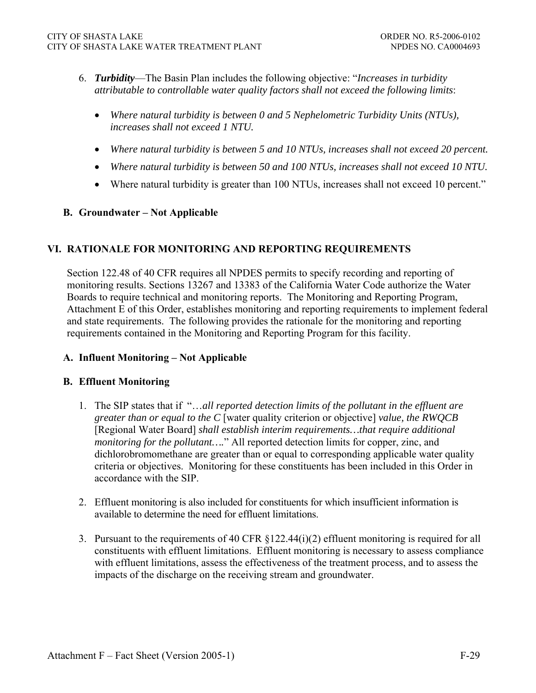- 6. *Turbidity*—The Basin Plan includes the following objective: "*Increases in turbidity attributable to controllable water quality factors shall not exceed the following limits*:
	- *Where natural turbidity is between 0 and 5 Nephelometric Turbidity Units (NTUs), increases shall not exceed 1 NTU.*
	- *Where natural turbidity is between 5 and 10 NTUs, increases shall not exceed 20 percent.*
	- *Where natural turbidity is between 50 and 100 NTUs, increases shall not exceed 10 NTU.*
	- Where natural turbidity is greater than 100 NTUs, increases shall not exceed 10 percent."

### **B. Groundwater – Not Applicable**

### **VI. RATIONALE FOR MONITORING AND REPORTING REQUIREMENTS**

Section 122.48 of 40 CFR requires all NPDES permits to specify recording and reporting of monitoring results. Sections 13267 and 13383 of the California Water Code authorize the Water Boards to require technical and monitoring reports. The Monitoring and Reporting Program, Attachment E of this Order, establishes monitoring and reporting requirements to implement federal and state requirements. The following provides the rationale for the monitoring and reporting requirements contained in the Monitoring and Reporting Program for this facility.

#### **A. Influent Monitoring – Not Applicable**

#### **B. Effluent Monitoring**

- 1. The SIP states that if "…*all reported detection limits of the pollutant in the effluent are greater than or equal to the C* [water quality criterion or objective] *value, the RWQCB* [Regional Water Board] *shall establish interim requirements…that require additional monitoring for the pollutant….*" All reported detection limits for copper, zinc, and dichlorobromomethane are greater than or equal to corresponding applicable water quality criteria or objectives. Monitoring for these constituents has been included in this Order in accordance with the SIP.
- 2. Effluent monitoring is also included for constituents for which insufficient information is available to determine the need for effluent limitations.
- 3. Pursuant to the requirements of 40 CFR §122.44(i)(2) effluent monitoring is required for all constituents with effluent limitations. Effluent monitoring is necessary to assess compliance with effluent limitations, assess the effectiveness of the treatment process, and to assess the impacts of the discharge on the receiving stream and groundwater.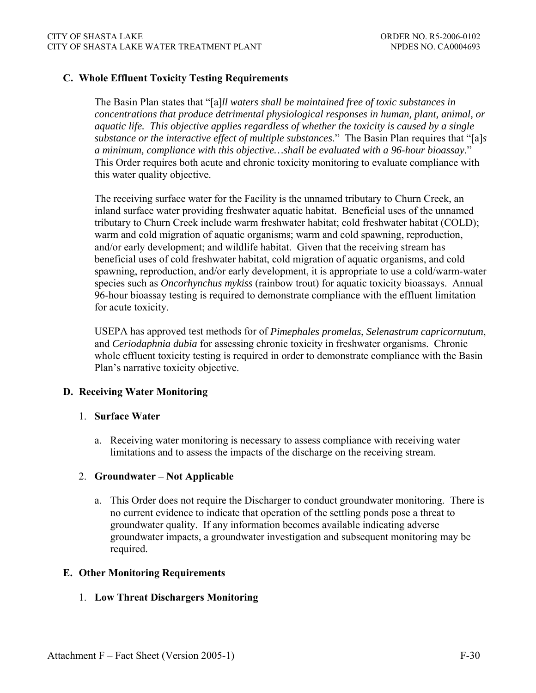### **C. Whole Effluent Toxicity Testing Requirements**

The Basin Plan states that "[a]*ll waters shall be maintained free of toxic substances in concentrations that produce detrimental physiological responses in human, plant, animal, or aquatic life. This objective applies regardless of whether the toxicity is caused by a single substance or the interactive effect of multiple substances*." The Basin Plan requires that "[a]*s a minimum, compliance with this objective…shall be evaluated with a 96-hour bioassay*." This Order requires both acute and chronic toxicity monitoring to evaluate compliance with this water quality objective.

The receiving surface water for the Facility is the unnamed tributary to Churn Creek, an inland surface water providing freshwater aquatic habitat. Beneficial uses of the unnamed tributary to Churn Creek include warm freshwater habitat; cold freshwater habitat (COLD); warm and cold migration of aquatic organisms; warm and cold spawning, reproduction, and/or early development; and wildlife habitat. Given that the receiving stream has beneficial uses of cold freshwater habitat, cold migration of aquatic organisms, and cold spawning, reproduction, and/or early development, it is appropriate to use a cold/warm-water species such as *Oncorhynchus mykiss* (rainbow trout) for aquatic toxicity bioassays. Annual 96-hour bioassay testing is required to demonstrate compliance with the effluent limitation for acute toxicity.

USEPA has approved test methods for of *Pimephales promelas*, *Selenastrum capricornutum*, and *Ceriodaphnia dubia* for assessing chronic toxicity in freshwater organisms. Chronic whole effluent toxicity testing is required in order to demonstrate compliance with the Basin Plan's narrative toxicity objective.

#### **D. Receiving Water Monitoring**

#### 1. **Surface Water**

a. Receiving water monitoring is necessary to assess compliance with receiving water limitations and to assess the impacts of the discharge on the receiving stream.

### 2. **Groundwater – Not Applicable**

a. This Order does not require the Discharger to conduct groundwater monitoring. There is no current evidence to indicate that operation of the settling ponds pose a threat to groundwater quality. If any information becomes available indicating adverse groundwater impacts, a groundwater investigation and subsequent monitoring may be required.

#### **E. Other Monitoring Requirements**

#### 1. **Low Threat Dischargers Monitoring**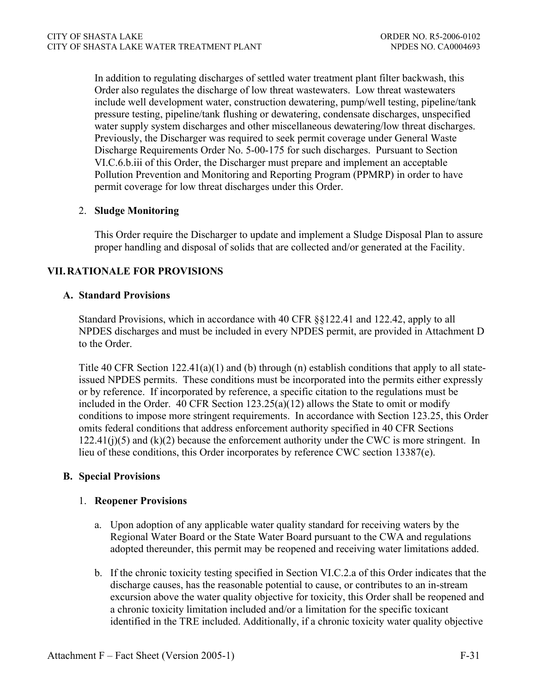In addition to regulating discharges of settled water treatment plant filter backwash, this Order also regulates the discharge of low threat wastewaters. Low threat wastewaters include well development water, construction dewatering, pump/well testing, pipeline/tank pressure testing, pipeline/tank flushing or dewatering, condensate discharges, unspecified water supply system discharges and other miscellaneous dewatering/low threat discharges. Previously, the Discharger was required to seek permit coverage under General Waste Discharge Requirements Order No. 5-00-175 for such discharges. Pursuant to Section VI.C.6.b.iii of this Order, the Discharger must prepare and implement an acceptable Pollution Prevention and Monitoring and Reporting Program (PPMRP) in order to have permit coverage for low threat discharges under this Order.

## 2. **Sludge Monitoring**

This Order require the Discharger to update and implement a Sludge Disposal Plan to assure proper handling and disposal of solids that are collected and/or generated at the Facility.

# **VII. RATIONALE FOR PROVISIONS**

### **A. Standard Provisions**

Standard Provisions, which in accordance with 40 CFR §§122.41 and 122.42, apply to all NPDES discharges and must be included in every NPDES permit, are provided in Attachment D to the Order.

Title 40 CFR Section 122.41(a)(1) and (b) through (n) establish conditions that apply to all stateissued NPDES permits. These conditions must be incorporated into the permits either expressly or by reference. If incorporated by reference, a specific citation to the regulations must be included in the Order. 40 CFR Section 123.25(a)(12) allows the State to omit or modify conditions to impose more stringent requirements. In accordance with Section 123.25, this Order omits federal conditions that address enforcement authority specified in 40 CFR Sections 122.41(j)(5) and (k)(2) because the enforcement authority under the CWC is more stringent. In lieu of these conditions, this Order incorporates by reference CWC section 13387(e).

### **B. Special Provisions**

#### 1. **Reopener Provisions**

- a. Upon adoption of any applicable water quality standard for receiving waters by the Regional Water Board or the State Water Board pursuant to the CWA and regulations adopted thereunder, this permit may be reopened and receiving water limitations added.
- b. If the chronic toxicity testing specified in Section VI.C.2.a of this Order indicates that the discharge causes, has the reasonable potential to cause, or contributes to an in-stream excursion above the water quality objective for toxicity, this Order shall be reopened and a chronic toxicity limitation included and/or a limitation for the specific toxicant identified in the TRE included. Additionally, if a chronic toxicity water quality objective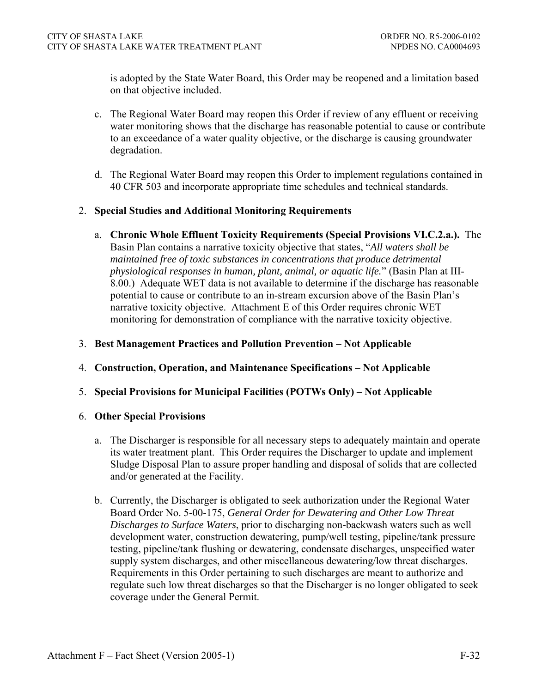is adopted by the State Water Board, this Order may be reopened and a limitation based on that objective included.

- c. The Regional Water Board may reopen this Order if review of any effluent or receiving water monitoring shows that the discharge has reasonable potential to cause or contribute to an exceedance of a water quality objective, or the discharge is causing groundwater degradation.
- d. The Regional Water Board may reopen this Order to implement regulations contained in 40 CFR 503 and incorporate appropriate time schedules and technical standards.

### 2. **Special Studies and Additional Monitoring Requirements**

 a. **Chronic Whole Effluent Toxicity Requirements (Special Provisions VI.C.2.a.).** The Basin Plan contains a narrative toxicity objective that states, "*All waters shall be maintained free of toxic substances in concentrations that produce detrimental physiological responses in human, plant, animal, or aquatic life.*" (Basin Plan at III-8.00.) Adequate WET data is not available to determine if the discharge has reasonable potential to cause or contribute to an in-stream excursion above of the Basin Plan's narrative toxicity objective. Attachment E of this Order requires chronic WET monitoring for demonstration of compliance with the narrative toxicity objective.

### 3. **Best Management Practices and Pollution Prevention – Not Applicable**

- 4. **Construction, Operation, and Maintenance Specifications Not Applicable**
- 5. **Special Provisions for Municipal Facilities (POTWs Only) Not Applicable**

#### 6. **Other Special Provisions**

- a. The Discharger is responsible for all necessary steps to adequately maintain and operate its water treatment plant. This Order requires the Discharger to update and implement Sludge Disposal Plan to assure proper handling and disposal of solids that are collected and/or generated at the Facility.
- b. Currently, the Discharger is obligated to seek authorization under the Regional Water Board Order No. 5-00-175, *General Order for Dewatering and Other Low Threat Discharges to Surface Waters*, prior to discharging non-backwash waters such as well development water, construction dewatering, pump/well testing, pipeline/tank pressure testing, pipeline/tank flushing or dewatering, condensate discharges, unspecified water supply system discharges, and other miscellaneous dewatering/low threat discharges. Requirements in this Order pertaining to such discharges are meant to authorize and regulate such low threat discharges so that the Discharger is no longer obligated to seek coverage under the General Permit.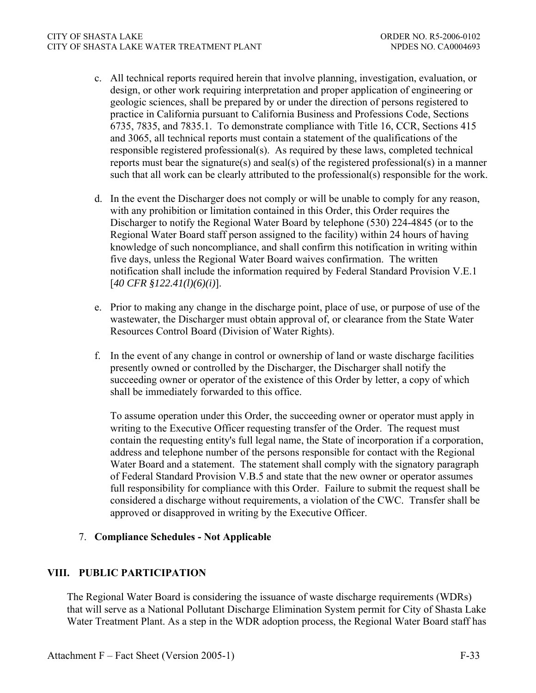#### CITY OF SHASTA LAKE ORDER NO. R5-2006-0102 CITY OF SHASTA LAKE WATER TREATMENT PLANT NETWORK AND MEDES NO. CA0004693

- c. All technical reports required herein that involve planning, investigation, evaluation, or design, or other work requiring interpretation and proper application of engineering or geologic sciences, shall be prepared by or under the direction of persons registered to practice in California pursuant to California Business and Professions Code, Sections 6735, 7835, and 7835.1. To demonstrate compliance with Title 16, CCR, Sections 415 and 3065, all technical reports must contain a statement of the qualifications of the responsible registered professional(s). As required by these laws, completed technical reports must bear the signature(s) and seal(s) of the registered professional(s) in a manner such that all work can be clearly attributed to the professional(s) responsible for the work.
- d. In the event the Discharger does not comply or will be unable to comply for any reason, with any prohibition or limitation contained in this Order, this Order requires the Discharger to notify the Regional Water Board by telephone (530) 224-4845 (or to the Regional Water Board staff person assigned to the facility) within 24 hours of having knowledge of such noncompliance, and shall confirm this notification in writing within five days, unless the Regional Water Board waives confirmation. The written notification shall include the information required by Federal Standard Provision V.E.1 [*40 CFR §122.41(l)(6)(i)*].
- e. Prior to making any change in the discharge point, place of use, or purpose of use of the wastewater, the Discharger must obtain approval of, or clearance from the State Water Resources Control Board (Division of Water Rights).
- f. In the event of any change in control or ownership of land or waste discharge facilities presently owned or controlled by the Discharger, the Discharger shall notify the succeeding owner or operator of the existence of this Order by letter, a copy of which shall be immediately forwarded to this office.

To assume operation under this Order, the succeeding owner or operator must apply in writing to the Executive Officer requesting transfer of the Order. The request must contain the requesting entity's full legal name, the State of incorporation if a corporation, address and telephone number of the persons responsible for contact with the Regional Water Board and a statement. The statement shall comply with the signatory paragraph of Federal Standard Provision V.B.5 and state that the new owner or operator assumes full responsibility for compliance with this Order. Failure to submit the request shall be considered a discharge without requirements, a violation of the CWC. Transfer shall be approved or disapproved in writing by the Executive Officer.

### 7. **Compliance Schedules - Not Applicable**

### **VIII. PUBLIC PARTICIPATION**

The Regional Water Board is considering the issuance of waste discharge requirements (WDRs) that will serve as a National Pollutant Discharge Elimination System permit for City of Shasta Lake Water Treatment Plant. As a step in the WDR adoption process, the Regional Water Board staff has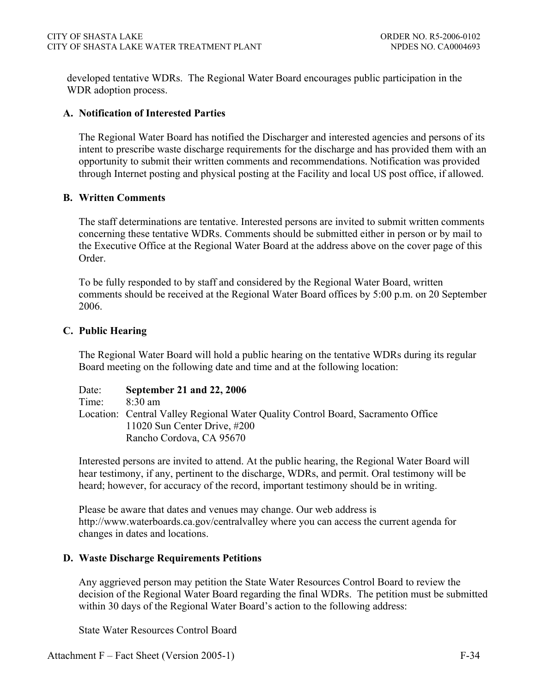developed tentative WDRs. The Regional Water Board encourages public participation in the WDR adoption process.

### **A. Notification of Interested Parties**

The Regional Water Board has notified the Discharger and interested agencies and persons of its intent to prescribe waste discharge requirements for the discharge and has provided them with an opportunity to submit their written comments and recommendations. Notification was provided through Internet posting and physical posting at the Facility and local US post office, if allowed.

#### **B. Written Comments**

The staff determinations are tentative. Interested persons are invited to submit written comments concerning these tentative WDRs. Comments should be submitted either in person or by mail to the Executive Office at the Regional Water Board at the address above on the cover page of this Order.

To be fully responded to by staff and considered by the Regional Water Board, written comments should be received at the Regional Water Board offices by 5:00 p.m. on 20 September 2006.

### **C. Public Hearing**

The Regional Water Board will hold a public hearing on the tentative WDRs during its regular Board meeting on the following date and time and at the following location:

Date: **September 21 and 22, 2006** Time: 8:30 am Location: Central Valley Regional Water Quality Control Board, Sacramento Office 11020 Sun Center Drive, #200 Rancho Cordova, CA 95670

Interested persons are invited to attend. At the public hearing, the Regional Water Board will hear testimony, if any, pertinent to the discharge, WDRs, and permit. Oral testimony will be heard; however, for accuracy of the record, important testimony should be in writing.

Please be aware that dates and venues may change. Our web address is http://www.waterboards.ca.gov/centralvalley where you can access the current agenda for changes in dates and locations.

#### **D. Waste Discharge Requirements Petitions**

Any aggrieved person may petition the State Water Resources Control Board to review the decision of the Regional Water Board regarding the final WDRs. The petition must be submitted within 30 days of the Regional Water Board's action to the following address:

State Water Resources Control Board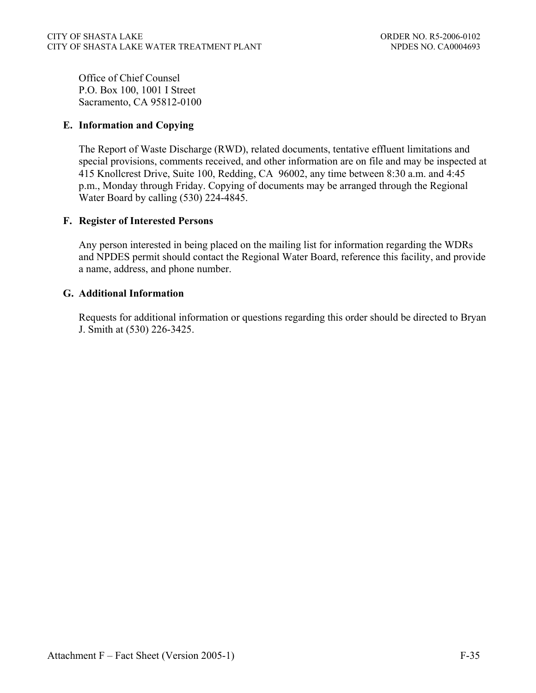Office of Chief Counsel P.O. Box 100, 1001 I Street Sacramento, CA 95812-0100

## **E. Information and Copying**

The Report of Waste Discharge (RWD), related documents, tentative effluent limitations and special provisions, comments received, and other information are on file and may be inspected at 415 Knollcrest Drive, Suite 100, Redding, CA 96002, any time between 8:30 a.m. and 4:45 p.m., Monday through Friday. Copying of documents may be arranged through the Regional Water Board by calling (530) 224-4845.

### **F. Register of Interested Persons**

Any person interested in being placed on the mailing list for information regarding the WDRs and NPDES permit should contact the Regional Water Board, reference this facility, and provide a name, address, and phone number.

### **G. Additional Information**

Requests for additional information or questions regarding this order should be directed to Bryan J. Smith at (530) 226-3425.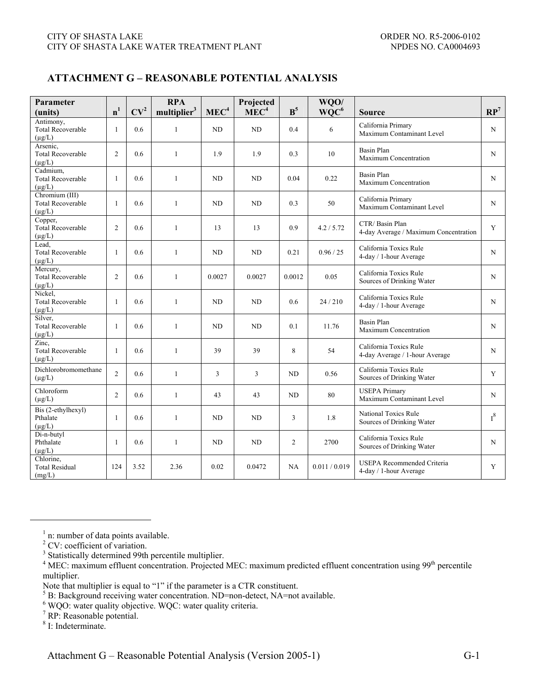### **ATTACHMENT G – REASONABLE POTENTIAL ANALYSIS**

| Parameter<br>(units)                                      | n <sup>1</sup> | CV <sup>2</sup> | <b>RPA</b><br>multiplier <sup>3</sup> | MEC <sup>4</sup> | Projected<br>MEC <sup>4</sup> | $B^5$          | WQO/<br>$WQC^6$ | <b>Source</b>                                            | $\mathbb{RP}^7$ |
|-----------------------------------------------------------|----------------|-----------------|---------------------------------------|------------------|-------------------------------|----------------|-----------------|----------------------------------------------------------|-----------------|
| Antimony,<br><b>Total Recoverable</b><br>$(\mu g/L)$      | $\mathbf{1}$   | 0.6             | $\mathbf{1}$                          | ND               | ND                            | 0.4            | 6               | California Primary<br>Maximum Contaminant Level          | N               |
| Arsenic,<br><b>Total Recoverable</b><br>$(\mu g/L)$       | $\overline{2}$ | 0.6             | $\mathbf{1}$                          | 1.9              | 1.9                           | 0.3            | 10              | <b>Basin Plan</b><br>Maximum Concentration               | N               |
| Cadmium,<br><b>Total Recoverable</b><br>$(\mu g/L)$       | -1             | 0.6             | $\mathbf{1}$                          | <b>ND</b>        | ND                            | 0.04           | 0.22            | <b>Basin Plan</b><br>Maximum Concentration               | N               |
| Chromium (III)<br><b>Total Recoverable</b><br>$(\mu g/L)$ | -1             | 0.6             | $\mathbf{1}$                          | <b>ND</b>        | ND                            | 0.3            | 50              | California Primary<br>Maximum Contaminant Level          | N               |
| Copper,<br><b>Total Recoverable</b><br>$(\mu g/L)$        | 2              | 0.6             | $\mathbf{1}$                          | 13               | 13                            | 0.9            | 4.2 / 5.72      | CTR/Basin Plan<br>4-day Average / Maximum Concentration  | Y               |
| Lead,<br><b>Total Recoverable</b><br>$(\mu g/L)$          | $\mathbf{1}$   | 0.6             | $\mathbf{1}$                          | <b>ND</b>        | ND                            | 0.21           | 0.96 / 25       | California Toxics Rule<br>4-day / 1-hour Average         | N               |
| Mercury,<br><b>Total Recoverable</b><br>$(\mu g/L)$       | 2              | 0.6             | $\mathbf{1}$                          | 0.0027           | 0.0027                        | 0.0012         | 0.05            | California Toxics Rule<br>Sources of Drinking Water      | N               |
| Nickel,<br><b>Total Recoverable</b><br>$(\mu g/L)$        | $\mathbf{1}$   | 0.6             | $\mathbf{1}$                          | N <sub>D</sub>   | ND                            | 0.6            | 24/210          | California Toxics Rule<br>4-day / 1-hour Average         | N               |
| Silver,<br><b>Total Recoverable</b><br>$(\mu g/L)$        | $\mathbf{1}$   | 0.6             | $\mathbf{1}$                          | ND.              | ND                            | 0.1            | 11.76           | Basin Plan<br>Maximum Concentration                      | N               |
| Zinc.<br><b>Total Recoverable</b><br>$(\mu g/L)$          | $\mathbf{1}$   | 0.6             | $\mathbf{1}$                          | 39               | 39                            | 8              | 54              | California Toxics Rule<br>4-day Average / 1-hour Average | N               |
| Dichlorobromomethane<br>$(\mu g/L)$                       | $\overline{2}$ | 0.6             | $\mathbf{1}$                          | 3                | 3                             | ND             | 0.56            | California Toxics Rule<br>Sources of Drinking Water      | Y               |
| Chloroform<br>$(\mu g/L)$                                 | 2              | 0.6             | $\mathbf{1}$                          | 43               | 43                            | N <sub>D</sub> | 80              | <b>USEPA Primary</b><br>Maximum Contaminant Level        | N               |
| Bis (2-ethylhexyl)<br>Pthalate<br>$(\mu g/L)$             | $\mathbf{1}$   | 0.6             | $\mathbf{1}$                          | N <sub>D</sub>   | ND                            | 3              | 1.8             | <b>National Toxics Rule</b><br>Sources of Drinking Water | $I^8$           |
| Di-n-butyl<br>Phthalate<br>$(\mu g/L)$                    | -1             | 0.6             | 1                                     | ND.              | ND                            | 2              | 2700            | California Toxics Rule<br>Sources of Drinking Water      | N               |
| Chlorine.<br><b>Total Residual</b><br>(mg/L)              | 124            | 3.52            | 2.36                                  | 0.02             | 0.0472                        | NA             | 0.011 / 0.019   | USEPA Recommended Criteria<br>4-day / 1-hour Average     | Y               |

 $<sup>1</sup>$  n: number of data points available.</sup>

<sup>2</sup> CV: coefficient of variation.

<sup>3</sup> Statistically determined 99th percentile multiplier.

WQO: water quality objective. WQC: water quality criteria.

7 RP: Reasonable potential.

8 I: Indeterminate.

<sup>&</sup>lt;sup>4</sup> MEC: maximum effluent concentration. Projected MEC: maximum predicted effluent concentration using 99<sup>th</sup> percentile multiplier.

Note that multiplier is equal to "1" if the parameter is a CTR constituent.<br>  ${}^{5}$  B: Background receiving water concentration. ND=non-detect, NA=not available.<br>  ${}^{6}$  WOC: water quality objective. WOC: water quality cr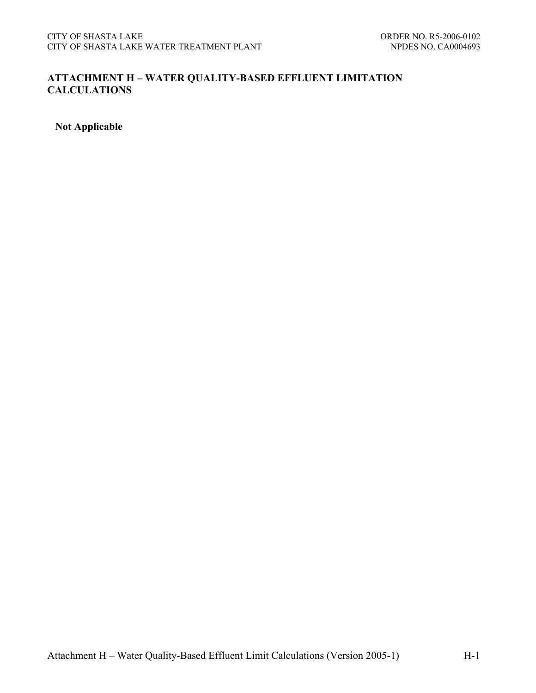## **ATTACHMENT H – WATER QUALITY-BASED EFFLUENT LIMITATION CALCULATIONS**

**Not Applicable**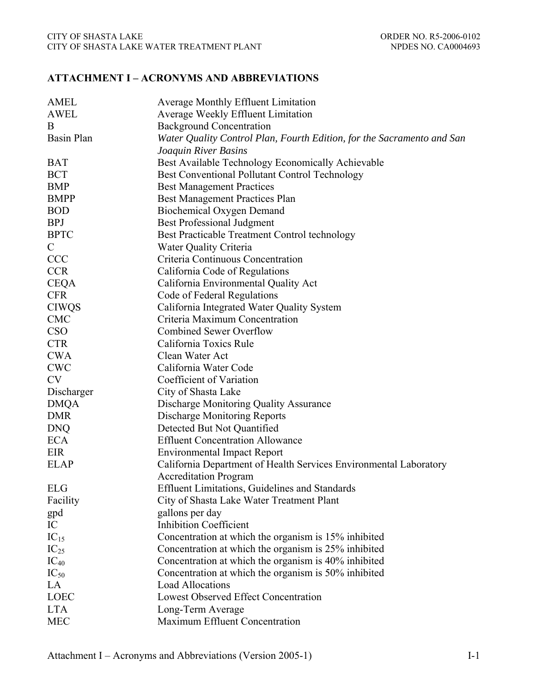## **ATTACHMENT I – ACRONYMS AND ABBREVIATIONS**

| <b>Average Monthly Effluent Limitation</b><br><b>AWEL</b><br>Average Weekly Effluent Limitation<br>B<br><b>Background Concentration</b><br><b>Basin Plan</b><br>Water Quality Control Plan, Fourth Edition, for the Sacramento and San<br>Joaquin River Basins<br>Best Available Technology Economically Achievable<br><b>BAT</b><br><b>BCT</b><br><b>Best Conventional Pollutant Control Technology</b><br><b>BMP</b><br><b>Best Management Practices</b><br><b>BMPP</b><br>Best Management Practices Plan<br><b>BOD</b><br><b>Biochemical Oxygen Demand</b><br><b>BPJ</b><br><b>Best Professional Judgment</b><br><b>BPTC</b><br>Best Practicable Treatment Control technology<br>$\mathcal{C}$<br>Water Quality Criteria<br><b>CCC</b><br>Criteria Continuous Concentration<br><b>CCR</b><br>California Code of Regulations<br><b>CEQA</b><br>California Environmental Quality Act<br><b>CFR</b><br>Code of Federal Regulations<br><b>CIWQS</b><br>California Integrated Water Quality System<br><b>CMC</b><br>Criteria Maximum Concentration<br><b>CSO</b><br><b>Combined Sewer Overflow</b><br><b>CTR</b><br>California Toxics Rule<br><b>CWA</b><br>Clean Water Act<br><b>CWC</b><br>California Water Code<br><b>CV</b><br>Coefficient of Variation<br>Discharger<br>City of Shasta Lake |
|------------------------------------------------------------------------------------------------------------------------------------------------------------------------------------------------------------------------------------------------------------------------------------------------------------------------------------------------------------------------------------------------------------------------------------------------------------------------------------------------------------------------------------------------------------------------------------------------------------------------------------------------------------------------------------------------------------------------------------------------------------------------------------------------------------------------------------------------------------------------------------------------------------------------------------------------------------------------------------------------------------------------------------------------------------------------------------------------------------------------------------------------------------------------------------------------------------------------------------------------------------------------------------------------|
|                                                                                                                                                                                                                                                                                                                                                                                                                                                                                                                                                                                                                                                                                                                                                                                                                                                                                                                                                                                                                                                                                                                                                                                                                                                                                                |
|                                                                                                                                                                                                                                                                                                                                                                                                                                                                                                                                                                                                                                                                                                                                                                                                                                                                                                                                                                                                                                                                                                                                                                                                                                                                                                |
|                                                                                                                                                                                                                                                                                                                                                                                                                                                                                                                                                                                                                                                                                                                                                                                                                                                                                                                                                                                                                                                                                                                                                                                                                                                                                                |
|                                                                                                                                                                                                                                                                                                                                                                                                                                                                                                                                                                                                                                                                                                                                                                                                                                                                                                                                                                                                                                                                                                                                                                                                                                                                                                |
|                                                                                                                                                                                                                                                                                                                                                                                                                                                                                                                                                                                                                                                                                                                                                                                                                                                                                                                                                                                                                                                                                                                                                                                                                                                                                                |
|                                                                                                                                                                                                                                                                                                                                                                                                                                                                                                                                                                                                                                                                                                                                                                                                                                                                                                                                                                                                                                                                                                                                                                                                                                                                                                |
|                                                                                                                                                                                                                                                                                                                                                                                                                                                                                                                                                                                                                                                                                                                                                                                                                                                                                                                                                                                                                                                                                                                                                                                                                                                                                                |
|                                                                                                                                                                                                                                                                                                                                                                                                                                                                                                                                                                                                                                                                                                                                                                                                                                                                                                                                                                                                                                                                                                                                                                                                                                                                                                |
|                                                                                                                                                                                                                                                                                                                                                                                                                                                                                                                                                                                                                                                                                                                                                                                                                                                                                                                                                                                                                                                                                                                                                                                                                                                                                                |
|                                                                                                                                                                                                                                                                                                                                                                                                                                                                                                                                                                                                                                                                                                                                                                                                                                                                                                                                                                                                                                                                                                                                                                                                                                                                                                |
|                                                                                                                                                                                                                                                                                                                                                                                                                                                                                                                                                                                                                                                                                                                                                                                                                                                                                                                                                                                                                                                                                                                                                                                                                                                                                                |
|                                                                                                                                                                                                                                                                                                                                                                                                                                                                                                                                                                                                                                                                                                                                                                                                                                                                                                                                                                                                                                                                                                                                                                                                                                                                                                |
|                                                                                                                                                                                                                                                                                                                                                                                                                                                                                                                                                                                                                                                                                                                                                                                                                                                                                                                                                                                                                                                                                                                                                                                                                                                                                                |
|                                                                                                                                                                                                                                                                                                                                                                                                                                                                                                                                                                                                                                                                                                                                                                                                                                                                                                                                                                                                                                                                                                                                                                                                                                                                                                |
|                                                                                                                                                                                                                                                                                                                                                                                                                                                                                                                                                                                                                                                                                                                                                                                                                                                                                                                                                                                                                                                                                                                                                                                                                                                                                                |
|                                                                                                                                                                                                                                                                                                                                                                                                                                                                                                                                                                                                                                                                                                                                                                                                                                                                                                                                                                                                                                                                                                                                                                                                                                                                                                |
|                                                                                                                                                                                                                                                                                                                                                                                                                                                                                                                                                                                                                                                                                                                                                                                                                                                                                                                                                                                                                                                                                                                                                                                                                                                                                                |
|                                                                                                                                                                                                                                                                                                                                                                                                                                                                                                                                                                                                                                                                                                                                                                                                                                                                                                                                                                                                                                                                                                                                                                                                                                                                                                |
|                                                                                                                                                                                                                                                                                                                                                                                                                                                                                                                                                                                                                                                                                                                                                                                                                                                                                                                                                                                                                                                                                                                                                                                                                                                                                                |
|                                                                                                                                                                                                                                                                                                                                                                                                                                                                                                                                                                                                                                                                                                                                                                                                                                                                                                                                                                                                                                                                                                                                                                                                                                                                                                |
|                                                                                                                                                                                                                                                                                                                                                                                                                                                                                                                                                                                                                                                                                                                                                                                                                                                                                                                                                                                                                                                                                                                                                                                                                                                                                                |
|                                                                                                                                                                                                                                                                                                                                                                                                                                                                                                                                                                                                                                                                                                                                                                                                                                                                                                                                                                                                                                                                                                                                                                                                                                                                                                |
|                                                                                                                                                                                                                                                                                                                                                                                                                                                                                                                                                                                                                                                                                                                                                                                                                                                                                                                                                                                                                                                                                                                                                                                                                                                                                                |
|                                                                                                                                                                                                                                                                                                                                                                                                                                                                                                                                                                                                                                                                                                                                                                                                                                                                                                                                                                                                                                                                                                                                                                                                                                                                                                |
| <b>DMQA</b><br>Discharge Monitoring Quality Assurance                                                                                                                                                                                                                                                                                                                                                                                                                                                                                                                                                                                                                                                                                                                                                                                                                                                                                                                                                                                                                                                                                                                                                                                                                                          |
| <b>DMR</b><br><b>Discharge Monitoring Reports</b>                                                                                                                                                                                                                                                                                                                                                                                                                                                                                                                                                                                                                                                                                                                                                                                                                                                                                                                                                                                                                                                                                                                                                                                                                                              |
| <b>DNQ</b><br>Detected But Not Quantified                                                                                                                                                                                                                                                                                                                                                                                                                                                                                                                                                                                                                                                                                                                                                                                                                                                                                                                                                                                                                                                                                                                                                                                                                                                      |
| <b>ECA</b><br><b>Effluent Concentration Allowance</b>                                                                                                                                                                                                                                                                                                                                                                                                                                                                                                                                                                                                                                                                                                                                                                                                                                                                                                                                                                                                                                                                                                                                                                                                                                          |
| EIR<br><b>Environmental Impact Report</b>                                                                                                                                                                                                                                                                                                                                                                                                                                                                                                                                                                                                                                                                                                                                                                                                                                                                                                                                                                                                                                                                                                                                                                                                                                                      |
| <b>ELAP</b><br>California Department of Health Services Environmental Laboratory                                                                                                                                                                                                                                                                                                                                                                                                                                                                                                                                                                                                                                                                                                                                                                                                                                                                                                                                                                                                                                                                                                                                                                                                               |
| <b>Accreditation Program</b>                                                                                                                                                                                                                                                                                                                                                                                                                                                                                                                                                                                                                                                                                                                                                                                                                                                                                                                                                                                                                                                                                                                                                                                                                                                                   |
| Effluent Limitations, Guidelines and Standards<br><b>ELG</b>                                                                                                                                                                                                                                                                                                                                                                                                                                                                                                                                                                                                                                                                                                                                                                                                                                                                                                                                                                                                                                                                                                                                                                                                                                   |
| Facility<br>City of Shasta Lake Water Treatment Plant                                                                                                                                                                                                                                                                                                                                                                                                                                                                                                                                                                                                                                                                                                                                                                                                                                                                                                                                                                                                                                                                                                                                                                                                                                          |
| gallons per day<br>gpd                                                                                                                                                                                                                                                                                                                                                                                                                                                                                                                                                                                                                                                                                                                                                                                                                                                                                                                                                                                                                                                                                                                                                                                                                                                                         |
| <b>Inhibition Coefficient</b><br>IC                                                                                                                                                                                                                                                                                                                                                                                                                                                                                                                                                                                                                                                                                                                                                                                                                                                                                                                                                                                                                                                                                                                                                                                                                                                            |
| $IC_{15}$<br>Concentration at which the organism is 15% inhibited                                                                                                                                                                                                                                                                                                                                                                                                                                                                                                                                                                                                                                                                                                                                                                                                                                                                                                                                                                                                                                                                                                                                                                                                                              |
| $IC_{25}$<br>Concentration at which the organism is 25% inhibited                                                                                                                                                                                                                                                                                                                                                                                                                                                                                                                                                                                                                                                                                                                                                                                                                                                                                                                                                                                                                                                                                                                                                                                                                              |
| $IC_{40}$<br>Concentration at which the organism is 40% inhibited                                                                                                                                                                                                                                                                                                                                                                                                                                                                                                                                                                                                                                                                                                                                                                                                                                                                                                                                                                                                                                                                                                                                                                                                                              |
| $IC_{50}$<br>Concentration at which the organism is 50% inhibited                                                                                                                                                                                                                                                                                                                                                                                                                                                                                                                                                                                                                                                                                                                                                                                                                                                                                                                                                                                                                                                                                                                                                                                                                              |
| LA<br><b>Load Allocations</b>                                                                                                                                                                                                                                                                                                                                                                                                                                                                                                                                                                                                                                                                                                                                                                                                                                                                                                                                                                                                                                                                                                                                                                                                                                                                  |
| LOEC<br><b>Lowest Observed Effect Concentration</b>                                                                                                                                                                                                                                                                                                                                                                                                                                                                                                                                                                                                                                                                                                                                                                                                                                                                                                                                                                                                                                                                                                                                                                                                                                            |
| <b>LTA</b><br>Long-Term Average                                                                                                                                                                                                                                                                                                                                                                                                                                                                                                                                                                                                                                                                                                                                                                                                                                                                                                                                                                                                                                                                                                                                                                                                                                                                |
| Maximum Effluent Concentration<br><b>MEC</b>                                                                                                                                                                                                                                                                                                                                                                                                                                                                                                                                                                                                                                                                                                                                                                                                                                                                                                                                                                                                                                                                                                                                                                                                                                                   |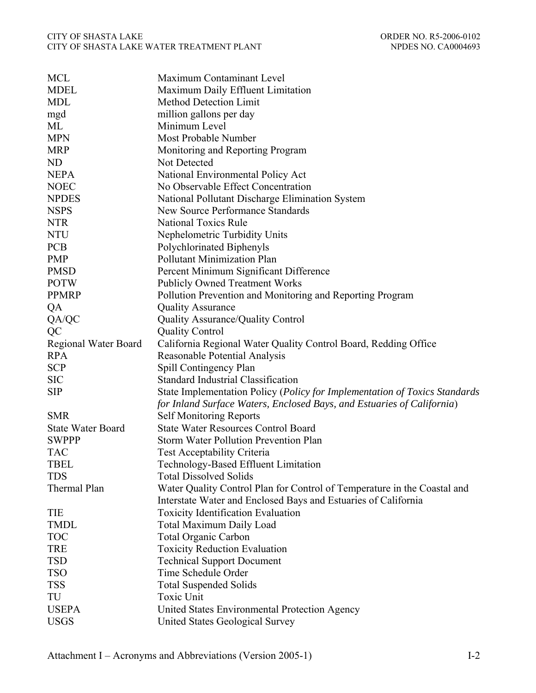#### CITY OF SHASTA LAKE ORDER NO. R5-2006-0102 CITY OF SHASTA LAKE WATER TREATMENT PLANT NETWORK NO CA0004693

| <b>MCL</b>                  | Maximum Contaminant Level                                                  |
|-----------------------------|----------------------------------------------------------------------------|
| <b>MDEL</b>                 | Maximum Daily Effluent Limitation                                          |
| <b>MDL</b>                  | <b>Method Detection Limit</b>                                              |
| mgd                         | million gallons per day                                                    |
| ML                          | Minimum Level                                                              |
| <b>MPN</b>                  | Most Probable Number                                                       |
| <b>MRP</b>                  | Monitoring and Reporting Program                                           |
| ND                          | Not Detected                                                               |
| <b>NEPA</b>                 | National Environmental Policy Act                                          |
| <b>NOEC</b>                 | No Observable Effect Concentration                                         |
| <b>NPDES</b>                | National Pollutant Discharge Elimination System                            |
| <b>NSPS</b>                 | <b>New Source Performance Standards</b>                                    |
| <b>NTR</b>                  | <b>National Toxics Rule</b>                                                |
| <b>NTU</b>                  | Nephelometric Turbidity Units                                              |
| <b>PCB</b>                  | Polychlorinated Biphenyls                                                  |
| <b>PMP</b>                  | <b>Pollutant Minimization Plan</b>                                         |
| <b>PMSD</b>                 | Percent Minimum Significant Difference                                     |
| <b>POTW</b>                 | <b>Publicly Owned Treatment Works</b>                                      |
| <b>PPMRP</b>                | Pollution Prevention and Monitoring and Reporting Program                  |
| QA                          | <b>Quality Assurance</b>                                                   |
| QA/QC                       | <b>Quality Assurance/Quality Control</b>                                   |
| QC                          | <b>Quality Control</b>                                                     |
| <b>Regional Water Board</b> | California Regional Water Quality Control Board, Redding Office            |
| <b>RPA</b>                  | Reasonable Potential Analysis                                              |
| <b>SCP</b>                  | Spill Contingency Plan                                                     |
| <b>SIC</b>                  | <b>Standard Industrial Classification</b>                                  |
| <b>SIP</b>                  | State Implementation Policy (Policy for Implementation of Toxics Standards |
|                             | for Inland Surface Waters, Enclosed Bays, and Estuaries of California)     |
| <b>SMR</b>                  | <b>Self Monitoring Reports</b>                                             |
| <b>State Water Board</b>    | <b>State Water Resources Control Board</b>                                 |
| <b>SWPPP</b>                | Storm Water Pollution Prevention Plan                                      |
| <b>TAC</b>                  | <b>Test Acceptability Criteria</b>                                         |
| <b>TBEL</b>                 | Technology-Based Effluent Limitation                                       |
| <b>TDS</b>                  | <b>Total Dissolved Solids</b>                                              |
| Thermal Plan                | Water Quality Control Plan for Control of Temperature in the Coastal and   |
|                             | Interstate Water and Enclosed Bays and Estuaries of California             |
| TIE                         | <b>Toxicity Identification Evaluation</b>                                  |
| <b>TMDL</b>                 | <b>Total Maximum Daily Load</b>                                            |
| <b>TOC</b>                  | <b>Total Organic Carbon</b>                                                |
| <b>TRE</b>                  | <b>Toxicity Reduction Evaluation</b>                                       |
| <b>TSD</b>                  | <b>Technical Support Document</b>                                          |
| <b>TSO</b>                  | Time Schedule Order                                                        |
| <b>TSS</b>                  | <b>Total Suspended Solids</b>                                              |
| TU                          | Toxic Unit                                                                 |
| <b>USEPA</b>                | United States Environmental Protection Agency                              |
| <b>USGS</b>                 | United States Geological Survey                                            |
|                             |                                                                            |